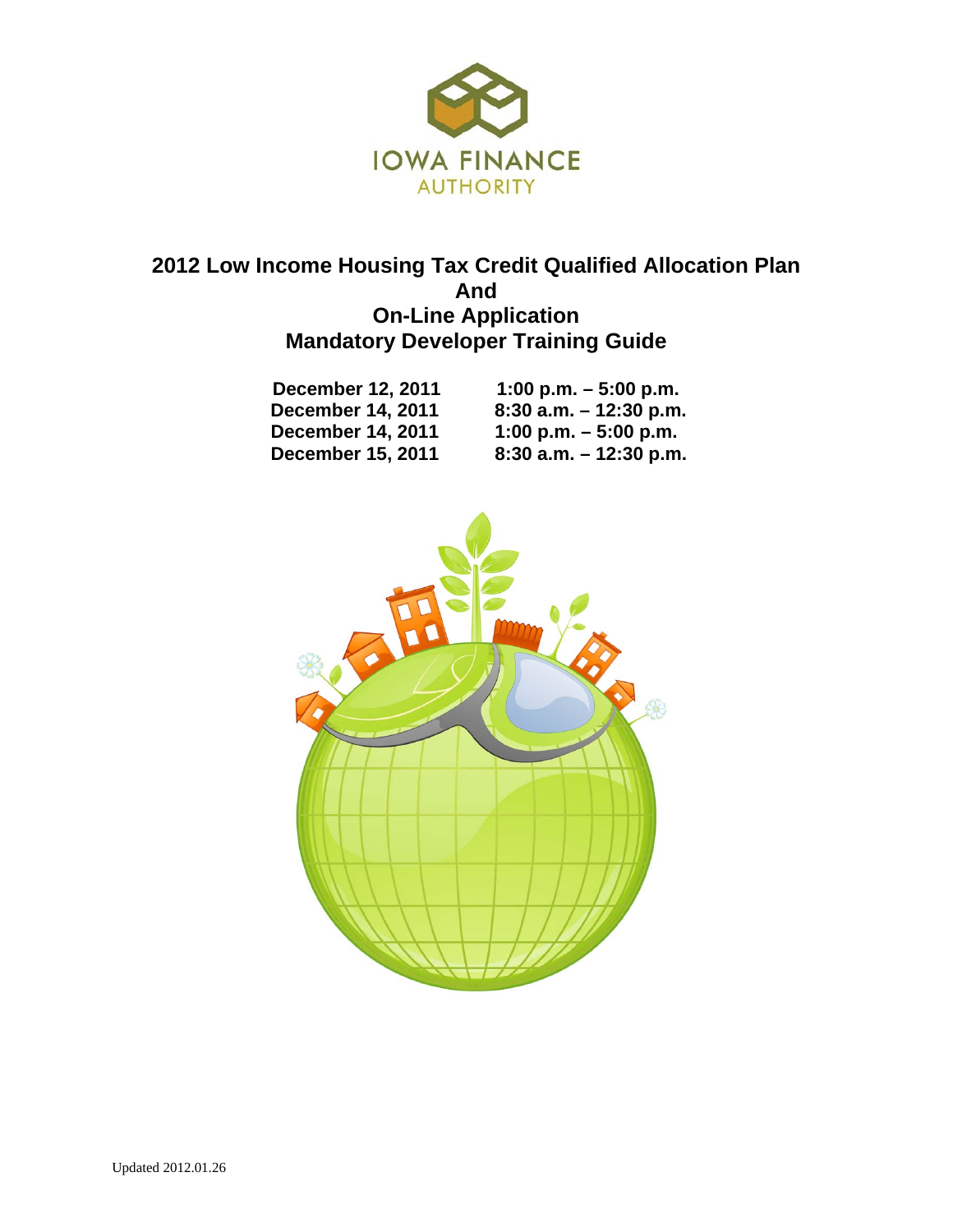

## **2012 Low Income Housing Tax Credit Qualified Allocation Plan And On-Line Application Mandatory Developer Training Guide**

| <b>December 12, 2011</b> | 1:00 p.m. $-5:00$ p.m.    |
|--------------------------|---------------------------|
| <b>December 14, 2011</b> | $8:30$ a.m. $-12:30$ p.m. |
| <b>December 14, 2011</b> | 1:00 p.m. $-5:00$ p.m.    |
| <b>December 15, 2011</b> | $8:30$ a.m. $-12:30$ p.m. |

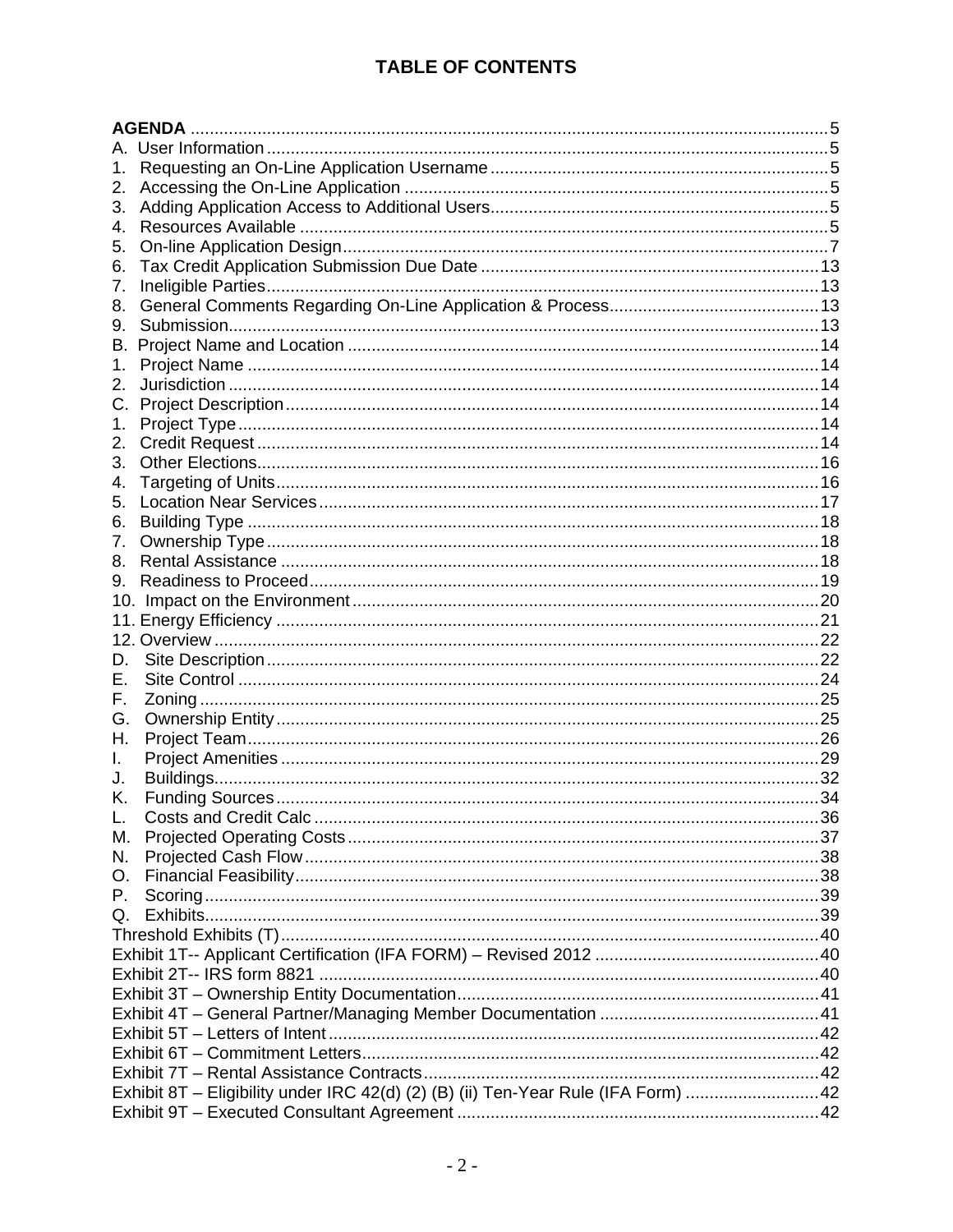## **TABLE OF CONTENTS**

|    | <b>AGENDA</b>                                                                     |  |
|----|-----------------------------------------------------------------------------------|--|
|    |                                                                                   |  |
| 1. |                                                                                   |  |
| 2. |                                                                                   |  |
| 3. |                                                                                   |  |
| 4. |                                                                                   |  |
| 5. |                                                                                   |  |
| 6. |                                                                                   |  |
| 7. |                                                                                   |  |
| 8. |                                                                                   |  |
| 9. |                                                                                   |  |
| В. |                                                                                   |  |
| 1. |                                                                                   |  |
| 2. |                                                                                   |  |
| C. |                                                                                   |  |
|    |                                                                                   |  |
| 1. |                                                                                   |  |
| 2. |                                                                                   |  |
| 3. |                                                                                   |  |
| 4. |                                                                                   |  |
| 5. |                                                                                   |  |
| 6. |                                                                                   |  |
| 7. |                                                                                   |  |
| 8. |                                                                                   |  |
| 9. |                                                                                   |  |
|    |                                                                                   |  |
|    |                                                                                   |  |
|    |                                                                                   |  |
| D. |                                                                                   |  |
| Е. |                                                                                   |  |
| F. |                                                                                   |  |
| G. |                                                                                   |  |
| Н. |                                                                                   |  |
| I. |                                                                                   |  |
| J. |                                                                                   |  |
| Κ. |                                                                                   |  |
| L. |                                                                                   |  |
| М. |                                                                                   |  |
| N. |                                                                                   |  |
| 0. |                                                                                   |  |
| Р. |                                                                                   |  |
| Q. |                                                                                   |  |
|    |                                                                                   |  |
|    |                                                                                   |  |
|    |                                                                                   |  |
|    |                                                                                   |  |
|    |                                                                                   |  |
|    |                                                                                   |  |
|    |                                                                                   |  |
|    |                                                                                   |  |
|    | Exhibit 8T - Eligibility under IRC 42(d) (2) (B) (ii) Ten-Year Rule (IFA Form) 42 |  |
|    |                                                                                   |  |
|    |                                                                                   |  |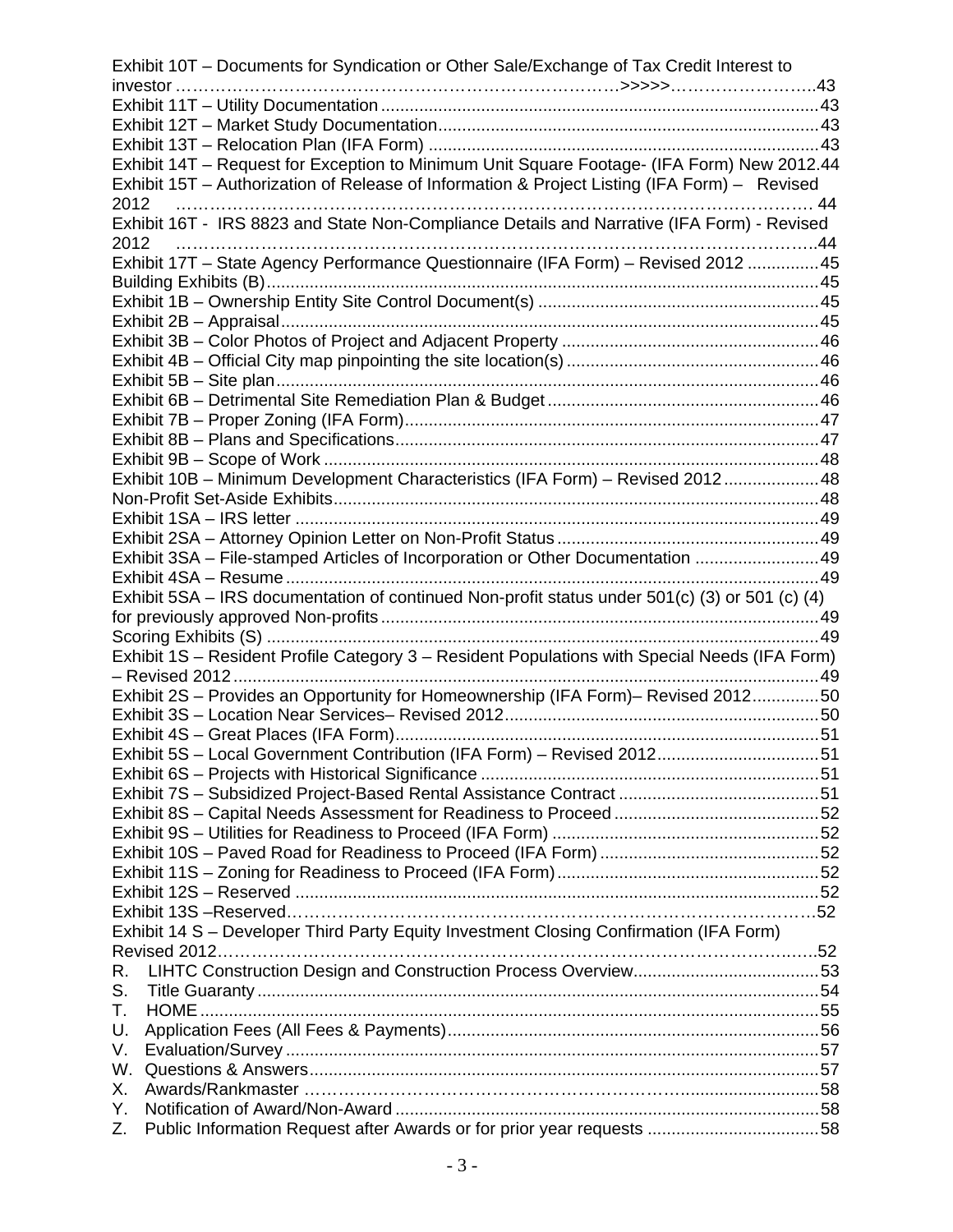| Exhibit 10T – Documents for Syndication or Other Sale/Exchange of Tax Credit Interest to       |  |
|------------------------------------------------------------------------------------------------|--|
|                                                                                                |  |
|                                                                                                |  |
|                                                                                                |  |
|                                                                                                |  |
| Exhibit 14T - Request for Exception to Minimum Unit Square Footage- (IFA Form) New 2012.44     |  |
| Exhibit 15T - Authorization of Release of Information & Project Listing (IFA Form) - Revised   |  |
| 2012                                                                                           |  |
| Exhibit 16T - IRS 8823 and State Non-Compliance Details and Narrative (IFA Form) - Revised     |  |
| 2012                                                                                           |  |
| Exhibit 17T - State Agency Performance Questionnaire (IFA Form) - Revised 2012  45             |  |
|                                                                                                |  |
|                                                                                                |  |
|                                                                                                |  |
|                                                                                                |  |
|                                                                                                |  |
|                                                                                                |  |
|                                                                                                |  |
|                                                                                                |  |
|                                                                                                |  |
|                                                                                                |  |
| Exhibit 10B - Minimum Development Characteristics (IFA Form) - Revised 201248                  |  |
|                                                                                                |  |
|                                                                                                |  |
|                                                                                                |  |
| Exhibit 3SA - File-stamped Articles of Incorporation or Other Documentation  49                |  |
| Exhibit 5SA - IRS documentation of continued Non-profit status under 501(c) (3) or 501 (c) (4) |  |
|                                                                                                |  |
|                                                                                                |  |
| Exhibit 1S - Resident Profile Category 3 - Resident Populations with Special Needs (IFA Form)  |  |
|                                                                                                |  |
| Exhibit 2S - Provides an Opportunity for Homeownership (IFA Form)- Revised 201250              |  |
|                                                                                                |  |
|                                                                                                |  |
| Exhibit 5S - Local Government Contribution (IFA Form) - Revised 201251                         |  |
|                                                                                                |  |
|                                                                                                |  |
|                                                                                                |  |
|                                                                                                |  |
|                                                                                                |  |
|                                                                                                |  |
|                                                                                                |  |
|                                                                                                |  |
| Exhibit 14 S - Developer Third Party Equity Investment Closing Confirmation (IFA Form)         |  |
|                                                                                                |  |
| R.                                                                                             |  |
| S.                                                                                             |  |
| Т.                                                                                             |  |
| U.                                                                                             |  |
| V.                                                                                             |  |
| W.                                                                                             |  |
| Х.                                                                                             |  |
| Υ.                                                                                             |  |
| Public Information Request after Awards or for prior year requests 58<br>Z.                    |  |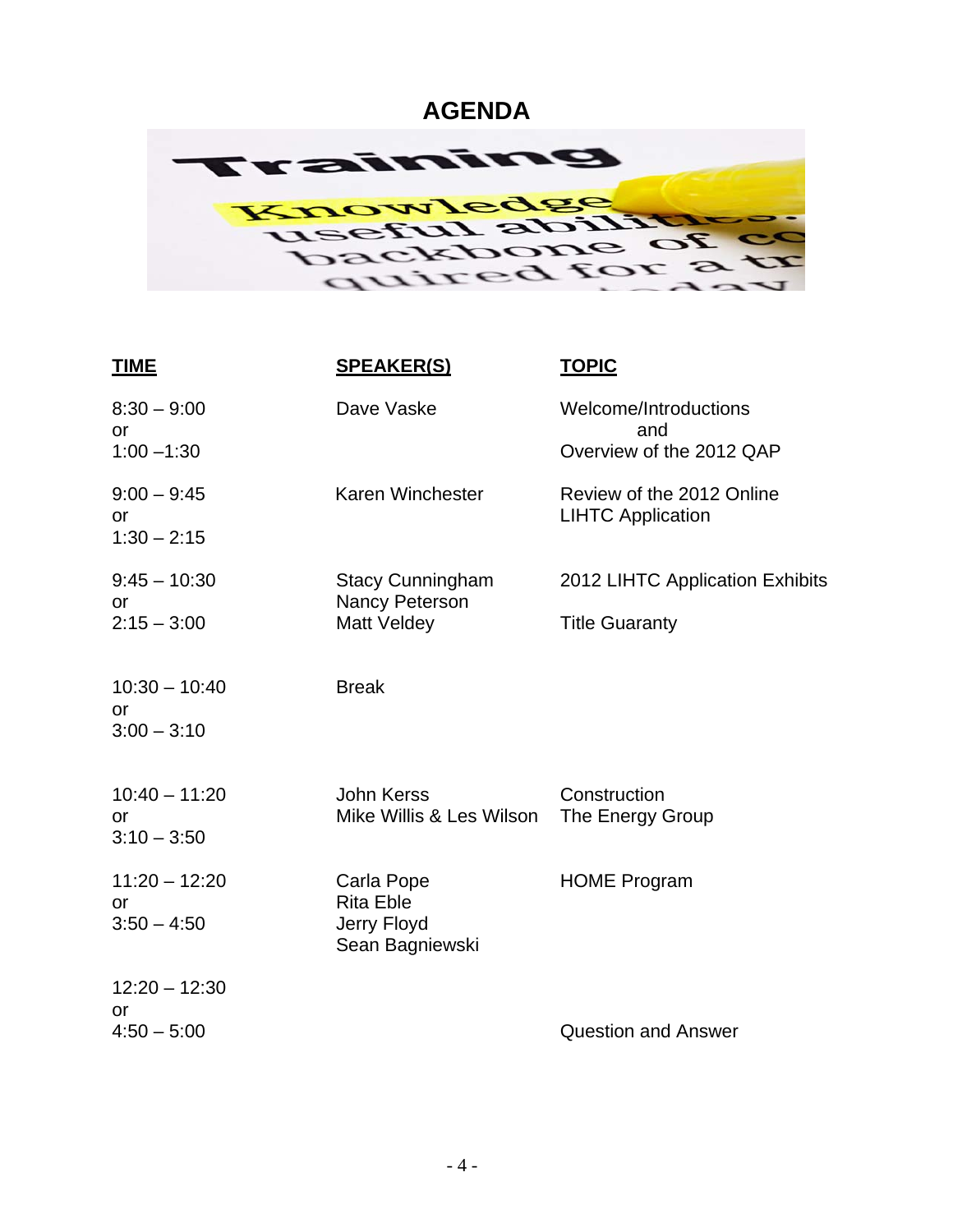## **AGENDA**

<span id="page-3-0"></span>

| <b>TIME</b>                                   | <b>SPEAKER(S)</b>                                                | <b>TOPIC</b>                                          |
|-----------------------------------------------|------------------------------------------------------------------|-------------------------------------------------------|
| $8:30 - 9:00$<br>or                           | Dave Vaske                                                       | Welcome/Introductions<br>and                          |
| $1:00 - 1:30$                                 |                                                                  | Overview of the 2012 QAP                              |
| $9:00 - 9:45$<br><b>or</b><br>$1:30 - 2:15$   | Karen Winchester                                                 | Review of the 2012 Online<br><b>LIHTC Application</b> |
| $9:45 - 10:30$<br>or                          | <b>Stacy Cunningham</b><br>Nancy Peterson                        | 2012 LIHTC Application Exhibits                       |
| $2:15 - 3:00$                                 | <b>Matt Veldey</b>                                               | <b>Title Guaranty</b>                                 |
| $10:30 - 10:40$<br><b>or</b><br>$3:00 - 3:10$ | <b>Break</b>                                                     |                                                       |
| $10:40 - 11:20$<br>or<br>$3:10 - 3:50$        | <b>John Kerss</b><br>Mike Willis & Les Wilson                    | Construction<br>The Energy Group                      |
| $11:20 - 12:20$<br>or<br>$3:50 - 4:50$        | Carla Pope<br><b>Rita Eble</b><br>Jerry Floyd<br>Sean Bagniewski | <b>HOME Program</b>                                   |
| $12:20 - 12:30$<br>or                         |                                                                  |                                                       |
| $4:50 - 5:00$                                 |                                                                  | <b>Question and Answer</b>                            |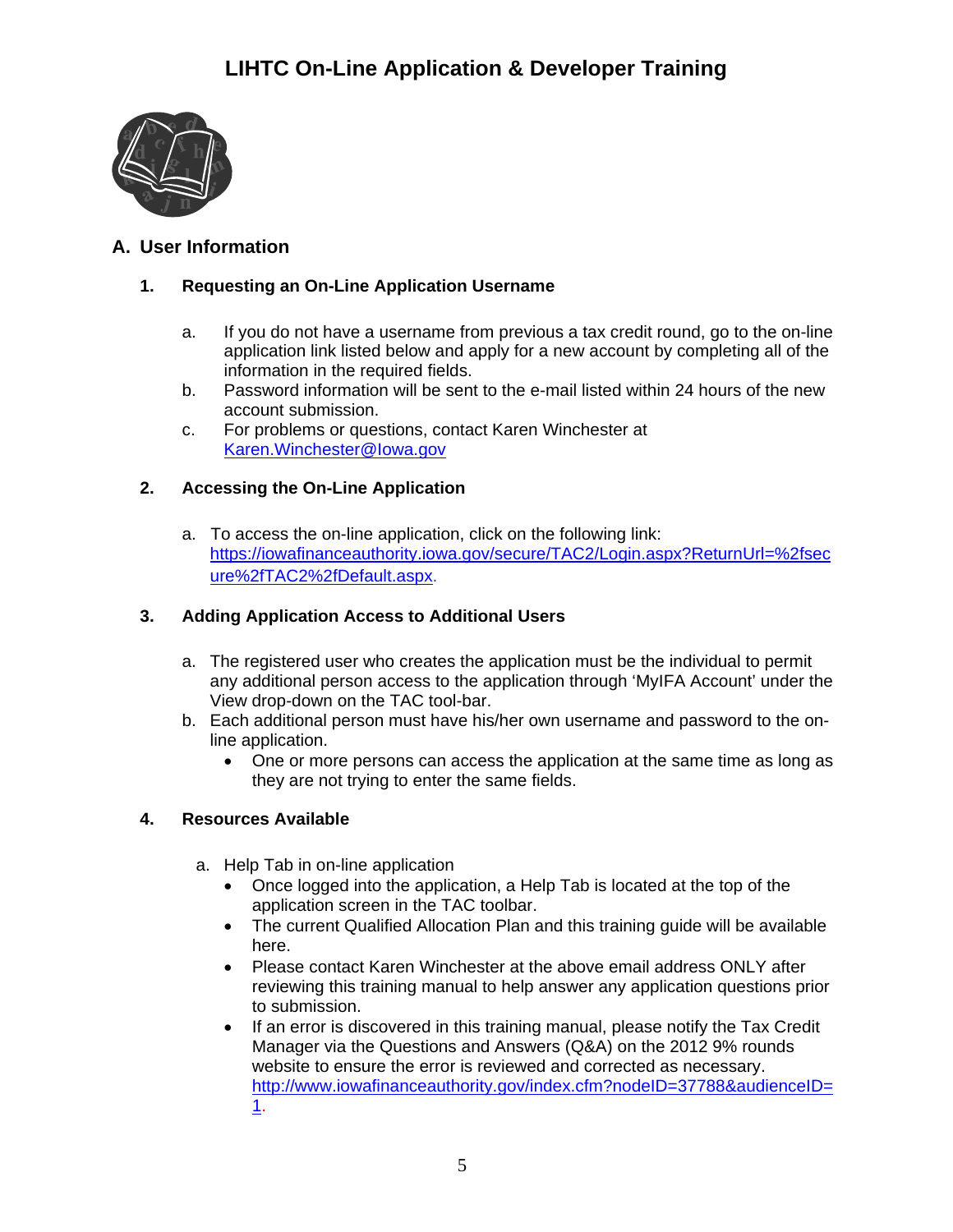

## <span id="page-4-1"></span><span id="page-4-0"></span>**A. User Information**

## **1. Requesting an On-Line Application Username**

- a. If you do not have a username from previous a tax credit round, go to the on-line application link listed below and apply for a new account by completing all of the information in the required fields.
- b. Password information will be sent to the e-mail listed within 24 hours of the new account submission.
- c. For problems or questions, contact Karen Winchester at [Karen.Winchester@Iowa.gov](mailto:Karen.Winchester@Iowa.gov)

## <span id="page-4-2"></span>**2. Accessing the On-Line Application**

a. To access the on-line application, click on the following link: [https://iowafinanceauthority.iowa.gov/secure/TAC2/Login.aspx?ReturnUrl=%2fsec](https://iowafinanceauthority.iowa.gov/secure/TAC2/Login.aspx?ReturnUrl=%2fsecure%2fTAC2%2fDefault.aspx) [ure%2fTAC2%2fDefault.aspx](https://iowafinanceauthority.iowa.gov/secure/TAC2/Login.aspx?ReturnUrl=%2fsecure%2fTAC2%2fDefault.aspx).

## <span id="page-4-3"></span>**3. Adding Application Access to Additional Users**

- a. The registered user who creates the application must be the individual to permit any additional person access to the application through 'MyIFA Account' under the View drop-down on the TAC tool-bar.
- b. Each additional person must have his/her own username and password to the online application.
	- One or more persons can access the application at the same time as long as they are not trying to enter the same fields.

## <span id="page-4-4"></span>**4. Resources Available**

- a. Help Tab in on-line application
	- Once logged into the application, a Help Tab is located at the top of the application screen in the TAC toolbar.
	- The current Qualified Allocation Plan and this training guide will be available here.
	- Please contact Karen Winchester at the above email address ONLY after reviewing this training manual to help answer any application questions prior to submission.
	- If an error is discovered in this training manual, please notify the Tax Credit Manager via the Questions and Answers (Q&A) on the 2012 9% rounds website to ensure the error is reviewed and corrected as necessary. [http://www.iowafinanceauthority.gov/index.cfm?nodeID=37788&audienceID=](http://www.iowafinanceauthority.gov/index.cfm?nodeID=37788&audienceID=1) [1](http://www.iowafinanceauthority.gov/index.cfm?nodeID=37788&audienceID=1).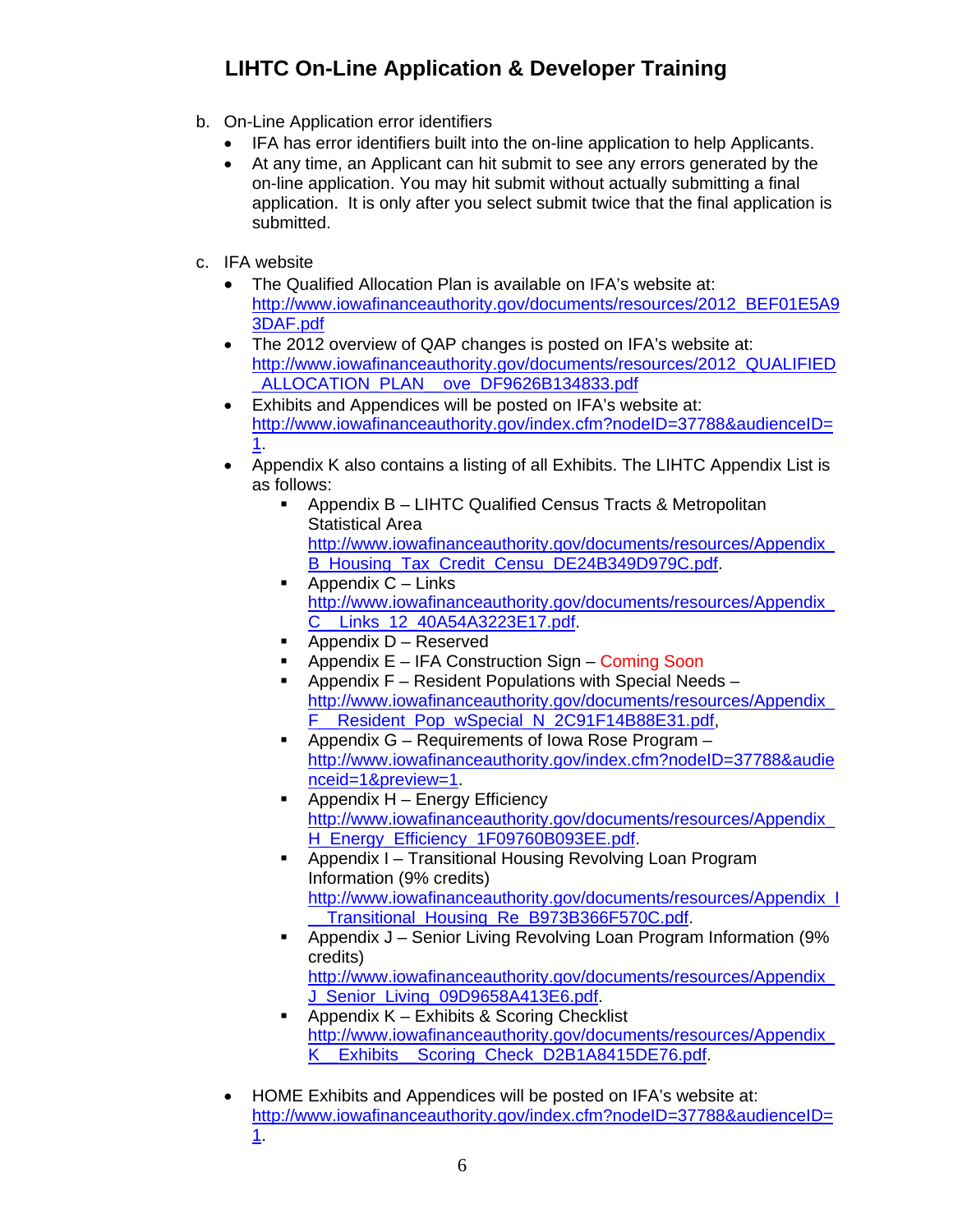- b. On-Line Application error identifiers
	- IFA has error identifiers built into the on-line application to help Applicants.
	- e At any time, an Applicant can hit submit to see any errors generated by th application. It is only after you select submit twice that the final application is submitted. on-line application. You may hit submit without actually submitting a final
- c. IFA website
	- [http://www](http://www.iowafinanceauthority.gov/documents/resources/2012_BEF01E5A93DAF.pdf).iowafinanceauthority.gov/documents/resources/2012\_BEF01E5A9 • The Qualified Allocation Plan is available on IFA's website at: 3DAF.pdf
	- The 2012 overview of QAP changes is posted on IFA's website at: [http://www.iowafinanceauthority.gov/documents/resou](http://www.iowafinanceauthority.gov/documents/resources/2012_QUALIFIED_ALLOCATION_PLAN__ove_DF9626B134833.pdf)rces/2012\_QUALIFIED ALLOCATION\_PLAN\_ove\_DF9626B134833.pdf
	- Exhibits and Appendices will be posted on IFA's website at: [http](http://www.iowafinanceauthority.gov/index.cfm?nodeID=37788&audienceID=1)://www.iowafinanceauthority.gov/index.cfm?nodeID=37788&audienceID= 1.
	- Appendix K also contains a listing of all Exhibits. The LIHTC Appendix List is as follows:
		- **Appendix B LIHTC Qualified Census Tracts & Metropolitan** [http://www.iowafinanceauthority.gov/documents/resourc](http://www.iowafinanceauthority.gov/documents/resources/Appendix_B_Housing_Tax_Credit_Censu_DE24B349D979C.pdf)es/Appendix Statistical Area B\_Housing\_Tax\_Credit\_Censu\_DE24B349D979C.pdf.
		- **Appendix C** Links [http://www.iowafinanceauthority.gov/d](http://www.iowafinanceauthority.gov/documents/resources/Appendix_C__Links_12_40A54A3223E17.pdf)ocuments/resources/Appendix C\_\_Links\_12\_40A54A3223E17.pdf.
		- Appendix D Reserved
		- Appendix E IFA Construction Sign Coming Soon
		- [http://www.iowafinanceauthority.gov/documents/resourc](http://www.iowafinanceauthority.gov/documents/resources/Appendix_F__Resident_Pop_wSpecial_N_2C91F14B88E31.pdf)es/Appendix Appendix F – Resident Populations with Special Needs – F\_\_Resident\_Pop\_wSpecial\_N\_2C91F14B88E31.pdf,
		- **Appendix G Requirements of Iowa Rose Program** http://www.iowafinanceauthority.gov/index.cfm?nodeID=37788&audie nceid=1&preview=1[.](http://www.iowafinanceauthority.gov/documents/resources/Appendix_H_Energy_Efficiency_1F09760B093EE.pdf)
		- **-** Appendix H Energy Efficiency http://www.iowafinanceauthority.gov/documents/resources/Appendix\_ H\_Energy\_Efficiency\_1F09760B093EE.pdf.
		- Appendix I Transitional Housing Revolving Loan Program [http://www.iowafinanceauthority.gov/documents/reso](http://www.iowafinanceauthority.gov/documents/resources/Appendix_I__Transitional_Housing_Re_B973B366F570C.pdf)urces/Appendix\_I Information (9% credits) Transitional Housing Re B973B366F570C.pdf.
		- Appendix J Senior Living Revolving Loan Program Information (9% credits)
			- [http://www.iowafinanceauthority.gov/doc](http://www.iowafinanceauthority.gov/documents/resources/Appendix_J_Senior_Living_09D9658A413E6.pdf)uments/resources/Appendix J\_Senior\_Living\_09D9658A413E6.pdf. Appendix K – Exhibits & Scoring Checklist
		- $\blacksquare$ [http://www.iowafinanceauthority.gov/documents/resour](http://www.iowafinanceauthority.gov/documents/resources/Appendix_K__Exhibits__Scoring_Check_D2B1A8415DE76.pdf)ces/Appendix K\_\_Exhibits\_\_Scoring\_Check\_D2B1A8415DE76.pdf.
	- $\bullet$ [http](http://www.iowafinanceauthority.gov/index.cfm?nodeID=37788&audienceID=1)://www.iowafinanceauthority.gov/index.cfm?nodeID=37788&audienceID= HOME Exhibits and Appendices will be posted on IFA's website at: 1.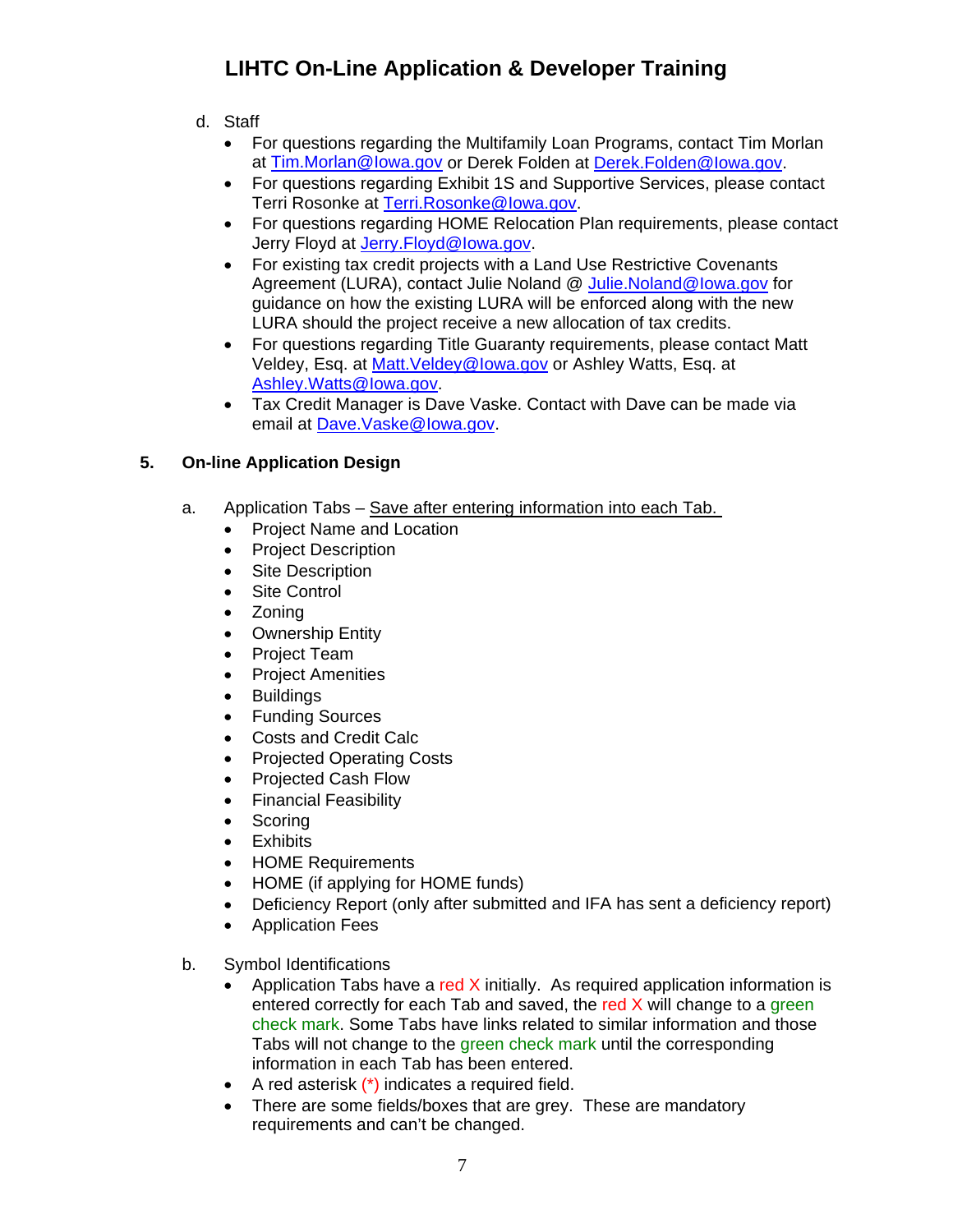- d. Staff
	- For questions regarding the Multifamily Loan Programs, contact Tim Morlan at [Tim.Morlan@Iowa.gov or Derek Folden at Derek.Folden@Iowa.gov.](mailto:Terri.Rosonke@Iowa.gov)
	- For questions regarding Exhibit 1S and Supportive Services, please contact Terri Rosonke at [Terri.Rosonke@Iowa.gov.](mailto:Jerry.Floyd@Iowa.gov)
	- For questions regarding HOME Relocation Plan requirements, please contact Jerry Floyd at Jerry. Floyd@Iowa.gov.
	- For existing tax credit projects with a Land Use Restrictive Covenants Agreement (LURA), contact Julie Noland @ [Julie.Noland@Iowa.gov](mailto:Julie.Noland@Iowa.gov) for guidance on how the existing LURA will be enforced along with the new LURA should the project receive a new allocation of tax credits.
	- For questions regarding Title Guaranty requirements, please contact Matt Veldey, Esq. at **Matt.Veldey@lowa.gov** or Ashley Watts, Esq. at Ashley.Watts@Iowa.go[v.](mailto:Dave.Vaske@Iowa.gov)
	- [Tax Credit Manager is Dave Vask](mailto:Dave.Vaske@Iowa.gov)e. Contact with Dave can be made via email at Dave.Vaske@Iowa.gov.

## <span id="page-6-0"></span>**5. On-line Application Design**

- a. Application Tabs Save after entering information into each Tab.
	- Project Name and Location
	- Project Description
	- Site Description
	- Site Control
	- Zoning
	- Ownership Entity
	- Project Team
	- Project Amenities
	- Buildings
	- Funding Sources
	- Costs and Credit Calc
	- Projected Operating Costs
	- Projected Cash Flow
	- Financial Feasibility
	- Scoring
	- **•** Exhibits
	- HOME Requirements
	- HOME (if applying for HOME funds)
	- Deficiency Report (only after submitted and IFA has sent a deficiency report)
	- Application Fees  $\bullet$
- b. Symbol Identifications
	- Application Tabs have a red  $X$  initially. As required application information is check mark. Some Tabs have links related to similar information and those Tabs will not change to the green check mark until the corresponding entered correctly for each Tab and saved, the red  $X$  will change to a green information in each Tab has been entered.
	- A red asterisk (\*) indicates a required field.
	- There are some fields/boxes that are grey. These are mandatory requirements and can't be changed.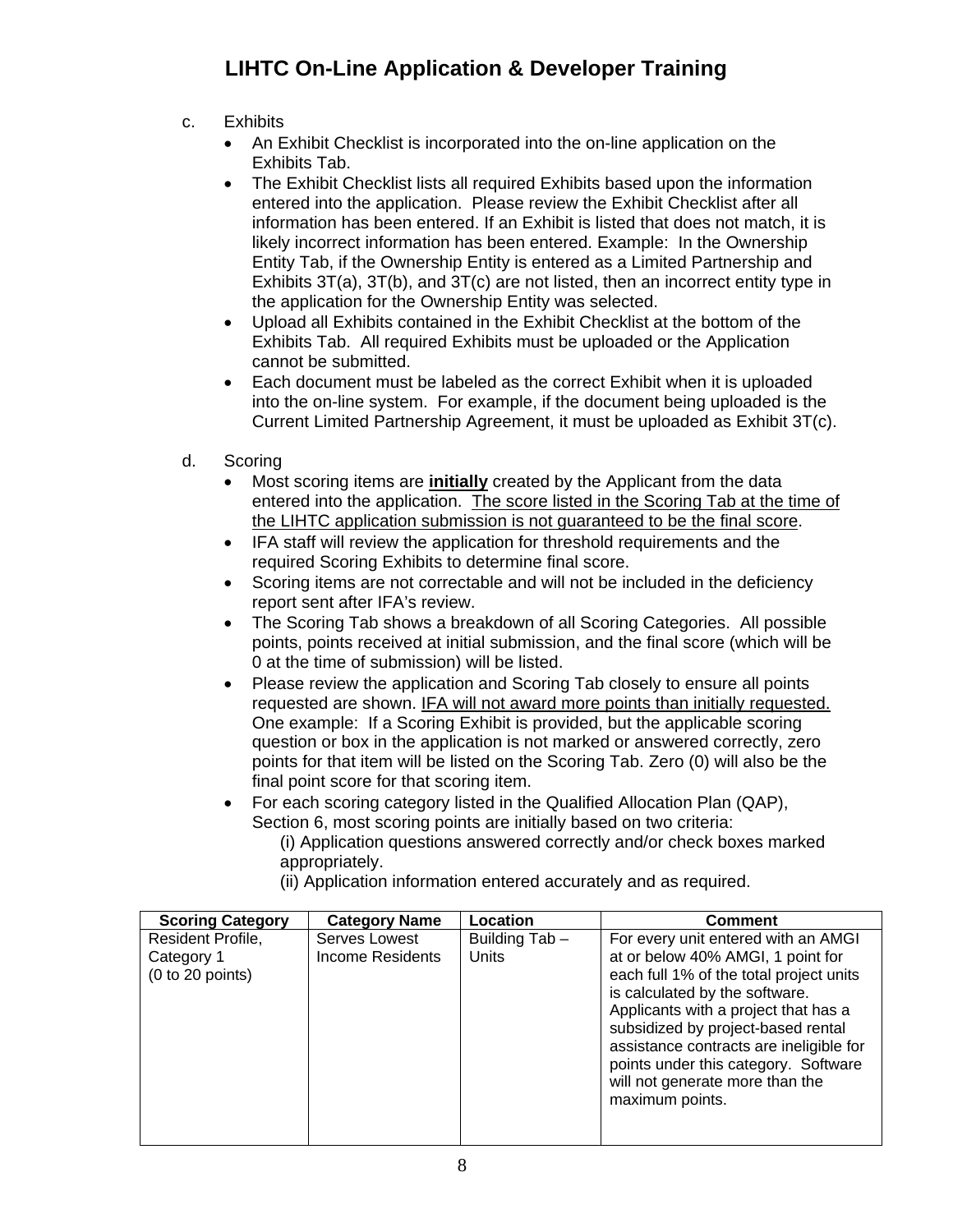- c. Exhibits
	- An Exhibit Checklist is incorporated into the on-line application on the Exhibits Tab.
	- information has been entered. If an Exhibit is listed that does not match, it is Exhibits  $3T(a)$ ,  $3T(b)$ , and  $3T(c)$  are not listed, then an incorrect entity type in The Exhibit Checklist lists all required Exhibits based upon the information entered into the application. Please review the Exhibit Checklist after all likely incorrect information has been entered. Example: In the Ownership Entity Tab, if the Ownership Entity is entered as a Limited Partnership and the application for the Ownership Entity was selected.
	- Exhibits Tab. All required Exhibits must be uploaded or the Application Upload all Exhibits contained in the Exhibit Checklist at the bottom of the cannot be submitted.
	- Current Limited Partnership Agreement, it must be uploaded as Exhibit 3T(c). Each document must be labeled as the correct Exhibit when it is uploaded into the on-line system. For example, if the document being uploaded is the
- d. Scoring
	- Most scoring items are **initially** created by the Applicant from the data entered into the application. The score listed in the Scoring Tab at the time of the LIHTC application submission is not guaranteed to be the final score.
	- IFA staff will review the application for threshold requirements and the required Scoring Exhibits to determine final score.
	- Scoring items are not correctable and will not be included in the deficiency report sent after IFA's review.
	- points, points received at initial submission, and the final score (which will be The Scoring Tab shows a breakdown of all Scoring Categories. All possible 0 at the time of submission) will be listed.
	- Please review the application and Scoring Tab closely to ensure all points requested are shown. IFA will not award more points than initially requested. points for that item will be listed on the Scoring Tab. Zero (0) will also be the One example: If a Scoring Exhibit is provided, but the applicable scoring question or box in the application is not marked or answered correctly, zero final point score for that scoring item.
	- For each scoring category listed in the Qualified Allocation Plan (QAP), Sec tion 6, most scoring points are initially based on two criteria:
		- (i) Application questions answered correctly and/or check boxes marked appropriately.
			- i) Application information entered accurately and as required. (i

| <b>Scoring Category</b>                             | <b>Category Name</b>                     | Location                       | <b>Comment</b>                                                                                                                                                                                                                                                                                                                                            |
|-----------------------------------------------------|------------------------------------------|--------------------------------|-----------------------------------------------------------------------------------------------------------------------------------------------------------------------------------------------------------------------------------------------------------------------------------------------------------------------------------------------------------|
| Resident Profile,<br>Category 1<br>(0 to 20 points) | Serves Lowest<br><b>Income Residents</b> | Building Tab -<br><b>Units</b> | For every unit entered with an AMGI<br>at or below 40% AMGI, 1 point for<br>each full 1% of the total project units<br>is calculated by the software.<br>Applicants with a project that has a<br>subsidized by project-based rental<br>assistance contracts are ineligible for<br>points under this category. Software<br>will not generate more than the |
|                                                     |                                          |                                | maximum points.                                                                                                                                                                                                                                                                                                                                           |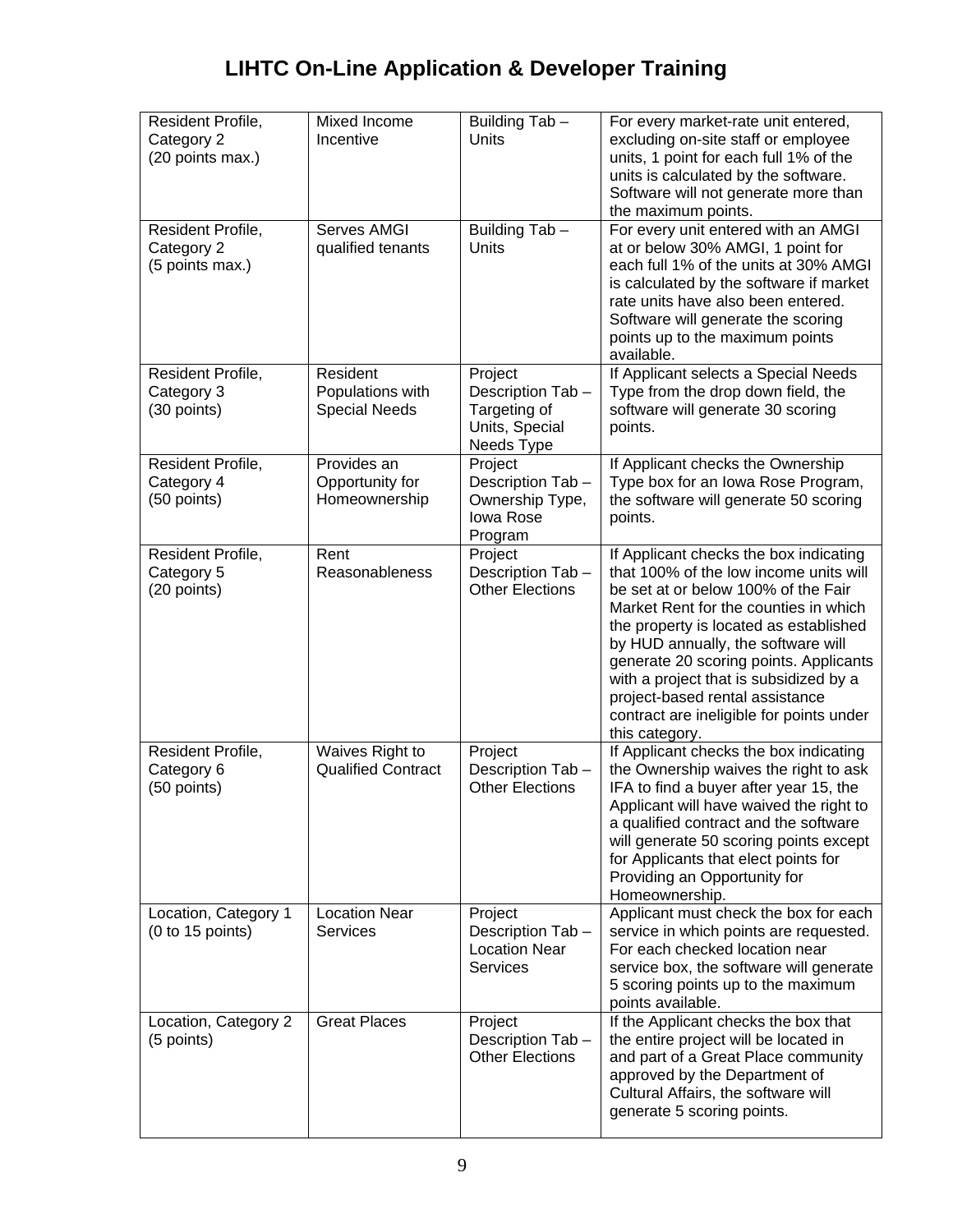| Resident Profile,<br>Category 2<br>(20 points max.) | Mixed Income<br>Incentive                            | Building Tab -<br>Units                                                       | For every market-rate unit entered,<br>excluding on-site staff or employee<br>units, 1 point for each full 1% of the<br>units is calculated by the software.<br>Software will not generate more than<br>the maximum points.                                                                                                                                                                                                           |
|-----------------------------------------------------|------------------------------------------------------|-------------------------------------------------------------------------------|---------------------------------------------------------------------------------------------------------------------------------------------------------------------------------------------------------------------------------------------------------------------------------------------------------------------------------------------------------------------------------------------------------------------------------------|
| Resident Profile,<br>Category 2<br>(5 points max.)  | Serves AMGI<br>qualified tenants                     | Building Tab-<br>Units                                                        | For every unit entered with an AMGI<br>at or below 30% AMGI, 1 point for<br>each full 1% of the units at 30% AMGI<br>is calculated by the software if market<br>rate units have also been entered.<br>Software will generate the scoring<br>points up to the maximum points<br>available.                                                                                                                                             |
| Resident Profile,<br>Category 3<br>(30 points)      | Resident<br>Populations with<br><b>Special Needs</b> | Project<br>Description Tab-<br>Targeting of<br>Units, Special<br>Needs Type   | If Applicant selects a Special Needs<br>Type from the drop down field, the<br>software will generate 30 scoring<br>points.                                                                                                                                                                                                                                                                                                            |
| Resident Profile,<br>Category 4<br>(50 points)      | Provides an<br>Opportunity for<br>Homeownership      | Project<br>Description Tab-<br>Ownership Type,<br><b>Iowa Rose</b><br>Program | If Applicant checks the Ownership<br>Type box for an Iowa Rose Program,<br>the software will generate 50 scoring<br>points.                                                                                                                                                                                                                                                                                                           |
| Resident Profile,<br>Category 5<br>(20 points)      | Rent<br>Reasonableness                               | Project<br>Description Tab-<br><b>Other Elections</b>                         | If Applicant checks the box indicating<br>that 100% of the low income units will<br>be set at or below 100% of the Fair<br>Market Rent for the counties in which<br>the property is located as established<br>by HUD annually, the software will<br>generate 20 scoring points. Applicants<br>with a project that is subsidized by a<br>project-based rental assistance<br>contract are ineligible for points under<br>this category. |
| Resident Profile,<br>Category 6<br>(50 points)      | Waives Right to<br><b>Qualified Contract</b>         | Project<br>Description Tab -<br><b>Other Elections</b>                        | If Applicant checks the box indicating<br>the Ownership waives the right to ask<br>IFA to find a buyer after year 15, the<br>Applicant will have waived the right to<br>a qualified contract and the software<br>will generate 50 scoring points except<br>for Applicants that elect points for<br>Providing an Opportunity for<br>Homeownership.                                                                                     |
| Location, Category 1<br>(0 to 15 points)            | <b>Location Near</b><br><b>Services</b>              | Project<br>Description Tab-<br><b>Location Near</b><br><b>Services</b>        | Applicant must check the box for each<br>service in which points are requested.<br>For each checked location near<br>service box, the software will generate<br>5 scoring points up to the maximum<br>points available.                                                                                                                                                                                                               |
| Location, Category 2<br>(5 points)                  | <b>Great Places</b>                                  | Project<br>Description Tab -<br><b>Other Elections</b>                        | If the Applicant checks the box that<br>the entire project will be located in<br>and part of a Great Place community<br>approved by the Department of<br>Cultural Affairs, the software will<br>generate 5 scoring points.                                                                                                                                                                                                            |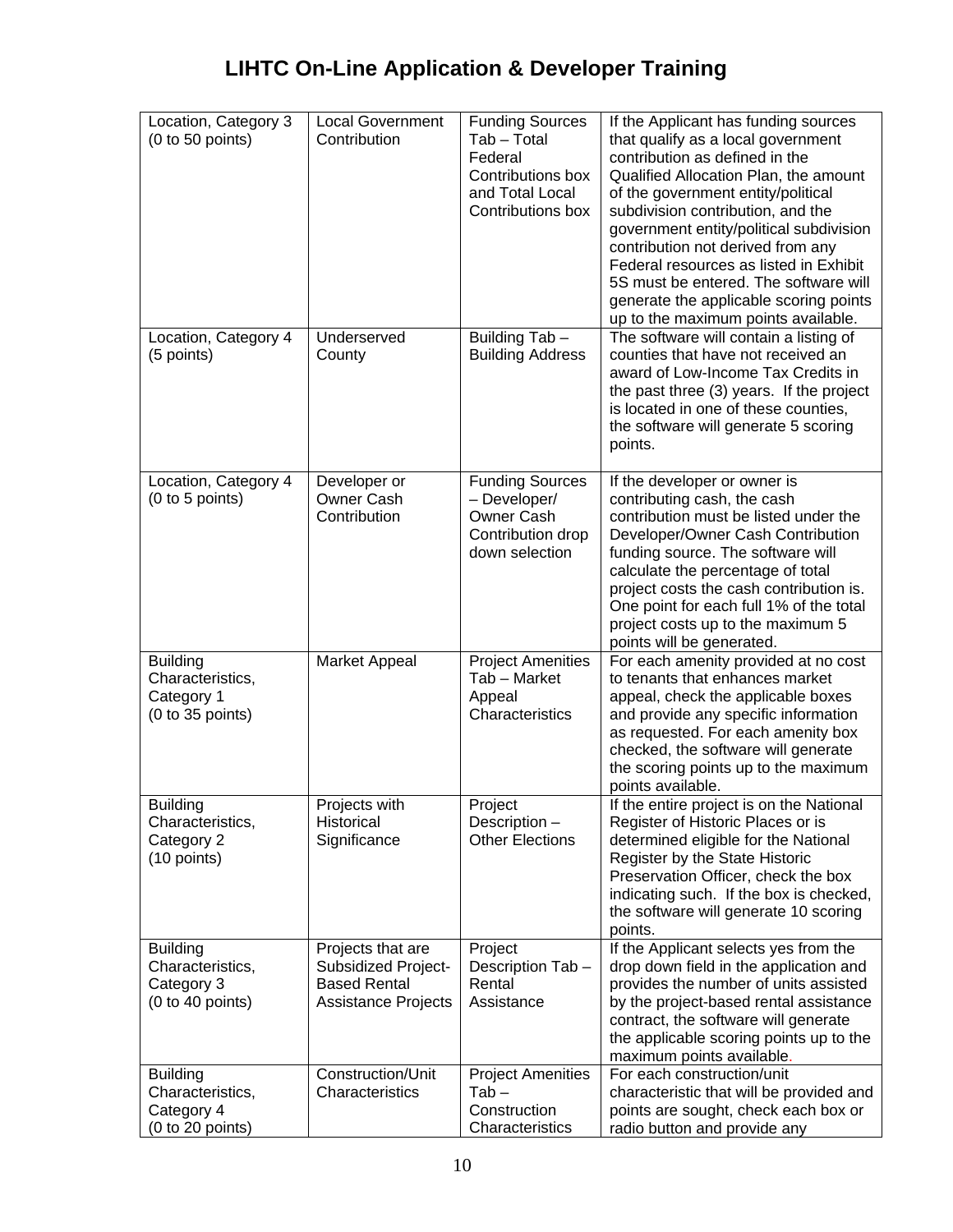| Location, Category 3<br>(0 to 50 points)                              | <b>Local Government</b><br>Contribution                                                       | <b>Funding Sources</b><br>Tab - Total<br>Federal<br>Contributions box<br>and Total Local<br>Contributions box | If the Applicant has funding sources<br>that qualify as a local government<br>contribution as defined in the<br>Qualified Allocation Plan, the amount<br>of the government entity/political<br>subdivision contribution, and the<br>government entity/political subdivision<br>contribution not derived from any<br>Federal resources as listed in Exhibit<br>5S must be entered. The software will<br>generate the applicable scoring points<br>up to the maximum points available. |
|-----------------------------------------------------------------------|-----------------------------------------------------------------------------------------------|---------------------------------------------------------------------------------------------------------------|--------------------------------------------------------------------------------------------------------------------------------------------------------------------------------------------------------------------------------------------------------------------------------------------------------------------------------------------------------------------------------------------------------------------------------------------------------------------------------------|
| Location, Category 4<br>(5 points)                                    | Underserved<br>County                                                                         | Building Tab -<br><b>Building Address</b>                                                                     | The software will contain a listing of<br>counties that have not received an<br>award of Low-Income Tax Credits in<br>the past three (3) years. If the project<br>is located in one of these counties,<br>the software will generate 5 scoring<br>points.                                                                                                                                                                                                                            |
| Location, Category 4<br>(0 to 5 points)                               | Developer or<br>Owner Cash<br>Contribution                                                    | <b>Funding Sources</b><br>- Developer/<br>Owner Cash<br>Contribution drop<br>down selection                   | If the developer or owner is<br>contributing cash, the cash<br>contribution must be listed under the<br>Developer/Owner Cash Contribution<br>funding source. The software will<br>calculate the percentage of total<br>project costs the cash contribution is.<br>One point for each full 1% of the total<br>project costs up to the maximum 5<br>points will be generated.                                                                                                          |
| <b>Building</b><br>Characteristics,<br>Category 1<br>(0 to 35 points) | Market Appeal                                                                                 | <b>Project Amenities</b><br>Tab - Market<br>Appeal<br>Characteristics                                         | For each amenity provided at no cost<br>to tenants that enhances market<br>appeal, check the applicable boxes<br>and provide any specific information<br>as requested. For each amenity box<br>checked, the software will generate<br>the scoring points up to the maximum<br>points available.                                                                                                                                                                                      |
| <b>Building</b><br>Characteristics,<br>Category 2<br>(10 points)      | Projects with<br>Historical<br>Significance                                                   | Project<br>Description -<br><b>Other Elections</b>                                                            | If the entire project is on the National<br>Register of Historic Places or is<br>determined eligible for the National<br>Register by the State Historic<br>Preservation Officer, check the box<br>indicating such. If the box is checked,<br>the software will generate 10 scoring<br>points.                                                                                                                                                                                        |
| <b>Building</b><br>Characteristics,<br>Category 3<br>(0 to 40 points) | Projects that are<br>Subsidized Project-<br><b>Based Rental</b><br><b>Assistance Projects</b> | Project<br>Description Tab-<br>Rental<br>Assistance                                                           | If the Applicant selects yes from the<br>drop down field in the application and<br>provides the number of units assisted<br>by the project-based rental assistance<br>contract, the software will generate<br>the applicable scoring points up to the<br>maximum points available.                                                                                                                                                                                                   |
| <b>Building</b><br>Characteristics,<br>Category 4<br>(0 to 20 points) | Construction/Unit<br>Characteristics                                                          | <b>Project Amenities</b><br>$Tab -$<br>Construction<br>Characteristics                                        | For each construction/unit<br>characteristic that will be provided and<br>points are sought, check each box or<br>radio button and provide any                                                                                                                                                                                                                                                                                                                                       |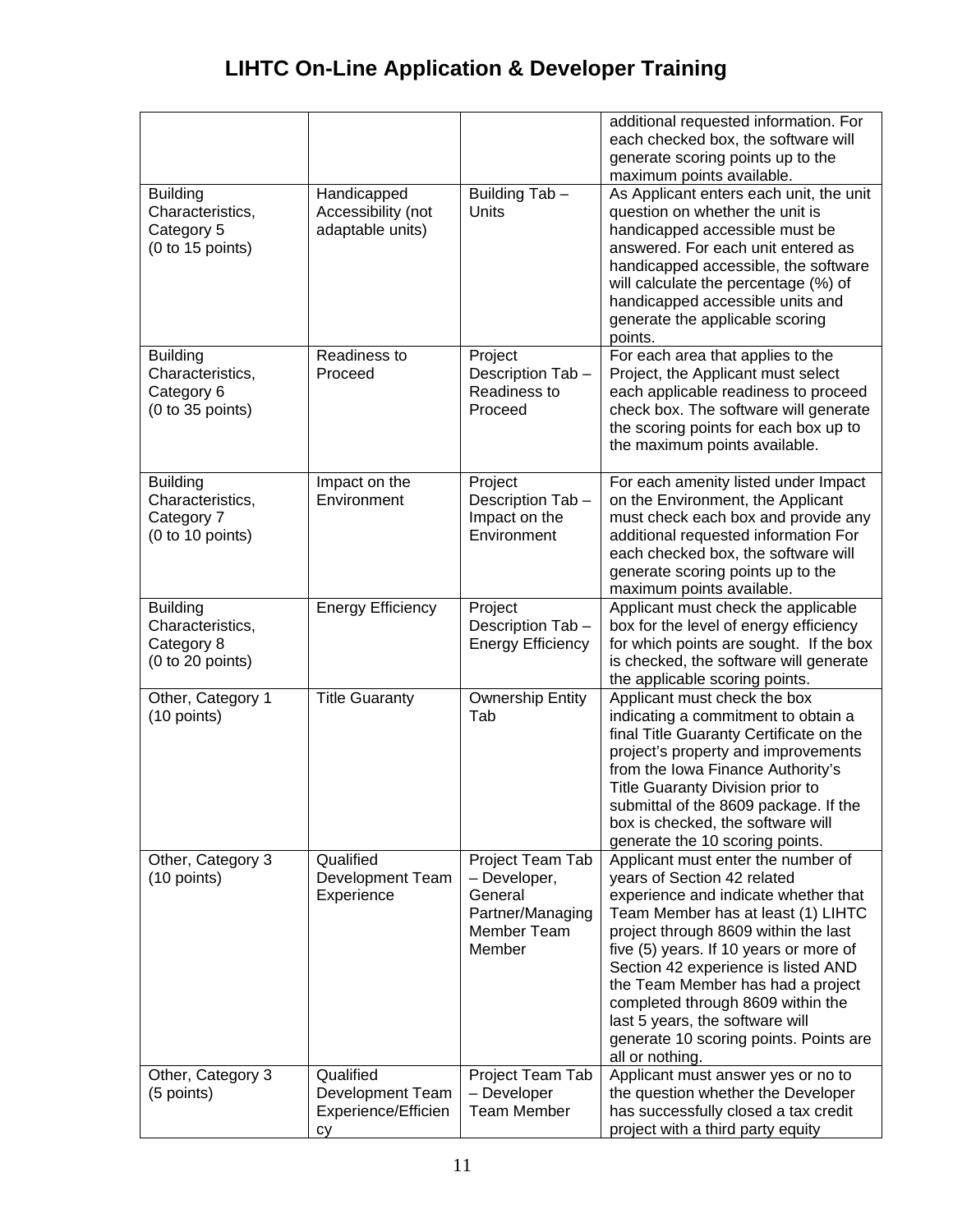|                   |                          |                          | additional requested information. For<br>each checked box, the software will<br>generate scoring points up to the<br>maximum points available. |
|-------------------|--------------------------|--------------------------|------------------------------------------------------------------------------------------------------------------------------------------------|
| <b>Building</b>   | Handicapped              | Building Tab -           | As Applicant enters each unit, the unit                                                                                                        |
| Characteristics,  | Accessibility (not       | Units                    | question on whether the unit is                                                                                                                |
| Category 5        | adaptable units)         |                          | handicapped accessible must be                                                                                                                 |
| (0 to 15 points)  |                          |                          | answered. For each unit entered as                                                                                                             |
|                   |                          |                          | handicapped accessible, the software                                                                                                           |
|                   |                          |                          | will calculate the percentage (%) of                                                                                                           |
|                   |                          |                          | handicapped accessible units and                                                                                                               |
|                   |                          |                          | generate the applicable scoring                                                                                                                |
|                   |                          |                          | points.                                                                                                                                        |
| <b>Building</b>   | Readiness to             | Project                  | For each area that applies to the                                                                                                              |
| Characteristics,  | Proceed                  | Description Tab-         | Project, the Applicant must select                                                                                                             |
| Category 6        |                          | Readiness to             | each applicable readiness to proceed                                                                                                           |
| (0 to 35 points)  |                          | Proceed                  | check box. The software will generate                                                                                                          |
|                   |                          |                          | the scoring points for each box up to                                                                                                          |
|                   |                          |                          | the maximum points available.                                                                                                                  |
|                   |                          |                          |                                                                                                                                                |
| <b>Building</b>   | Impact on the            | Project                  | For each amenity listed under Impact                                                                                                           |
| Characteristics,  | Environment              | Description Tab-         | on the Environment, the Applicant                                                                                                              |
| Category 7        |                          | Impact on the            | must check each box and provide any                                                                                                            |
| (0 to 10 points)  |                          | Environment              | additional requested information For                                                                                                           |
|                   |                          |                          | each checked box, the software will                                                                                                            |
|                   |                          |                          | generate scoring points up to the                                                                                                              |
|                   |                          |                          | maximum points available.                                                                                                                      |
| <b>Building</b>   | <b>Energy Efficiency</b> | Project                  | Applicant must check the applicable                                                                                                            |
| Characteristics,  |                          | Description Tab -        | box for the level of energy efficiency                                                                                                         |
| Category 8        |                          | <b>Energy Efficiency</b> | for which points are sought. If the box                                                                                                        |
| (0 to 20 points)  |                          |                          | is checked, the software will generate                                                                                                         |
|                   |                          |                          | the applicable scoring points.                                                                                                                 |
| Other, Category 1 | <b>Title Guaranty</b>    | <b>Ownership Entity</b>  | Applicant must check the box                                                                                                                   |
| (10 points)       |                          | Tab                      | indicating a commitment to obtain a                                                                                                            |
|                   |                          |                          | final Title Guaranty Certificate on the                                                                                                        |
|                   |                          |                          | project's property and improvements                                                                                                            |
|                   |                          |                          | from the Iowa Finance Authority's                                                                                                              |
|                   |                          |                          | Title Guaranty Division prior to                                                                                                               |
|                   |                          |                          | submittal of the 8609 package. If the                                                                                                          |
|                   |                          |                          | box is checked, the software will                                                                                                              |
|                   |                          |                          | generate the 10 scoring points.                                                                                                                |
| Other, Category 3 | Qualified                | Project Team Tab         | Applicant must enter the number of                                                                                                             |
| (10 points)       | <b>Development Team</b>  | - Developer,             | years of Section 42 related                                                                                                                    |
|                   | Experience               | General                  | experience and indicate whether that                                                                                                           |
|                   |                          | Partner/Managing         | Team Member has at least (1) LIHTC                                                                                                             |
|                   |                          | Member Team              | project through 8609 within the last                                                                                                           |
|                   |                          | Member                   | five (5) years. If 10 years or more of                                                                                                         |
|                   |                          |                          | Section 42 experience is listed AND                                                                                                            |
|                   |                          |                          | the Team Member has had a project                                                                                                              |
|                   |                          |                          | completed through 8609 within the                                                                                                              |
|                   |                          |                          | last 5 years, the software will                                                                                                                |
|                   |                          |                          | generate 10 scoring points. Points are                                                                                                         |
| Other, Category 3 | Qualified                | Project Team Tab         | all or nothing.<br>Applicant must answer yes or no to                                                                                          |
| (5 points)        | Development Team         | - Developer              | the question whether the Developer                                                                                                             |
|                   | Experience/Efficien      | <b>Team Member</b>       | has successfully closed a tax credit                                                                                                           |
|                   | cy                       |                          | project with a third party equity                                                                                                              |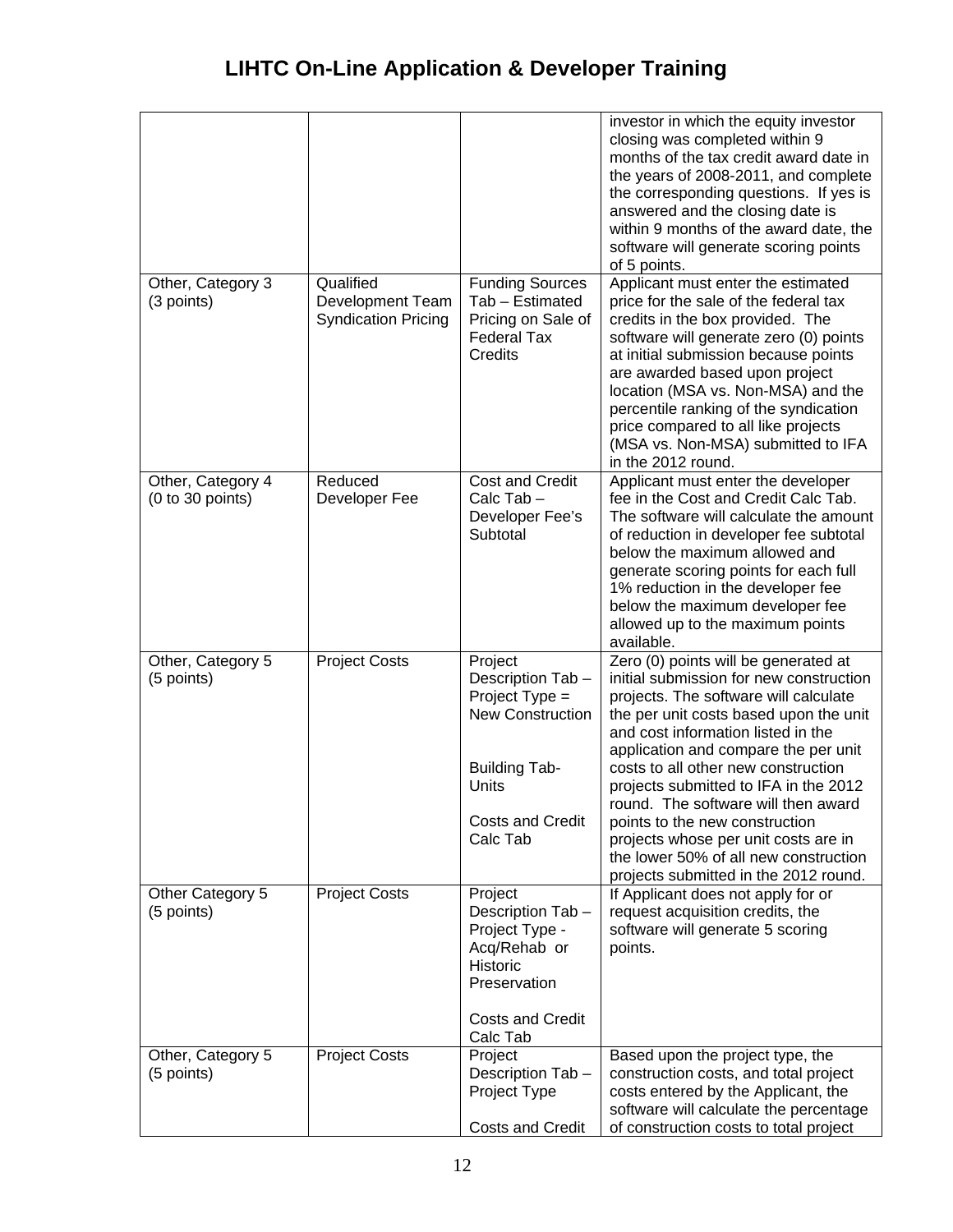<span id="page-11-3"></span><span id="page-11-2"></span><span id="page-11-1"></span><span id="page-11-0"></span>

|                                       |                                                                    |                                                                                                                                                    | investor in which the equity investor<br>closing was completed within 9<br>months of the tax credit award date in<br>the years of 2008-2011, and complete<br>the corresponding questions. If yes is<br>answered and the closing date is<br>within 9 months of the award date, the<br>software will generate scoring points<br>of 5 points.                                                                                                                                                                                          |
|---------------------------------------|--------------------------------------------------------------------|----------------------------------------------------------------------------------------------------------------------------------------------------|-------------------------------------------------------------------------------------------------------------------------------------------------------------------------------------------------------------------------------------------------------------------------------------------------------------------------------------------------------------------------------------------------------------------------------------------------------------------------------------------------------------------------------------|
| Other, Category 3<br>(3 points)       | Qualified<br><b>Development Team</b><br><b>Syndication Pricing</b> | <b>Funding Sources</b><br>Tab - Estimated<br>Pricing on Sale of<br><b>Federal Tax</b><br><b>Credits</b>                                            | Applicant must enter the estimated<br>price for the sale of the federal tax<br>credits in the box provided. The<br>software will generate zero (0) points<br>at initial submission because points<br>are awarded based upon project<br>location (MSA vs. Non-MSA) and the<br>percentile ranking of the syndication<br>price compared to all like projects<br>(MSA vs. Non-MSA) submitted to IFA<br>in the 2012 round.                                                                                                               |
| Other, Category 4<br>(0 to 30 points) | Reduced<br>Developer Fee                                           | <b>Cost and Credit</b><br>Calc Tab-<br>Developer Fee's<br>Subtotal                                                                                 | Applicant must enter the developer<br>fee in the Cost and Credit Calc Tab.<br>The software will calculate the amount<br>of reduction in developer fee subtotal<br>below the maximum allowed and<br>generate scoring points for each full<br>1% reduction in the developer fee<br>below the maximum developer fee<br>allowed up to the maximum points<br>available.                                                                                                                                                                  |
| Other, Category 5<br>(5 points)       | <b>Project Costs</b>                                               | Project<br>Description Tab-<br>Project $Type =$<br><b>New Construction</b><br><b>Building Tab-</b><br>Units<br><b>Costs and Credit</b><br>Calc Tab | Zero (0) points will be generated at<br>initial submission for new construction<br>projects. The software will calculate<br>the per unit costs based upon the unit<br>and cost information listed in the<br>application and compare the per unit<br>costs to all other new construction<br>projects submitted to IFA in the 2012<br>round. The software will then award<br>points to the new construction<br>projects whose per unit costs are in<br>the lower 50% of all new construction<br>projects submitted in the 2012 round. |
| Other Category 5<br>(5 points)        | <b>Project Costs</b>                                               | Project<br>Description Tab-<br>Project Type -<br>Acq/Rehab or<br>Historic<br>Preservation<br><b>Costs and Credit</b><br>Calc Tab                   | If Applicant does not apply for or<br>request acquisition credits, the<br>software will generate 5 scoring<br>points.                                                                                                                                                                                                                                                                                                                                                                                                               |
| Other, Category 5<br>(5 points)       | <b>Project Costs</b>                                               | Project<br>Description Tab-<br>Project Type<br><b>Costs and Credit</b>                                                                             | Based upon the project type, the<br>construction costs, and total project<br>costs entered by the Applicant, the<br>software will calculate the percentage<br>of construction costs to total project                                                                                                                                                                                                                                                                                                                                |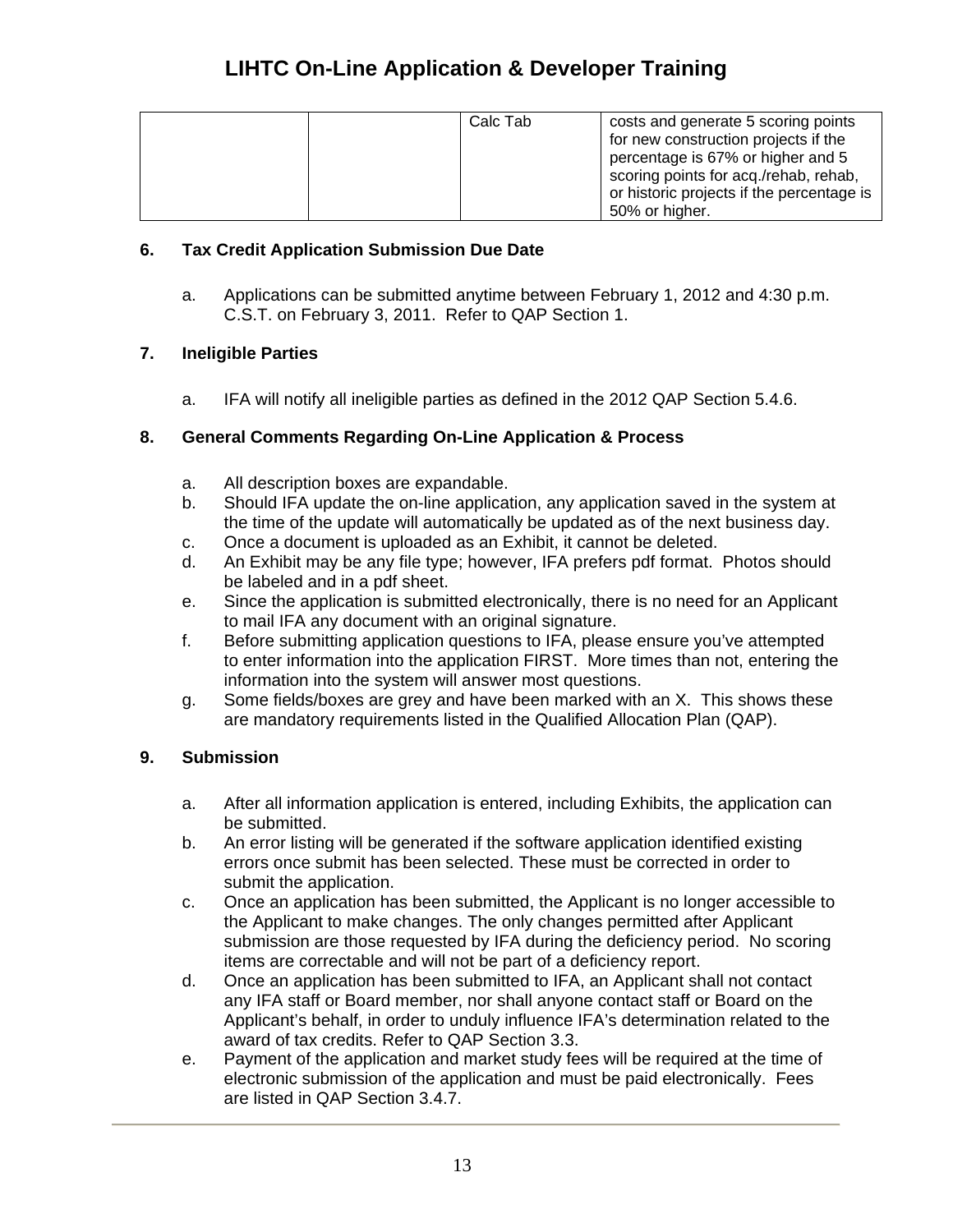| Calc Tab | costs and generate 5 scoring points<br>for new construction projects if the<br>percentage is 67% or higher and 5<br>scoring points for acq./rehab, rehab,<br>or historic projects if the percentage is<br>50% or higher. |
|----------|--------------------------------------------------------------------------------------------------------------------------------------------------------------------------------------------------------------------------|
|----------|--------------------------------------------------------------------------------------------------------------------------------------------------------------------------------------------------------------------------|

## **6. Tax Credit Application Submission Due Date**

a. Applications can be submitted anytime between February 1, 2012 and 4:30 p.m. C.S.T. on February 3, 2011. Refer to QAP Section 1.

## **7. Ineligible Parties**

a. IFA will notify all ineligible parties as defined in the 2012 QAP Section 5.4.6.

## **8. General Comments Regarding On-Line Application & Process**

- a. All description boxes are expandable.
- the time of the update will automatically be updated as of the next business day. b. Should IFA update the on-line application, any application saved in the system at
- c. Once a document is uploaded as an Exhibit, it cannot be deleted.
- d. An Exhibit may be any file type; however, IFA prefers pdf format. Photos should be labeled and in a pdf sheet.
- e. Since the application is submitted electronically, there is no need for an Applicant to mail IFA any document with an original signature.
- to enter information into the application FIRST. More times than not, entering the f. Before submitting application questions to IFA, please ensure you've attempted information into the system will answer most questions.
- g. Some fields/boxes are grey and have been marked with an X. This shows these are mandatory requirements listed in the Qualified Allocation Plan (QAP).

## **9. Submission**

- a. After all information application is entered, including Exhibits, the application can be submitted.
- errors once submit has been selected. These must be corrected in order to b. An error listing will be generated if the software application identified existing submit the application.
- c. Once an application has been submitted, the Applicant is no longer accessible to submission are those requested by IFA during the deficiency period. No scoring the Applicant to make changes. The only changes permitted after Applicant items are correctable and will not be part of a deficiency report.
- Applicant's behalf, in order to unduly influence IFA's determination related to the d. Once an application has been submitted to IFA, an Applicant shall not contact any IFA staff or Board member, nor shall anyone contact staff or Board on the award of tax credits. Refer to QAP Section 3.3.
- electronic submission of the application and must be paid electronically. Fees are listed in QAP Section 3.4.7. e. Payment of the application and market study fees will be required at the time of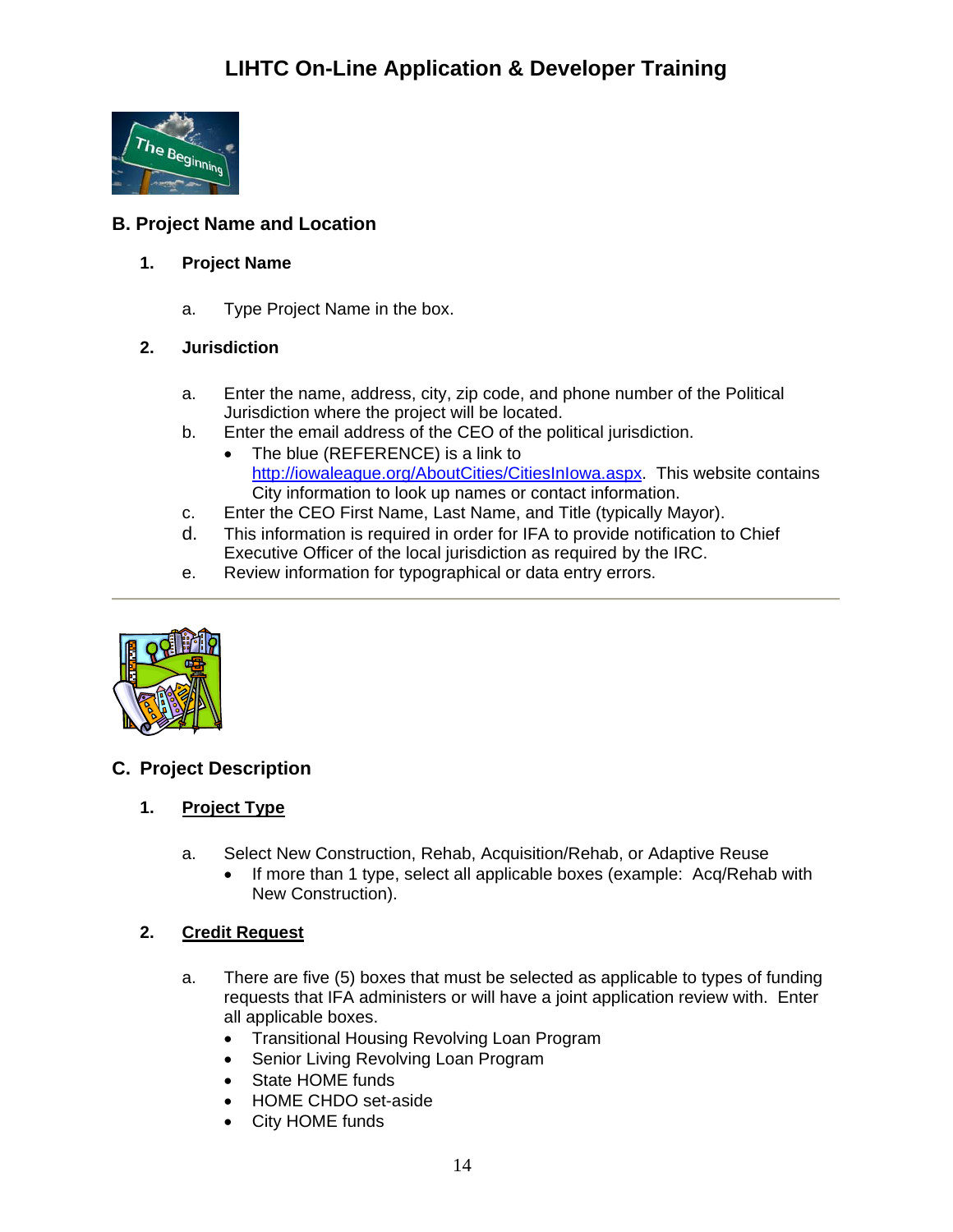

## <span id="page-13-1"></span><span id="page-13-0"></span>**B. Project Name and Location**

## **1. Project Name**

a. Type Project Name in the box.

## <span id="page-13-2"></span>**2. Jurisdiction**

- a. Enter the name, address, city, zip code, and phone number of the Political Jurisdiction where the project will be located.
- b. Enter the email address of the CEO of the political jurisdiction.
	- The blue (REFERENCE) is a link to [http://iowaleague.org/AboutCities/CitiesInIowa.aspx.](http://iowaleague.org/AboutCities/CitiesInIowa.aspx) This website contains City information to look up names or contact information.
- c. Enter the CEO First Name, Last Name, and Title (typically Mayor).
- d. This information is required in order for IFA to provide notification to Chief Executive Officer of the local jurisdiction as required by the IRC.
- e. Review information for typographical or data entry errors.



## <span id="page-13-4"></span><span id="page-13-3"></span>**C. Project Description**

## **1. Project Type**

- a. Select New Construction, Rehab, Acquisition/Rehab, or Adaptive Reuse
	- If more than 1 type, select all applicable boxes (example: Acq/Rehab with New Construction).

## <span id="page-13-5"></span>**2. Credit Request**

- a. There are five (5) boxes that must be selected as applicable to types of funding requests that IFA administers or will have a joint application review with. Enter all applicable boxes.
	- Transitional Housing Revolving Loan Program
	- Senior Living Revolving Loan Program
	- State HOME funds
	- HOME CHDO set-aside
	- City HOME funds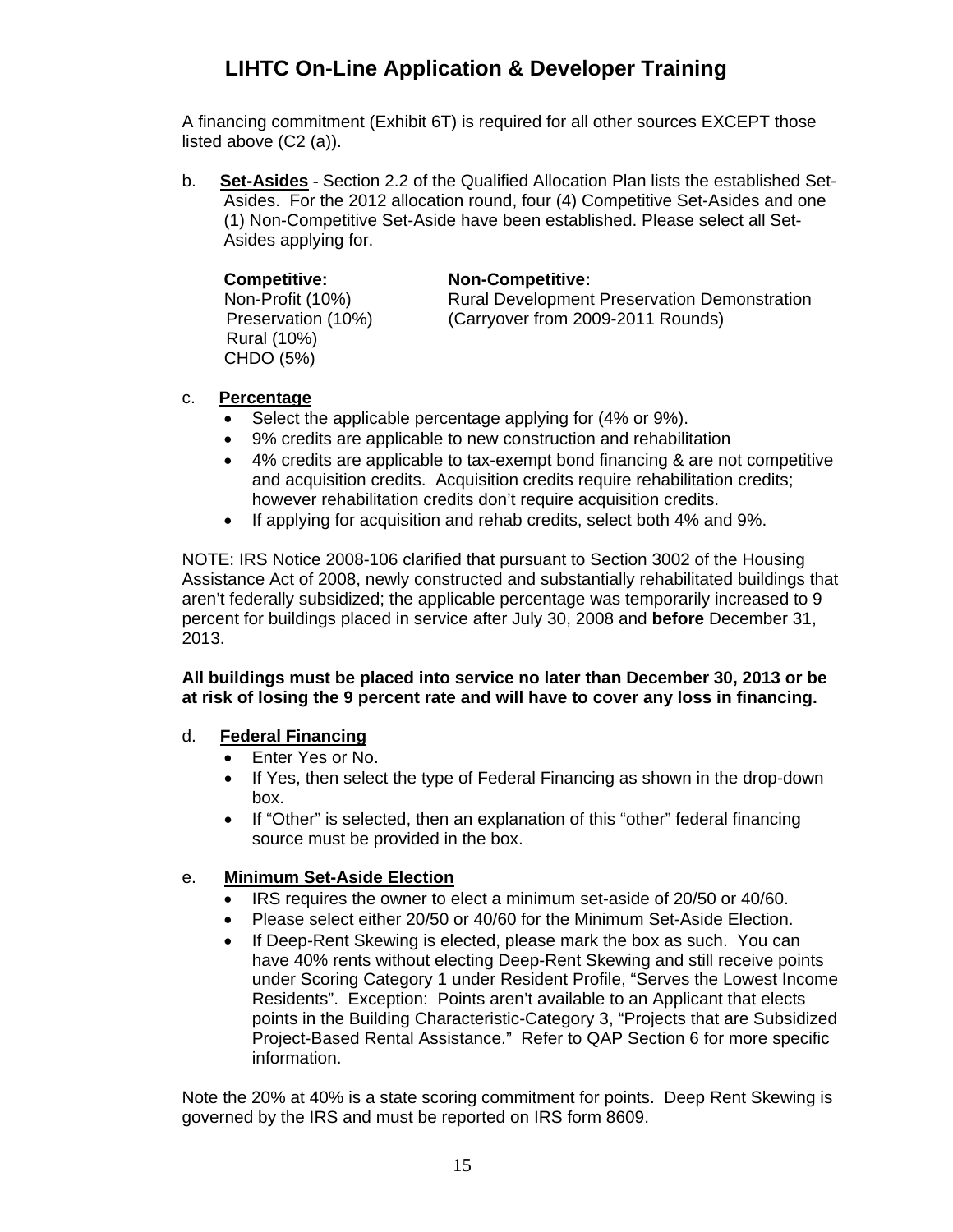A financing commitment (Exhibit 6T) is required for all other sources EXCEPT those listed above (C2 (a)).

b. **Set-Asides** - Section 2.2 of the Qualified Allocation Plan lists the established Set-Asides. For the 2012 allocation round, four (4) Competitive Set-Asides and one (1) Non-Competitive Set-Aside have been established. Please select all Set-Asides applying for.

| <b>Competitive:</b> | <b>Non-Competitive:</b>                             |
|---------------------|-----------------------------------------------------|
| Non-Profit (10%)    | <b>Rural Development Preservation Demonstration</b> |
| Preservation (10%)  | (Carryover from 2009-2011 Rounds)                   |
| Rural (10%)         |                                                     |
| CHDO (5%)           |                                                     |

### c. **Percentage**

- Select the applicable percentage applying for (4% or 9%).
- 9% credits are applicable to new construction and rehabilitation
- 4% credits are applicable to tax-exempt bond financing & are not competitive and acquisition credits. Acquisition credits require rehabilitation credits; however rehabilitation credits don't require acquisition credits.
- If applying for acquisition and rehab credits, select both 4% and 9%.

NOTE: IRS Notice 2008-106 clarified that pursuant to Section 3002 of the Housing Assistance Act of 2008, newly constructed and substantially rehabilitated buildings that aren't federally subsidized; the applicable percentage was temporarily increased to 9 percent for buildings placed in service after July 30, 2008 and **before** December 31, 2013.

### **All buildings must be placed into service no later than December 30, 2013 or be at risk of losing the 9 percent rate and will have to cover any loss in financing.**

### d. **Federal Financing**

- Enter Yes or No.
- If Yes, then select the type of Federal Financing as shown in the drop-down box.
- If "Other" is selected, then an explanation of this "other" federal financing source must be provided in the box.

### e. **Minimum Set-Aside Election**

- IRS requires the owner to elect a minimum set-aside of 20/50 or 40/60.
- Please select either 20/50 or 40/60 for the Minimum Set-Aside Election.
- If Deep-Rent Skewing is elected, please mark the box as such. You can have 40% rents without electing Deep-Rent Skewing and still receive points under Scoring Category 1 under Resident Profile, "Serves the Lowest Income Residents". Exception: Points aren't available to an Applicant that elects points in the Building Characteristic-Category 3, "Projects that are Subsidized Project-Based Rental Assistance." Refer to QAP Section 6 for more specific information.

Note the 20% at 40% is a state scoring commitment for points. Deep Rent Skewing is governed by the IRS and must be reported on IRS form 8609.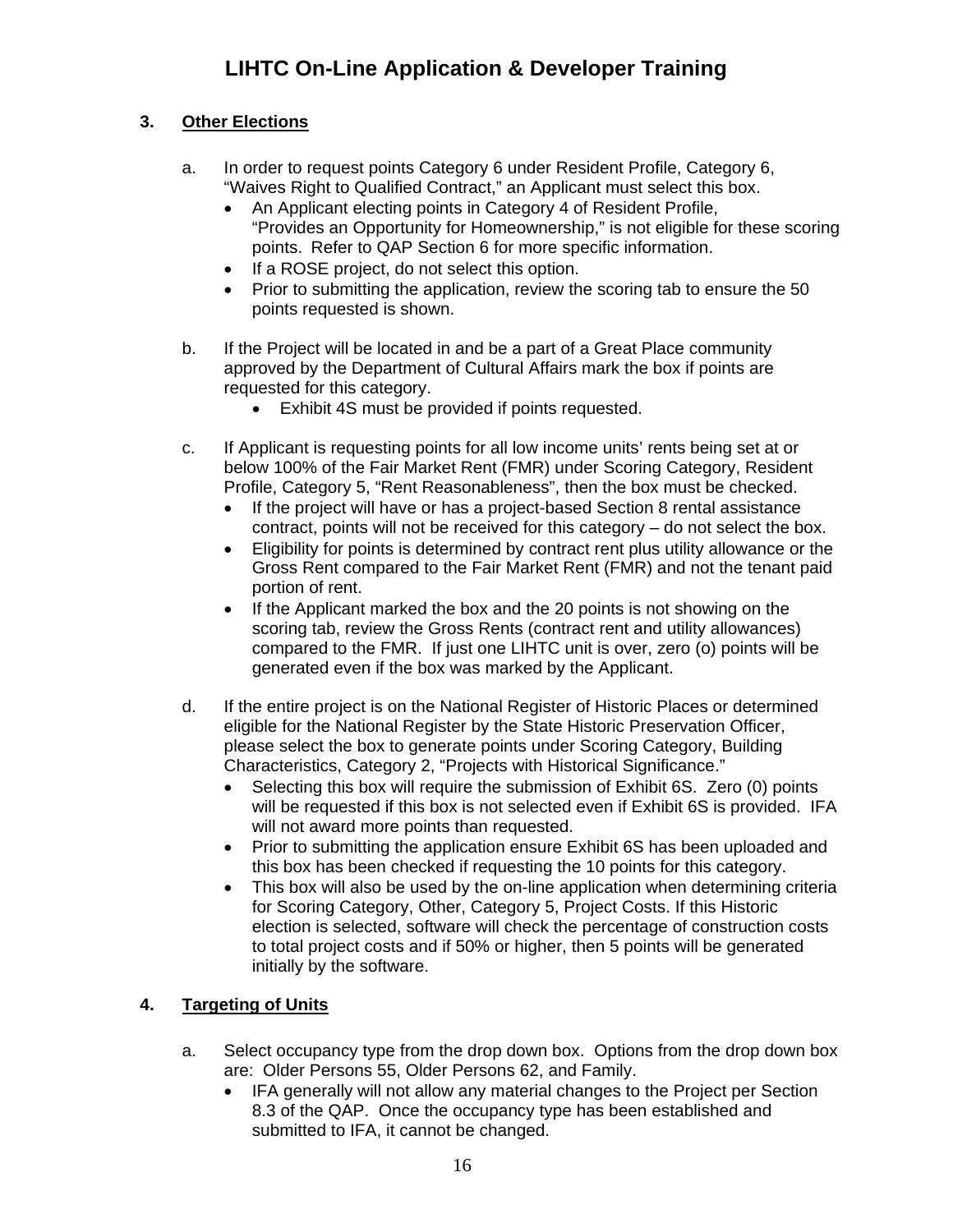## <span id="page-15-0"></span>**3. Other Elections**

- a. In order to request points Category 6 under Resident Profile, Category 6, "Waives Right to Qualified Contract," an Applicant must select this box.
	- An Applicant electing points in Category 4 of Resident Profile, "Provides an Opportunity for Homeownership," is not eligible for these scoring points. Refer to QAP Section 6 for more specific information.
	- If a ROSE project, do not select this option.
	- Prior to submitting the application, review the scoring tab to ensure the 50 points requested is shown.
- b. If the Project will be located in and be a part of a Great Place community approved by the Department of Cultural Affairs mark the box if points are requested for this category.
	- Exhibit 4S must be provided if points requested.
- c. If Applicant is requesting points for all low income units' rents being set at or below 100% of the Fair Market Rent (FMR) under Scoring Category, Resident Profile, Category 5, "Rent Reasonableness", then the box must be checked.
	- If the project will have or has a project-based Section 8 rental assistance contract, points will not be received for this category – do not select the box.
	- Eligibility for points is determined by contract rent plus utility allowance or the Gross Rent compared to the Fair Market Rent (FMR) and not the tenant paid portion of rent.
	- If the Applicant marked the box and the 20 points is not showing on the scoring tab, review the Gross Rents (contract rent and utility allowances) compared to the FMR. If just one LIHTC unit is over, zero (o) points will be generated even if the box was marked by the Applicant.
- d. If the entire project is on the National Register of Historic Places or determined eligible for the National Register by the State Historic Preservation Officer, please select the box to generate points under Scoring Category, Building Characteristics, Category 2, "Projects with Historical Significance."
	- Selecting this box will require the submission of Exhibit 6S. Zero (0) points will be requested if this box is not selected even if Exhibit 6S is provided. IFA will not award more points than requested.
	- Prior to submitting the application ensure Exhibit 6S has been uploaded and this box has been checked if requesting the 10 points for this category.
	- This box will also be used by the on-line application when determining criteria for Scoring Category, Other, Category 5, Project Costs. If this Historic election is selected, software will check the percentage of construction costs to total project costs and if 50% or higher, then 5 points will be generated initially by the software.

## <span id="page-15-1"></span>**4. Targeting of Units**

- a. Select occupancy type from the drop down box. Options from the drop down box are: Older Persons 55, Older Persons 62, and Family.
	- IFA generally will not allow any material changes to the Project per Section 8.3 of the QAP. Once the occupancy type has been established and submitted to IFA, it cannot be changed.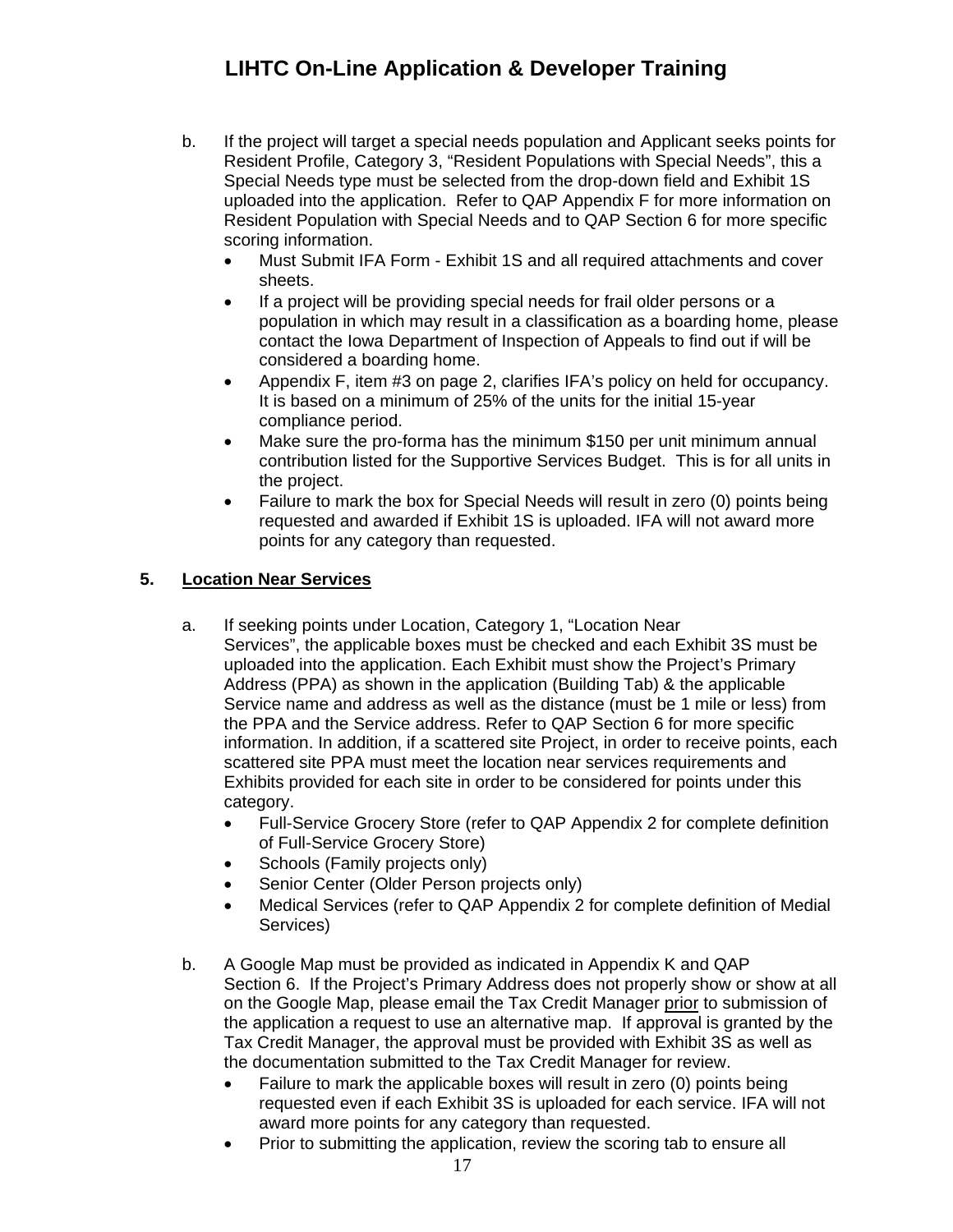- b. If the project will target a special needs population and Applicant seeks points for Resident Profile, Category 3, "Resident Populations with Special Needs", this a Special Needs type must be selected from the drop-down field and Exhibit 1S uploaded into the application. Refer to QAP Appendix F for more information on Resident Population with Special Needs and to QAP Section 6 for more specific scoring information.
	- Must Submit IFA Form Exhibit 1S and all required attachments and cover sheets.
	- If a project will be providing special needs for frail older persons or a population in which may result in a classification as a boarding home, please contact the Iowa Department of Inspection of Appeals to find out if will be considered a boarding home.
	- Appendix F, item #3 on page 2, clarifies IFA's policy on held for occupancy. It is based on a minimum of 25% of the units for the initial 15-year compliance period.
	- Make sure the pro-forma has the minimum \$150 per unit minimum annual contribution listed for the Supportive Services Budget. This is for all units in the project.
	- Failure to mark the box for Special Needs will result in zero (0) points being requested and awarded if Exhibit 1S is uploaded. IFA will not award more points for any category than requested.

## <span id="page-16-0"></span>**5. Location Near Services**

- a. If seeking points under Location, Category 1, "Location Near Services", the applicable boxes must be checked and each Exhibit 3S must be uploaded into the application. Each Exhibit must show the Project's Primary Address (PPA) as shown in the application (Building Tab) & the applicable Service name and address as well as the distance (must be 1 mile or less) from the PPA and the Service address. Refer to QAP Section 6 for more specific information. In addition, if a scattered site Project, in order to receive points, each scattered site PPA must meet the location near services requirements and Exhibits provided for each site in order to be considered for points under this category.
	- Full-Service Grocery Store (refer to QAP Appendix 2 for complete definition of Full-Service Grocery Store)
	- Schools (Family projects only)
	- Senior Center (Older Person projects only)
	- Medical Services (refer to QAP Appendix 2 for complete definition of Medial Services)
- b. A Google Map must be provided as indicated in Appendix K and QAP Section 6. If the Project's Primary Address does not properly show or show at all on the Google Map, please email the Tax Credit Manager prior to submission of the application a request to use an alternative map. If approval is granted by the Tax Credit Manager, the approval must be provided with Exhibit 3S as well as the documentation submitted to the Tax Credit Manager for review.
	- Failure to mark the applicable boxes will result in zero (0) points being requested even if each Exhibit 3S is uploaded for each service. IFA will not award more points for any category than requested.
	- Prior to submitting the application, review the scoring tab to ensure all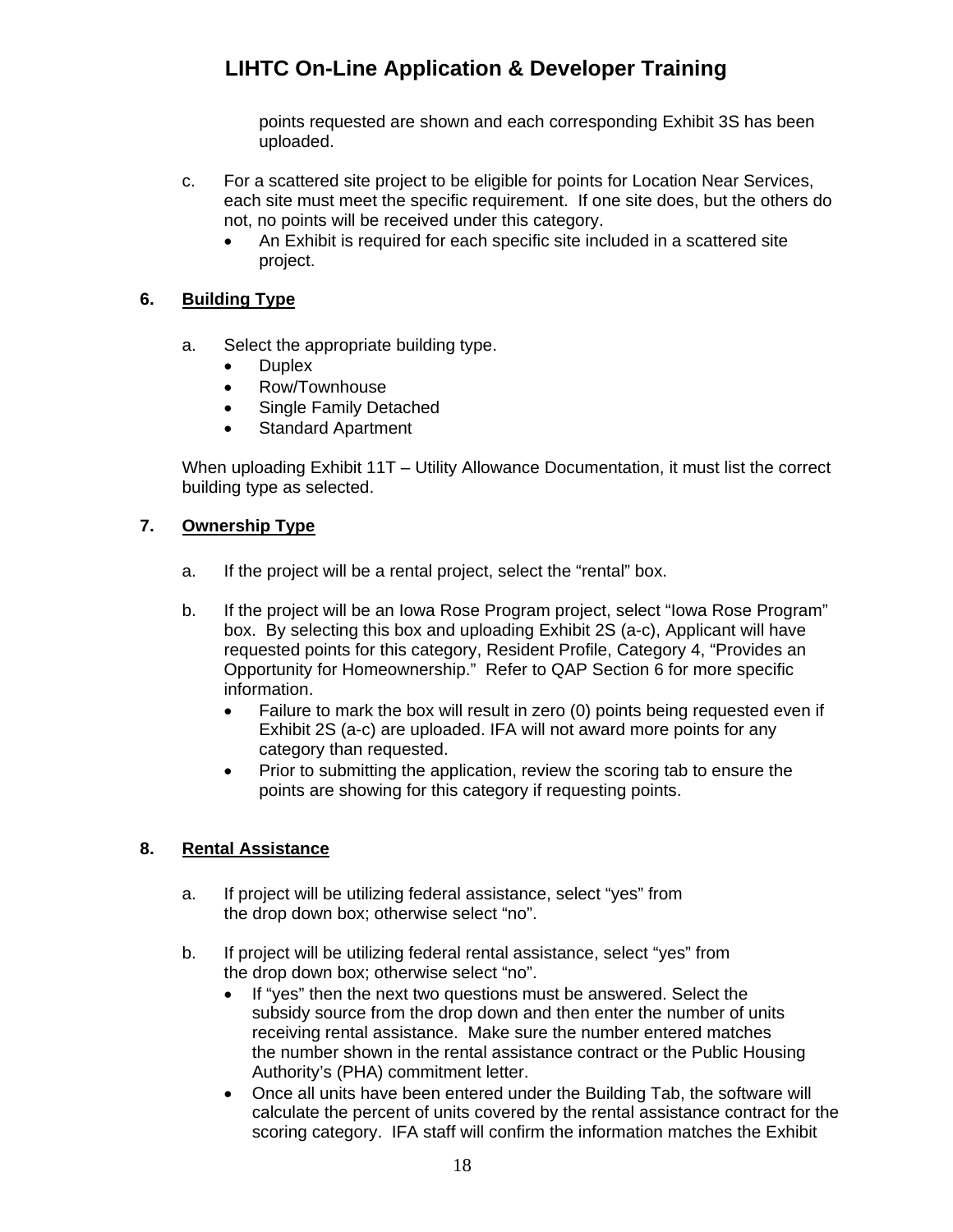points requested are shown and each corresponding Exhibit 3S has been uploaded.

- c. For a scattered site project to be eligible for points for Location Near Services, each site must meet the specific requirement. If one site does, but the others do not, no points will be received under this category.
	- An Exhibit is required for each specific site included in a scattered site project.

## <span id="page-17-0"></span>**6. Building Type**

- a. Select the appropriate building type.
	- **Duplex**
	- Row/Townhouse
	- Single Family Detached
	- Standard Apartment

When uploading Exhibit 11T – Utility Allowance Documentation, it must list the correct building type as selected.

### <span id="page-17-1"></span>**7. Ownership Type**

- a. If the project will be a rental project, select the "rental" box.
- b. If the project will be an Iowa Rose Program project, select "Iowa Rose Program" box. By selecting this box and uploading Exhibit 2S (a-c), Applicant will have requested points for this category, Resident Profile, Category 4, "Provides an Opportunity for Homeownership." Refer to QAP Section 6 for more specific information.
	- Failure to mark the box will result in zero (0) points being requested even if Exhibit 2S (a-c) are uploaded. IFA will not award more points for any category than requested.
	- Prior to submitting the application, review the scoring tab to ensure the points are showing for this category if requesting points.

## <span id="page-17-2"></span>**8. Rental Assistance**

- a. If project will be utilizing federal assistance, select "yes" from the drop down box; otherwise select "no".
- b. If project will be utilizing federal rental assistance, select "yes" from the drop down box; otherwise select "no".
	- If "yes" then the next two questions must be answered. Select the subsidy source from the drop down and then enter the number of units receiving rental assistance. Make sure the number entered matches the number shown in the rental assistance contract or the Public Housing Authority's (PHA) commitment letter.
	- Once all units have been entered under the Building Tab, the software will calculate the percent of units covered by the rental assistance contract for the scoring category. IFA staff will confirm the information matches the Exhibit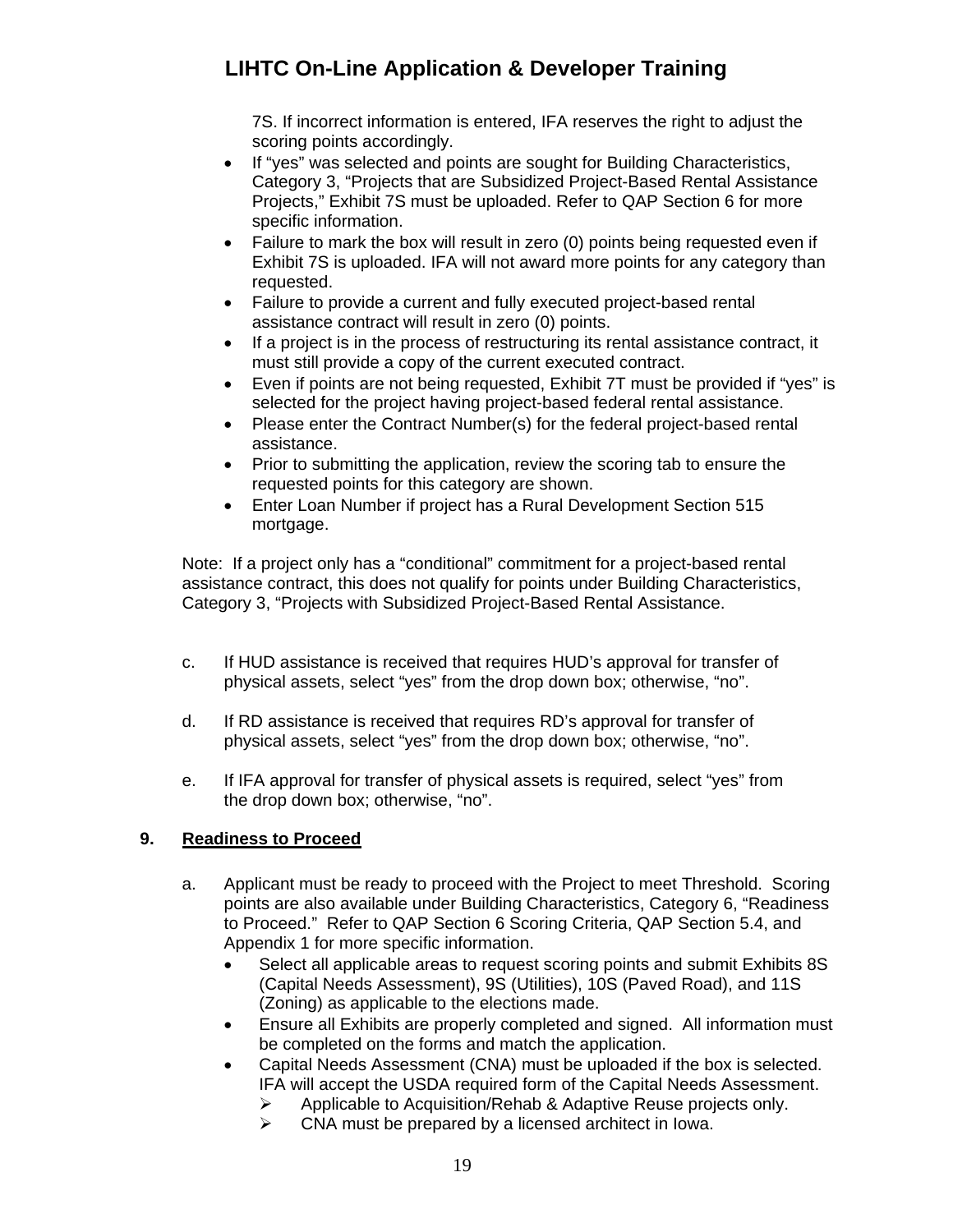7S. If incorrect information is entered, IFA reserves the right to adjust the scoring points accordingly.

- If "yes" was selected and points are sought for Building Characteristics, Category 3, "Projects that are Subsidized Project-Based Rental Assistance Projects," Exhibit 7S must be uploaded. Refer to QAP Section 6 for more specific information.
- Failure to mark the box will result in zero (0) points being requested even if Exhibit 7S is uploaded. IFA will not award more points for any category than requested.
- Failure to provide a current and fully executed project-based rental assistance contract will result in zero (0) points.
- If a project is in the process of restructuring its rental assistance contract, it must still provide a copy of the current executed contract.
- Even if points are not being requested, Exhibit 7T must be provided if "yes" is selected for the project having project-based federal rental assistance.
- Please enter the Contract Number(s) for the federal project-based rental assistance.
- Prior to submitting the application, review the scoring tab to ensure the requested points for this category are shown.
- Enter Loan Number if project has a Rural Development Section 515 mortgage.

Note: If a project only has a "conditional" commitment for a project-based rental assistance contract, this does not qualify for points under Building Characteristics, Category 3, "Projects with Subsidized Project-Based Rental Assistance.

- c. If HUD assistance is received that requires HUD's approval for transfer of physical assets, select "yes" from the drop down box; otherwise, "no".
- d. If RD assistance is received that requires RD's approval for transfer of physical assets, select "yes" from the drop down box; otherwise, "no".
- e. If IFA approval for transfer of physical assets is required, select "yes" from the drop down box; otherwise, "no".

## <span id="page-18-0"></span>**9. Readiness to Proceed**

- a. Applicant must be ready to proceed with the Project to meet Threshold. Scoring points are also available under Building Characteristics, Category 6, "Readiness to Proceed." Refer to QAP Section 6 Scoring Criteria, QAP Section 5.4, and Appendix 1 for more specific information.
	- Select all applicable areas to request scoring points and submit Exhibits 8S (Capital Needs Assessment), 9S (Utilities), 10S (Paved Road), and 11S (Zoning) as applicable to the elections made.
	- Ensure all Exhibits are properly completed and signed. All information must be completed on the forms and match the application.
	- Capital Needs Assessment (CNA) must be uploaded if the box is selected. IFA will accept the USDA required form of the Capital Needs Assessment.
		- $\triangleright$  Applicable to Acquisition/Rehab & Adaptive Reuse projects only.
		- $\triangleright$  CNA must be prepared by a licensed architect in Iowa.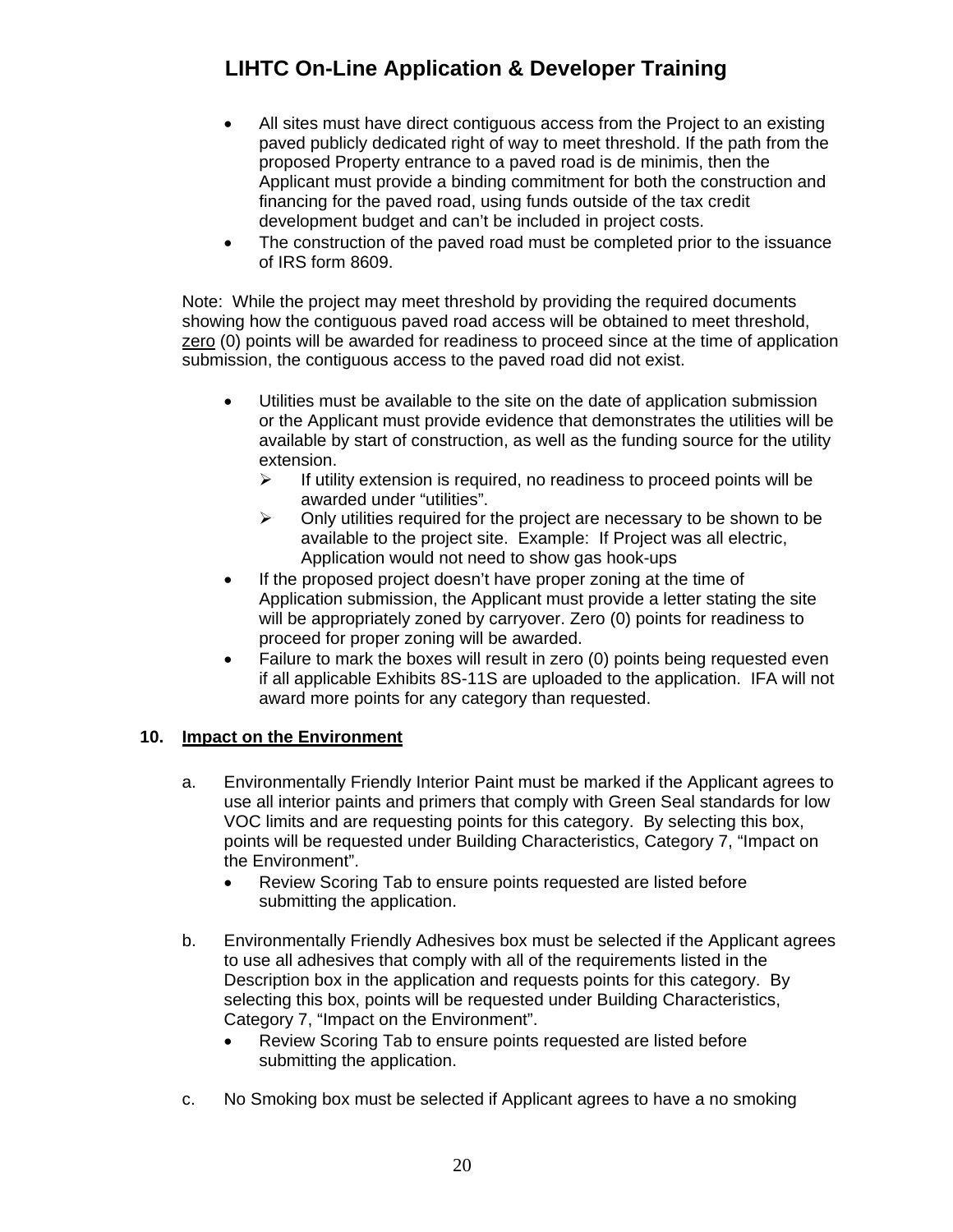- All sites must have direct contiguous access from the Project to an existing paved publicly dedicated right of way to meet threshold. If the path from the proposed Property entrance to a paved road is de minimis, then the Applicant must provide a binding commitment for both the construction and financing for the paved road, using funds outside of the tax credit development budget and can't be included in project costs.
- The construction of the paved road must be completed prior to the issuance of IRS form 8609.

Note: While the project may meet threshold by providing the required documents showing how the contiguous paved road access will be obtained to meet threshold, zero (0) points will be awarded for readiness to proceed since at the time of application submission, the contiguous access to the paved road did not exist.

- Utilities must be available to the site on the date of application submission or the Applicant must provide evidence that demonstrates the utilities will be available by start of construction, as well as the funding source for the utility extension.
	- $\triangleright$  If utility extension is required, no readiness to proceed points will be awarded under "utilities".
	- $\triangleright$  Only utilities required for the project are necessary to be shown to be available to the project site. Example: If Project was all electric, Application would not need to show gas hook-ups
- If the proposed project doesn't have proper zoning at the time of Application submission, the Applicant must provide a letter stating the site will be appropriately zoned by carryover. Zero (0) points for readiness to proceed for proper zoning will be awarded.
- Failure to mark the boxes will result in zero (0) points being requested even if all applicable Exhibits 8S-11S are uploaded to the application. IFA will not award more points for any category than requested.

### <span id="page-19-0"></span>**10. Impact on the Environment**

- a. Environmentally Friendly Interior Paint must be marked if the Applicant agrees to use all interior paints and primers that comply with Green Seal standards for low VOC limits and are requesting points for this category. By selecting this box, points will be requested under Building Characteristics, Category 7, "Impact on the Environment".
	- Review Scoring Tab to ensure points requested are listed before submitting the application.
- b. Environmentally Friendly Adhesives box must be selected if the Applicant agrees to use all adhesives that comply with all of the requirements listed in the Description box in the application and requests points for this category. By selecting this box, points will be requested under Building Characteristics, Category 7, "Impact on the Environment".
	- Review Scoring Tab to ensure points requested are listed before submitting the application.
- c. No Smoking box must be selected if Applicant agrees to have a no smoking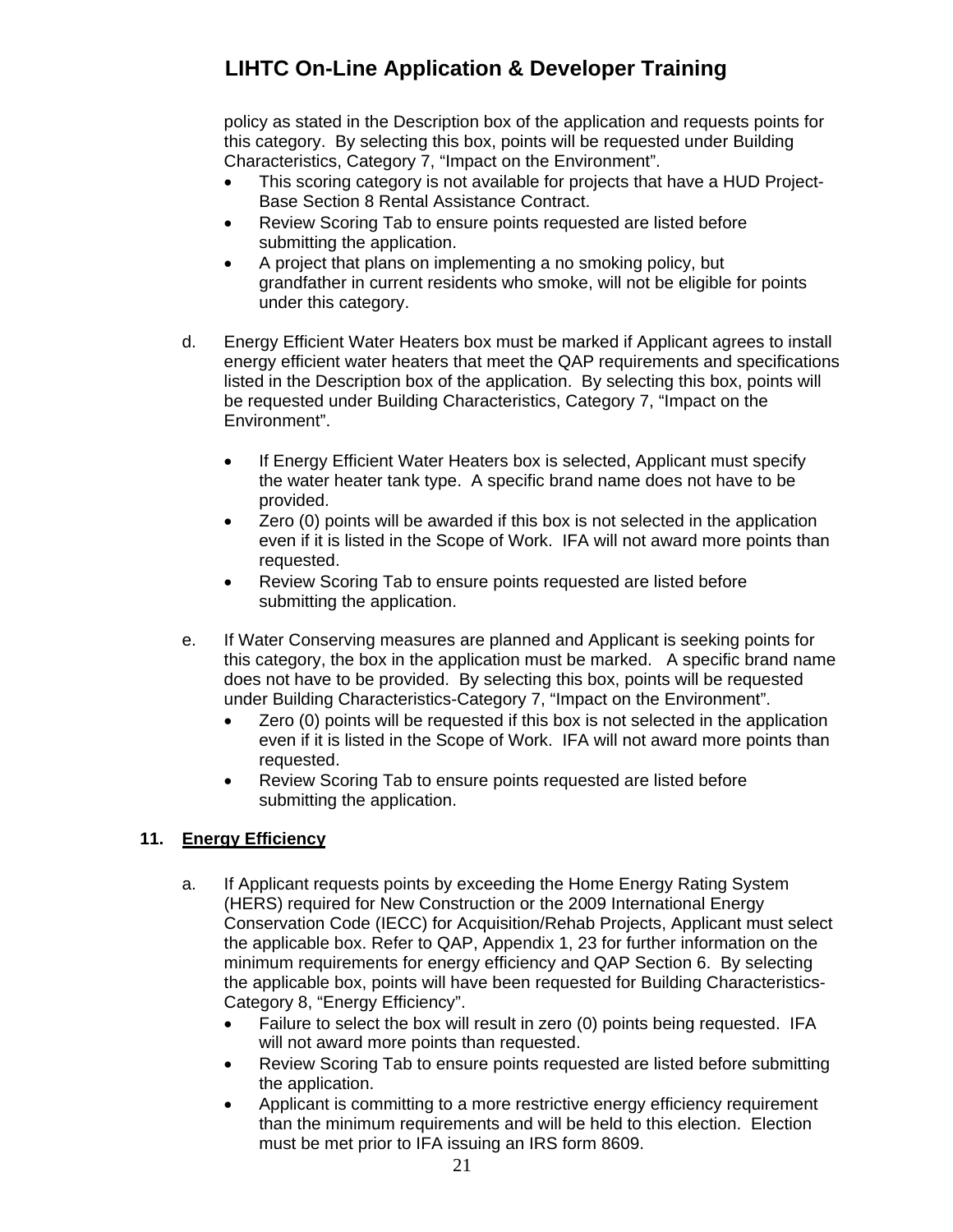policy as stated in the Description box of the application and requests points for this category. By selecting this box, points will be requested under Building Characteristics, Category 7, "Impact on the Environment".

- This scoring category is not available for projects that have a HUD Project-Base Section 8 Rental Assistance Contract.
- Review Scoring Tab to ensure points requested are listed before submitting the application.
- A project that plans on implementing a no smoking policy, but grandfather in current residents who smoke, will not be eligible for points under this category.
- d. Energy Efficient Water Heaters box must be marked if Applicant agrees to install energy efficient water heaters that meet the QAP requirements and specifications listed in the Description box of the application. By selecting this box, points will be requested under Building Characteristics, Category 7, "Impact on the Environment".
	- If Energy Efficient Water Heaters box is selected, Applicant must specify the water heater tank type. A specific brand name does not have to be provided.
	- Zero (0) points will be awarded if this box is not selected in the application even if it is listed in the Scope of Work. IFA will not award more points than requested.
	- Review Scoring Tab to ensure points requested are listed before submitting the application.
- e. If Water Conserving measures are planned and Applicant is seeking points for this category, the box in the application must be marked. A specific brand name does not have to be provided. By selecting this box, points will be requested under Building Characteristics-Category 7, "Impact on the Environment".
	- Zero (0) points will be requested if this box is not selected in the application even if it is listed in the Scope of Work. IFA will not award more points than requested.
	- Review Scoring Tab to ensure points requested are listed before submitting the application.

## <span id="page-20-0"></span>**11. Energy Efficiency**

- a. If Applicant requests points by exceeding the Home Energy Rating System (HERS) required for New Construction or the 2009 International Energy Conservation Code (IECC) for Acquisition/Rehab Projects, Applicant must select the applicable box. Refer to QAP, Appendix 1, 23 for further information on the minimum requirements for energy efficiency and QAP Section 6. By selecting the applicable box, points will have been requested for Building Characteristics-Category 8, "Energy Efficiency".
	- Failure to select the box will result in zero (0) points being requested. IFA will not award more points than requested.
	- Review Scoring Tab to ensure points requested are listed before submitting the application.
	- Applicant is committing to a more restrictive energy efficiency requirement than the minimum requirements and will be held to this election. Election must be met prior to IFA issuing an IRS form 8609.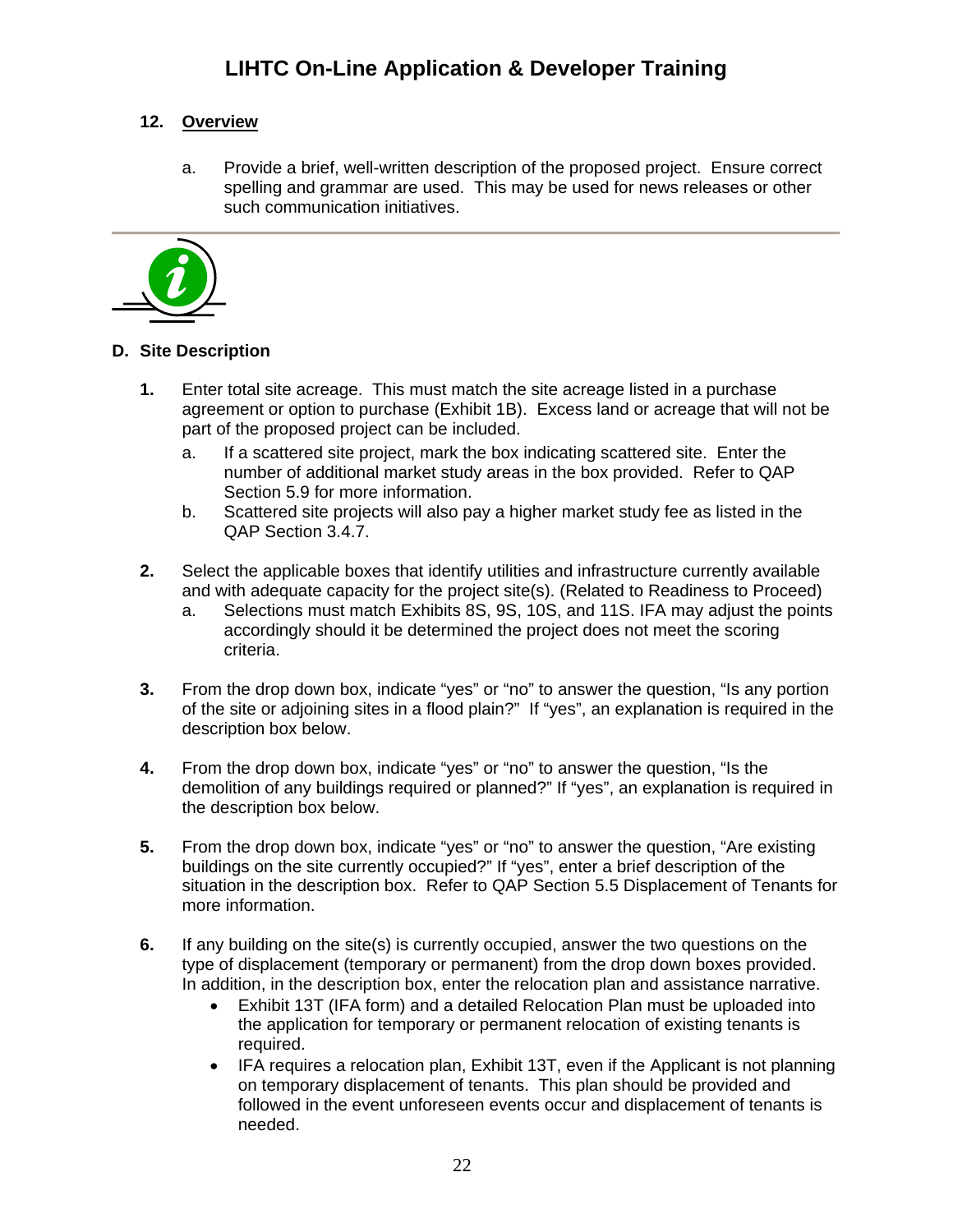## <span id="page-21-0"></span>**12. Overview**

a. Provide a brief, well-written description of the proposed project. Ensure correct spelling and grammar are used. This may be used for news releases or other such communication initiatives.



## <span id="page-21-1"></span>**D. Site Description**

- **1.** Enter total site acreage. This must match the site acreage listed in a purchase agreement or option to purchase (Exhibit 1B). Excess land or acreage that will not be part of the proposed project can be included.
	- a. If a scattered site project, mark the box indicating scattered site. Enter the number of additional market study areas in the box provided. Refer to QAP Section 5.9 for more information.
	- b. Scattered site projects will also pay a higher market study fee as listed in the QAP Section 3.4.7.
- **2.** Select the applicable boxes that identify utilities and infrastructure currently available and with adequate capacity for the project site(s). (Related to Readiness to Proceed)
	- a. Selections must match Exhibits 8S, 9S, 10S, and 11S. IFA may adjust the points accordingly should it be determined the project does not meet the scoring criteria.
- **3.** From the drop down box, indicate "yes" or "no" to answer the question, "Is any portion of the site or adjoining sites in a flood plain?" If "yes", an explanation is required in the description box below.
- **4.** From the drop down box, indicate "yes" or "no" to answer the question, "Is the demolition of any buildings required or planned?" If "yes", an explanation is required in the description box below.
- **5.** From the drop down box, indicate "yes" or "no" to answer the question, "Are existing buildings on the site currently occupied?" If "yes", enter a brief description of the situation in the description box. Refer to QAP Section 5.5 Displacement of Tenants for more information.
- **6.** If any building on the site(s) is currently occupied, answer the two questions on the type of displacement (temporary or permanent) from the drop down boxes provided. In addition, in the description box, enter the relocation plan and assistance narrative.
	- Exhibit 13T (IFA form) and a detailed Relocation Plan must be uploaded into the application for temporary or permanent relocation of existing tenants is required.
	- IFA requires a relocation plan, Exhibit 13T, even if the Applicant is not planning on temporary displacement of tenants. This plan should be provided and followed in the event unforeseen events occur and displacement of tenants is needed.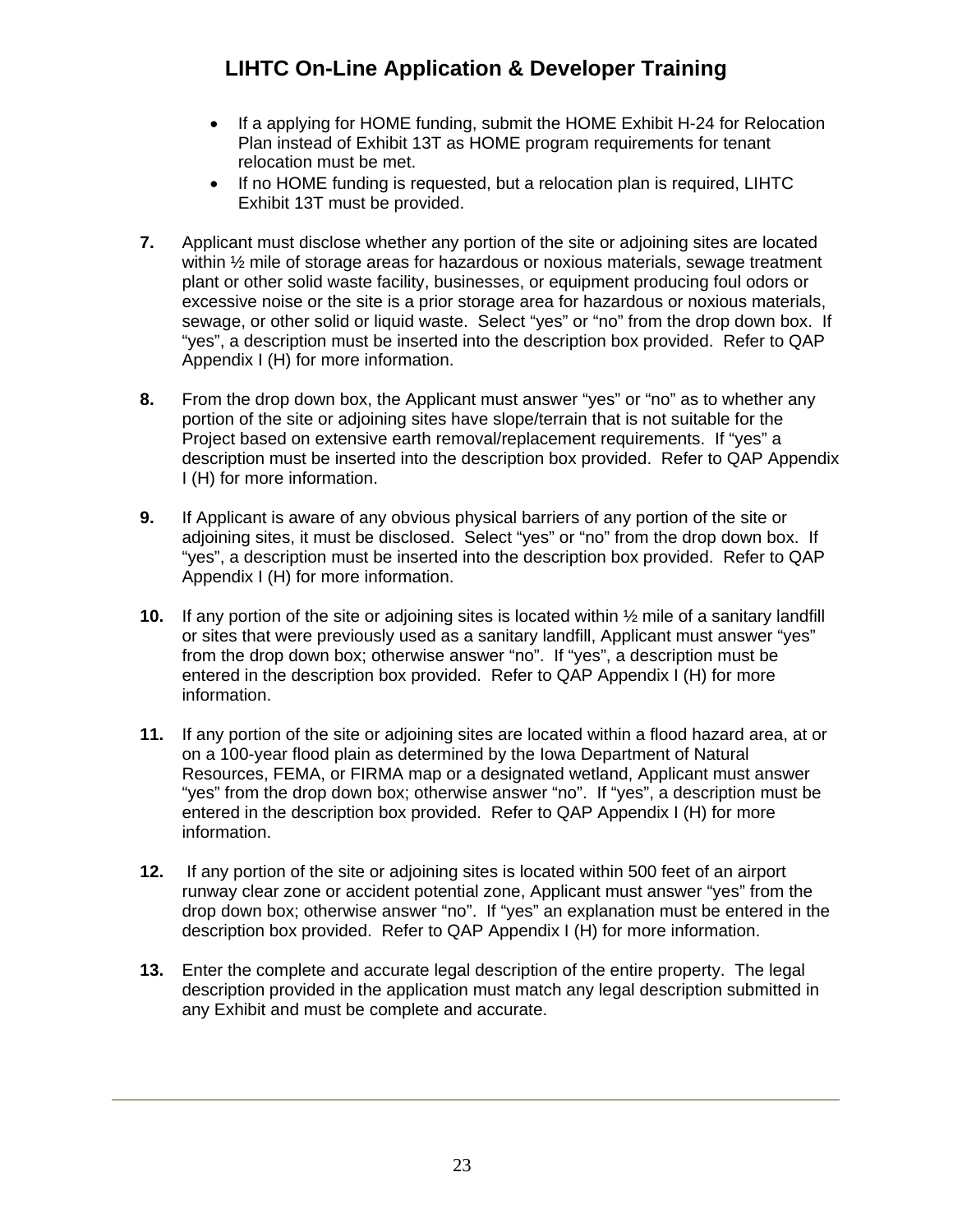- If a applying for HOME funding, submit the HOME Exhibit H-24 for Relocation Plan instead of Exhibit 13T as HOME program requirements for tenant relocation must be met.
- If no HOME funding is requested, but a relocation plan is required, LIHTC Exhibit 13T must be provided.
- **7.** Applicant must disclose whether any portion of the site or adjoining sites are located within ½ mile of storage areas for hazardous or noxious materials, sewage treatment plant or other solid waste facility, businesses, or equipment producing foul odors or excessive noise or the site is a prior storage area for hazardous or noxious materials, sewage, or other solid or liquid waste. Select "yes" or "no" from the drop down box. If "yes", a description must be inserted into the description box provided. Refer to QAP Appendix I (H) for more information.
- **8.** From the drop down box, the Applicant must answer "yes" or "no" as to whether any portion of the site or adjoining sites have slope/terrain that is not suitable for the Project based on extensive earth removal/replacement requirements. If "yes" a description must be inserted into the description box provided. Refer to QAP Appendix I (H) for more information.
- **9.** If Applicant is aware of any obvious physical barriers of any portion of the site or adjoining sites, it must be disclosed. Select "yes" or "no" from the drop down box. If "yes", a description must be inserted into the description box provided. Refer to QAP Appendix I (H) for more information.
- **10.** If any portion of the site or adjoining sites is located within ½ mile of a sanitary landfill or sites that were previously used as a sanitary landfill, Applicant must answer "yes" from the drop down box; otherwise answer "no". If "yes", a description must be entered in the description box provided. Refer to QAP Appendix I (H) for more information.
- **11.** If any portion of the site or adjoining sites are located within a flood hazard area, at or on a 100-year flood plain as determined by the Iowa Department of Natural Resources, FEMA, or FIRMA map or a designated wetland, Applicant must answer "yes" from the drop down box; otherwise answer "no". If "yes", a description must be entered in the description box provided. Refer to QAP Appendix I (H) for more information.
- **12.** If any portion of the site or adjoining sites is located within 500 feet of an airport runway clear zone or accident potential zone, Applicant must answer "yes" from the drop down box; otherwise answer "no". If "yes" an explanation must be entered in the description box provided. Refer to QAP Appendix I (H) for more information.
- **13.** Enter the complete and accurate legal description of the entire property. The legal description provided in the application must match any legal description submitted in any Exhibit and must be complete and accurate.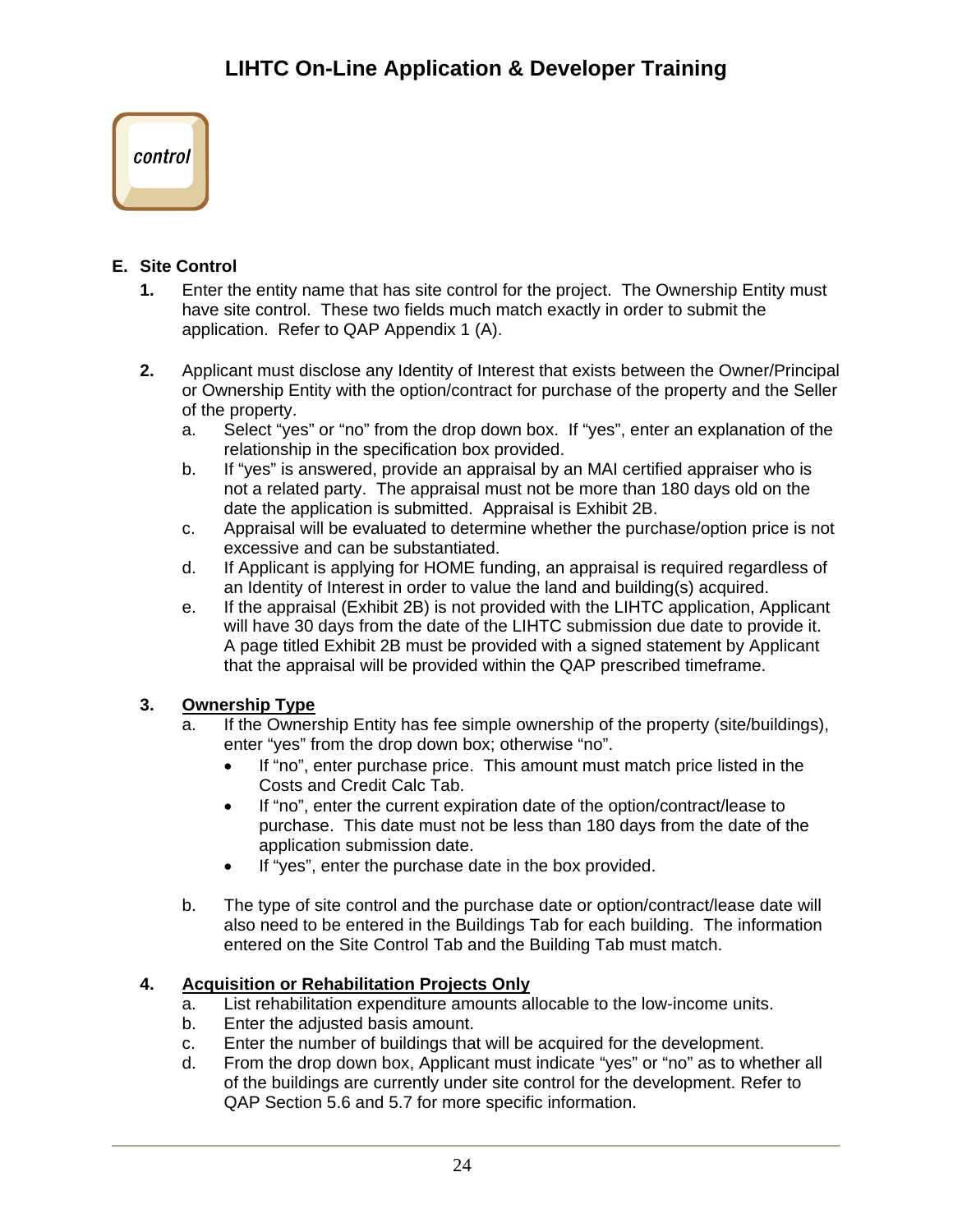

## <span id="page-23-0"></span>**E. Site Control**

- **1.** Enter the entity name that has site control for the project. The Ownership Entity must have site control. These two fields much match exactly in order to submit the application. Refer to QAP Appendix 1 (A).
- **2.** Applicant must disclose any Identity of Interest that exists between the Owner/Principal or Ownership Entity with the option/contract for purchase of the property and the Seller of the property.
	- a. Select "yes" or "no" from the drop down box. If "yes", enter an explanation of the relationship in the specification box provided.
	- b. If "yes" is answered, provide an appraisal by an MAI certified appraiser who is not a related party. The appraisal must not be more than 180 days old on the date the application is submitted. Appraisal is Exhibit 2B.
	- c. Appraisal will be evaluated to determine whether the purchase/option price is not excessive and can be substantiated.
	- d. If Applicant is applying for HOME funding, an appraisal is required regardless of an Identity of Interest in order to value the land and building(s) acquired.
	- e. If the appraisal (Exhibit 2B) is not provided with the LIHTC application, Applicant will have 30 days from the date of the LIHTC submission due date to provide it. A page titled Exhibit 2B must be provided with a signed statement by Applicant that the appraisal will be provided within the QAP prescribed timeframe.

## **3. Ownership Type**

- a. If the Ownership Entity has fee simple ownership of the property (site/buildings), enter "yes" from the drop down box; otherwise "no".
	- If "no", enter purchase price. This amount must match price listed in the Costs and Credit Calc Tab.
	- If "no", enter the current expiration date of the option/contract/lease to purchase. This date must not be less than 180 days from the date of the application submission date.
	- If "yes", enter the purchase date in the box provided.
- b. The type of site control and the purchase date or option/contract/lease date will also need to be entered in the Buildings Tab for each building. The information entered on the Site Control Tab and the Building Tab must match.

## **4. Acquisition or Rehabilitation Projects Only**

- a. List rehabilitation expenditure amounts allocable to the low-income units.
- b. Enter the adjusted basis amount.
- c. Enter the number of buildings that will be acquired for the development.
- d. From the drop down box, Applicant must indicate "yes" or "no" as to whether all of the buildings are currently under site control for the development. Refer to QAP Section 5.6 and 5.7 for more specific information.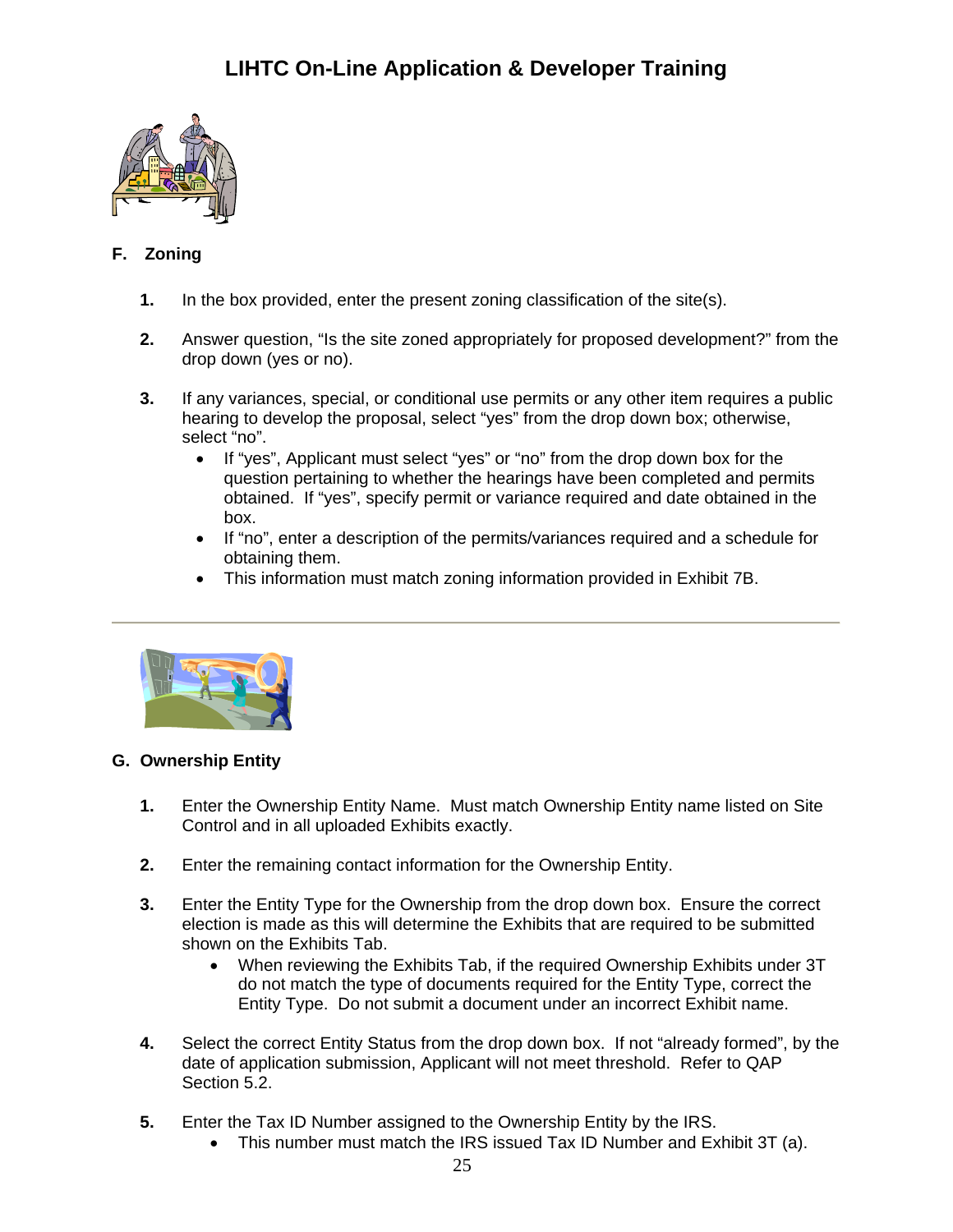

## <span id="page-24-0"></span>**F. Zoning**

- **1.** In the box provided, enter the present zoning classification of the site(s).
- **2.** Answer question, "Is the site zoned appropriately for proposed development?" from the drop down (yes or no).
- **3.** If any variances, special, or conditional use permits or any other item requires a public hearing to develop the proposal, select "yes" from the drop down box; otherwise, select "no".
	- If "yes", Applicant must select "yes" or "no" from the drop down box for the question pertaining to whether the hearings have been completed and permits obtained. If "yes", specify permit or variance required and date obtained in the box.
	- If "no", enter a description of the permits/variances required and a schedule for obtaining them.
	- This information must match zoning information provided in Exhibit 7B.



### <span id="page-24-1"></span>**G. Ownership Entity**

- **1.** Enter the Ownership Entity Name. Must match Ownership Entity name listed on Site Control and in all uploaded Exhibits exactly.
- **2.** Enter the remaining contact information for the Ownership Entity.
- **3.** Enter the Entity Type for the Ownership from the drop down box. Ensure the correct election is made as this will determine the Exhibits that are required to be submitted shown on the Exhibits Tab.
	- When reviewing the Exhibits Tab, if the required Ownership Exhibits under 3T do not match the type of documents required for the Entity Type, correct the Entity Type. Do not submit a document under an incorrect Exhibit name.
- **4.** Select the correct Entity Status from the drop down box. If not "already formed", by the date of application submission, Applicant will not meet threshold. Refer to QAP Section 5.2.
- **5.** Enter the Tax ID Number assigned to the Ownership Entity by the IRS.
	- This number must match the IRS issued Tax ID Number and Exhibit 3T (a).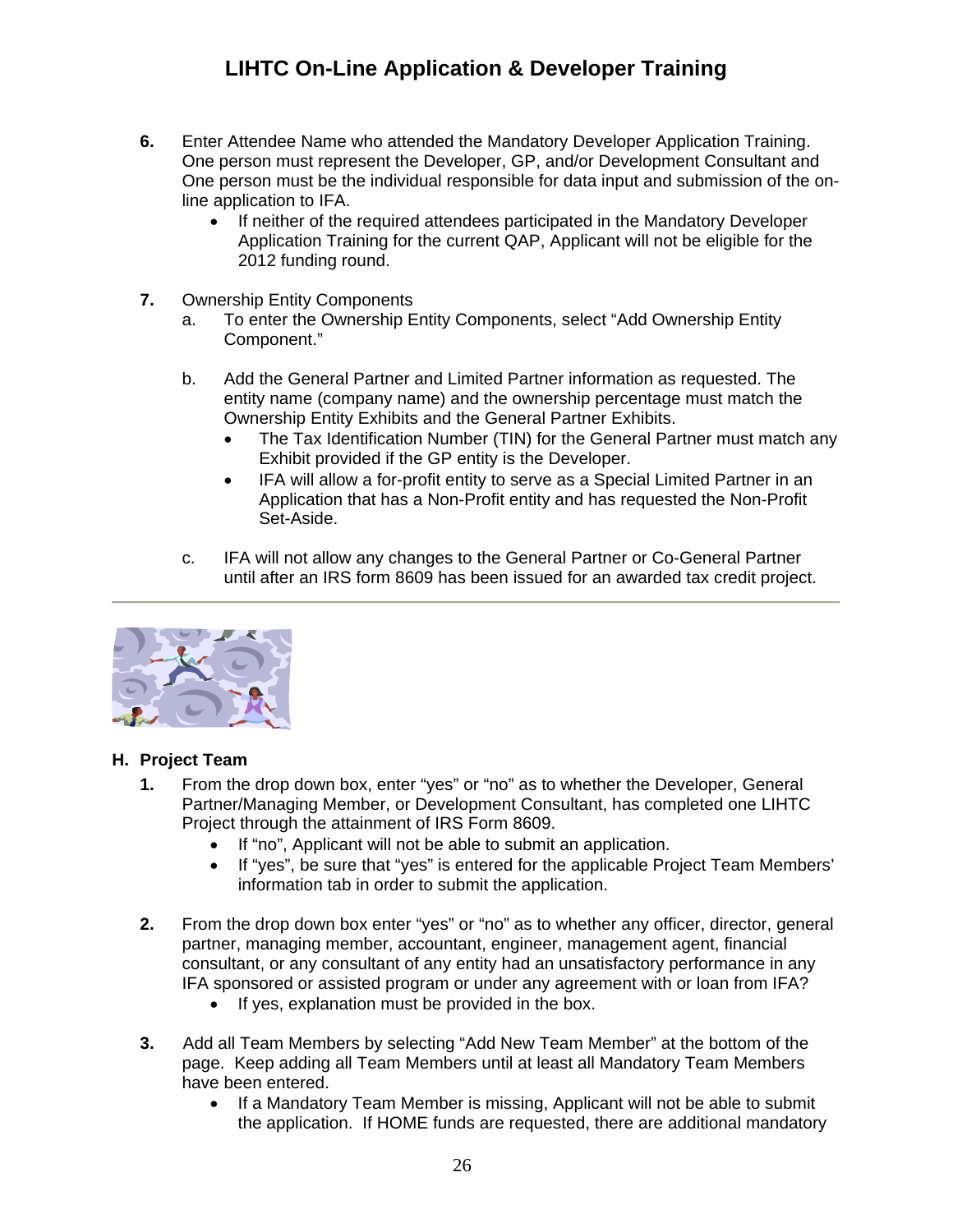- **6.** Enter Attendee Name who attended the Mandatory Developer Application Training. One person must represent the Developer, GP, and/or Development Consultant and One person must be the individual responsible for data input and submission of the online application to IFA.
	- If neither of the required attendees participated in the Mandatory Developer Application Training for the current QAP, Applicant will not be eligible for the 2012 funding round.
- **7.** Ownership Entity Components
	- a. To enter the Ownership Entity Components, select "Add Ownership Entity Component."
	- b. Add the General Partner and Limited Partner information as requested. The entity name (company name) and the ownership percentage must match the Ownership Entity Exhibits and the General Partner Exhibits.
		- The Tax Identification Number (TIN) for the General Partner must match any Exhibit provided if the GP entity is the Developer.
		- IFA will allow a for-profit entity to serve as a Special Limited Partner in an Application that has a Non-Profit entity and has requested the Non-Profit Set-Aside.
	- c. IFA will not allow any changes to the General Partner or Co-General Partner until after an IRS form 8609 has been issued for an awarded tax credit project.



### <span id="page-25-0"></span>**H. Project Team**

- **1.** From the drop down box, enter "yes" or "no" as to whether the Developer, General Partner/Managing Member, or Development Consultant, has completed one LIHTC Project through the attainment of IRS Form 8609.
	- If "no", Applicant will not be able to submit an application.
	- If "yes", be sure that "yes" is entered for the applicable Project Team Members' information tab in order to submit the application.
- **2.** From the drop down box enter "yes" or "no" as to whether any officer, director, general partner, managing member, accountant, engineer, management agent, financial consultant, or any consultant of any entity had an unsatisfactory performance in any IFA sponsored or assisted program or under any agreement with or loan from IFA?
	- If yes, explanation must be provided in the box.
- **3.** Add all Team Members by selecting "Add New Team Member" at the bottom of the page. Keep adding all Team Members until at least all Mandatory Team Members have been entered.
	- If a Mandatory Team Member is missing, Applicant will not be able to submit the application. If HOME funds are requested, there are additional mandatory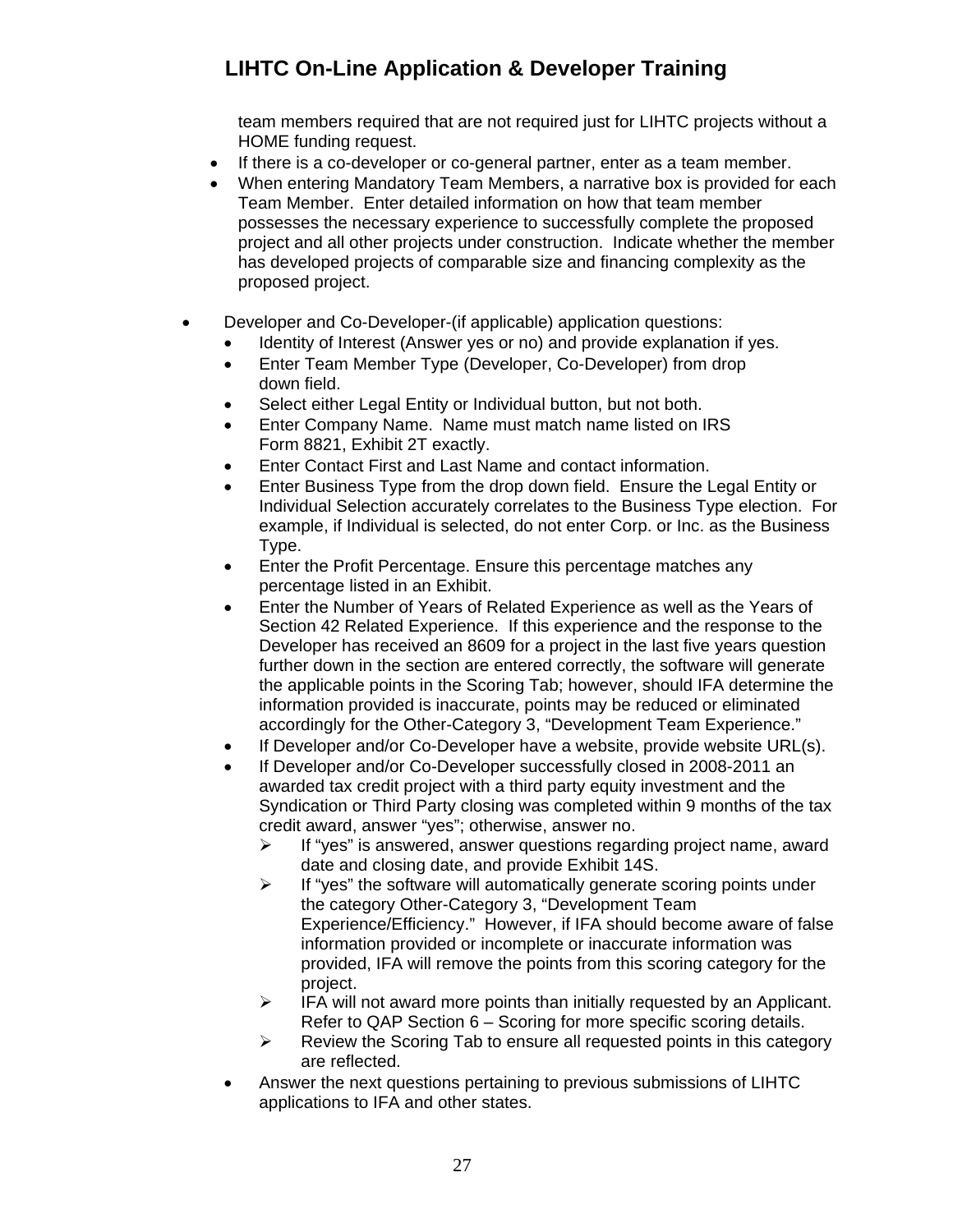team members required that are not required just for LIHTC projects without a HOME funding request.

- If there is a co-developer or co-general partner, enter as a team member.
- When entering Mandatory Team Members, a narrative box is provided for each Team Member. Enter detailed information on how that team member possesses the necessary experience to successfully complete the proposed project and all other projects under construction. Indicate whether the member has developed projects of comparable size and financing complexity as the proposed project.
- Developer and Co-Developer-(if applicable) application questions:
	- Identity of Interest (Answer yes or no) and provide explanation if yes.
	- Enter Team Member Type (Developer, Co-Developer) from drop down field.
	- Select either Legal Entity or Individual button, but not both.
	- Enter Company Name. Name must match name listed on IRS Form 8821, Exhibit 2T exactly.
	- Enter Contact First and Last Name and contact information.
	- Enter Business Type from the drop down field. Ensure the Legal Entity or Individual Selection accurately correlates to the Business Type election. For example, if Individual is selected, do not enter Corp. or Inc. as the Business Type.
	- Enter the Profit Percentage. Ensure this percentage matches any percentage listed in an Exhibit.
	- Enter the Number of Years of Related Experience as well as the Years of Section 42 Related Experience. If this experience and the response to the Developer has received an 8609 for a project in the last five years question further down in the section are entered correctly, the software will generate the applicable points in the Scoring Tab; however, should IFA determine the information provided is inaccurate, points may be reduced or eliminated accordingly for the Other-Category 3, "Development Team Experience."
	- If Developer and/or Co-Developer have a website, provide website URL(s).
	- If Developer and/or Co-Developer successfully closed in 2008-2011 an awarded tax credit project with a third party equity investment and the Syndication or Third Party closing was completed within 9 months of the tax credit award, answer "yes"; otherwise, answer no.
		- $\triangleright$  If "yes" is answered, answer questions regarding project name, award date and closing date, and provide Exhibit 14S.
		- $\triangleright$  If "yes" the software will automatically generate scoring points under the category Other-Category 3, "Development Team Experience/Efficiency." However, if IFA should become aware of false information provided or incomplete or inaccurate information was provided, IFA will remove the points from this scoring category for the project.
		- $\triangleright$  IFA will not award more points than initially requested by an Applicant. Refer to QAP Section 6 – Scoring for more specific scoring details.
		- $\triangleright$  Review the Scoring Tab to ensure all requested points in this category are reflected.
	- Answer the next questions pertaining to previous submissions of LIHTC applications to IFA and other states.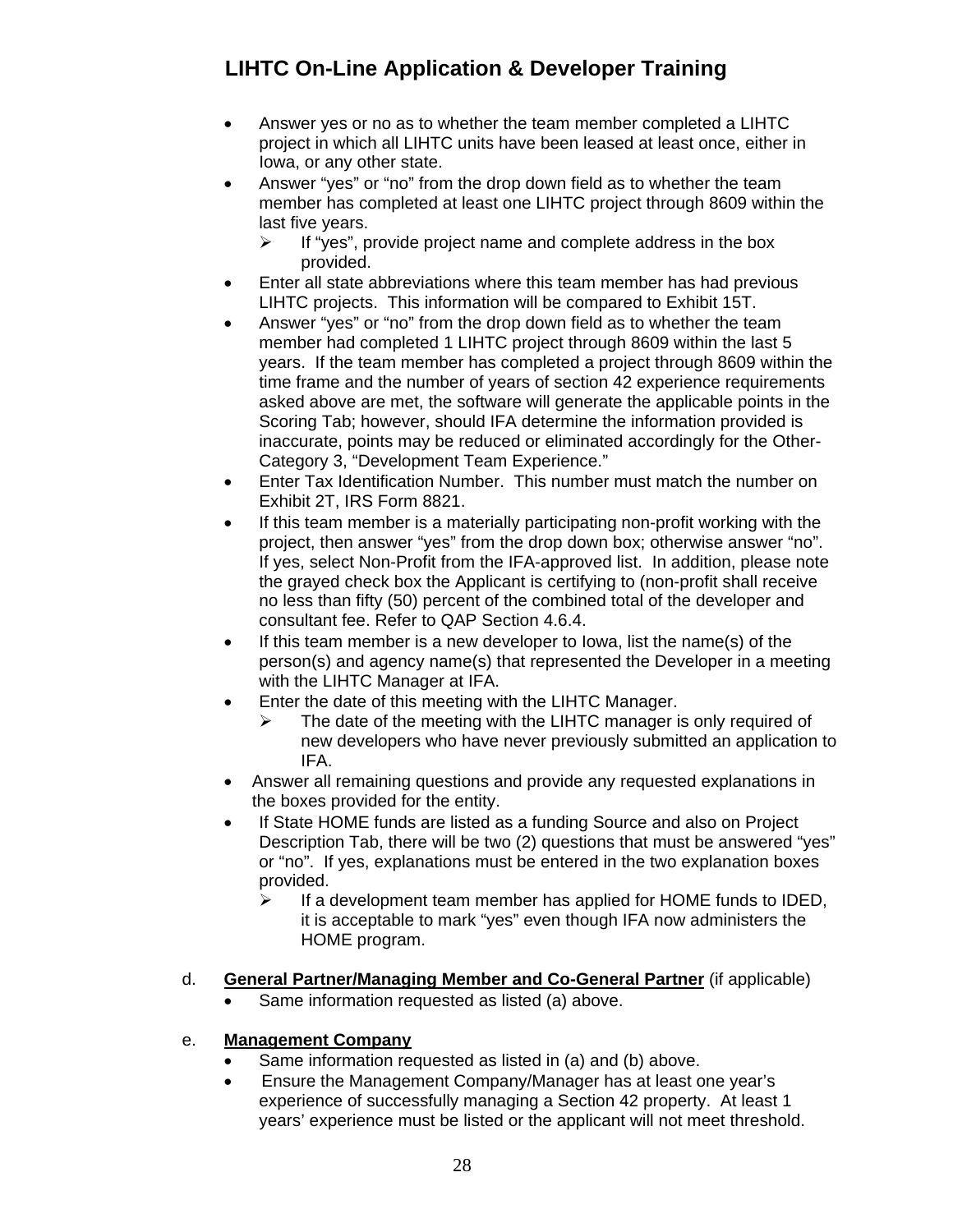- Answer yes or no as to whether the team member completed a LIHTC project in which all LIHTC units have been leased at least once, either in Iowa, or any other state.
- Answer "yes" or "no" from the drop down field as to whether the team member has completed at least one LIHTC project through 8609 within the last five years.
	- $\triangleright$  If "yes", provide project name and complete address in the box provided.
- Enter all state abbreviations where this team member has had previous LIHTC projects. This information will be compared to Exhibit 15T.
- Answer "yes" or "no" from the drop down field as to whether the team member had completed 1 LIHTC project through 8609 within the last 5 years. If the team member has completed a project through 8609 within the time frame and the number of years of section 42 experience requirements asked above are met, the software will generate the applicable points in the Scoring Tab; however, should IFA determine the information provided is inaccurate, points may be reduced or eliminated accordingly for the Other-Category 3, "Development Team Experience."
- Enter Tax Identification Number. This number must match the number on Exhibit 2T, IRS Form 8821.
- If this team member is a materially participating non-profit working with the project, then answer "yes" from the drop down box; otherwise answer "no". If yes, select Non-Profit from the IFA-approved list. In addition, please note the grayed check box the Applicant is certifying to (non-profit shall receive no less than fifty (50) percent of the combined total of the developer and consultant fee. Refer to QAP Section 4.6.4.
- If this team member is a new developer to Iowa, list the name(s) of the person(s) and agency name(s) that represented the Developer in a meeting with the LIHTC Manager at IFA.
- Enter the date of this meeting with the LIHTC Manager.
	- The date of the meeting with the LIHTC manager is only required of new developers who have never previously submitted an application to IFA.
- Answer all remaining questions and provide any requested explanations in the boxes provided for the entity.
- If State HOME funds are listed as a funding Source and also on Project Description Tab, there will be two (2) questions that must be answered "yes" or "no". If yes, explanations must be entered in the two explanation boxes provided.
	- $\triangleright$  If a development team member has applied for HOME funds to IDED, it is acceptable to mark "yes" even though IFA now administers the HOME program.
- d. **General Partner/Managing Member and Co-General Partner** (if applicable)
	- Same information requested as listed (a) above.
- e. **Management Company**
	- Same information requested as listed in (a) and (b) above.
	- Ensure the Management Company/Manager has at least one year's experience of successfully managing a Section 42 property. At least 1 years' experience must be listed or the applicant will not meet threshold.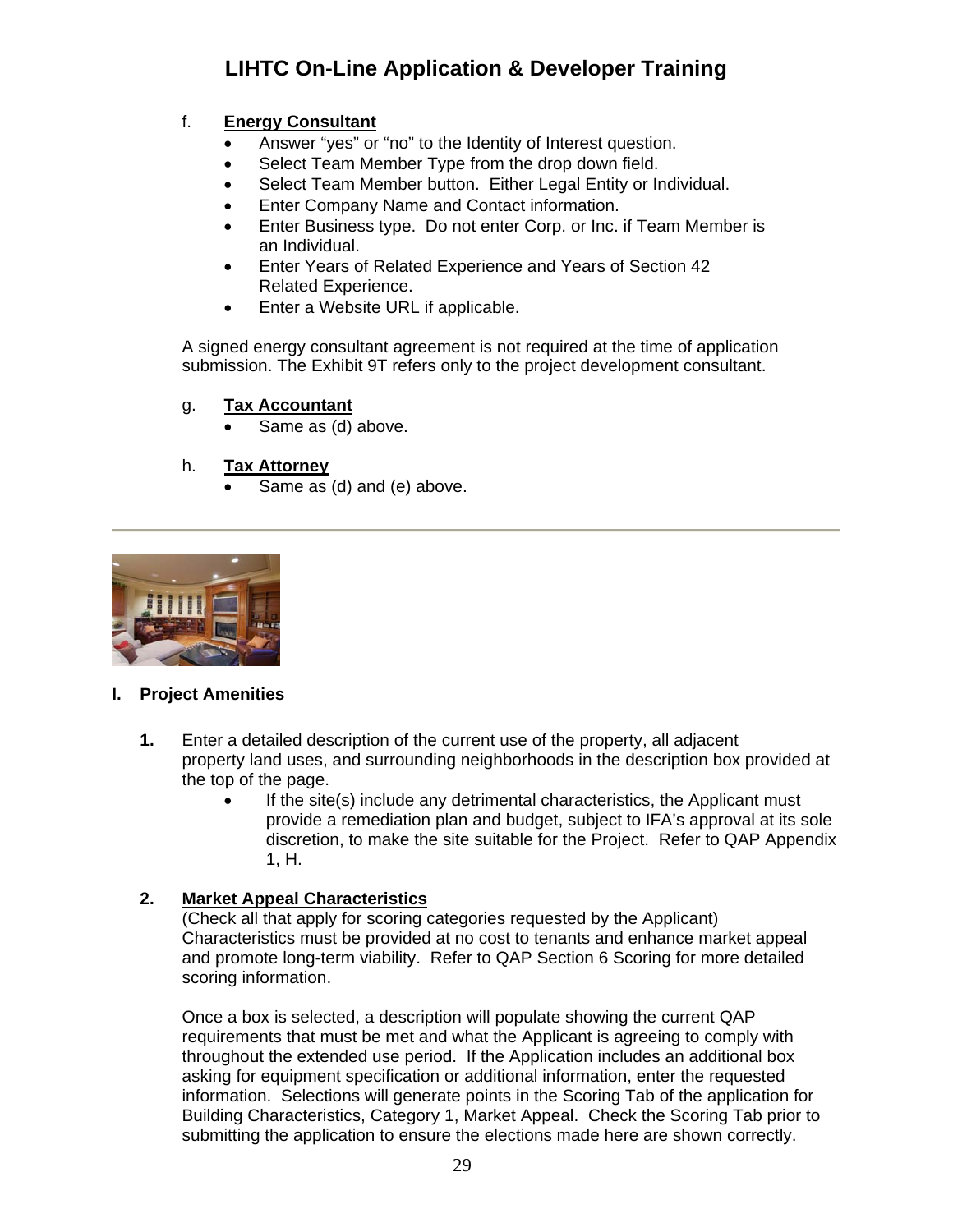## f. **Energy Consultant**

- Answer "yes" or "no" to the Identity of Interest question.
- Select Team Member Type from the drop down field.
- Select Team Member button. Either Legal Entity or Individual.
- Enter Company Name and Contact information.
- Enter Business type. Do not enter Corp. or Inc. if Team Member is an Individual.
- Enter Years of Related Experience and Years of Section 42 Related Experience.
- Enter a Website URL if applicable.

A signed energy consultant agreement is not required at the time of application submission. The Exhibit 9T refers only to the project development consultant.

### g. **Tax Accountant**

Same as (d) above.

### h. **Tax Attorney**

Same as (d) and (e) above.



### <span id="page-28-0"></span>**I. Project Amenities**

- **1.** Enter a detailed description of the current use of the property, all adjacent property land uses, and surrounding neighborhoods in the description box provided at the top of the page.
	- If the site(s) include any detrimental characteristics, the Applicant must provide a remediation plan and budget, subject to IFA's approval at its sole discretion, to make the site suitable for the Project. Refer to QAP Appendix 1, H.

### **2. Market Appeal Characteristics**

(Check all that apply for scoring categories requested by the Applicant) Characteristics must be provided at no cost to tenants and enhance market appeal and promote long-term viability. Refer to QAP Section 6 Scoring for more detailed scoring information.

Once a box is selected, a description will populate showing the current QAP requirements that must be met and what the Applicant is agreeing to comply with throughout the extended use period. If the Application includes an additional box asking for equipment specification or additional information, enter the requested information. Selections will generate points in the Scoring Tab of the application for Building Characteristics, Category 1, Market Appeal. Check the Scoring Tab prior to submitting the application to ensure the elections made here are shown correctly.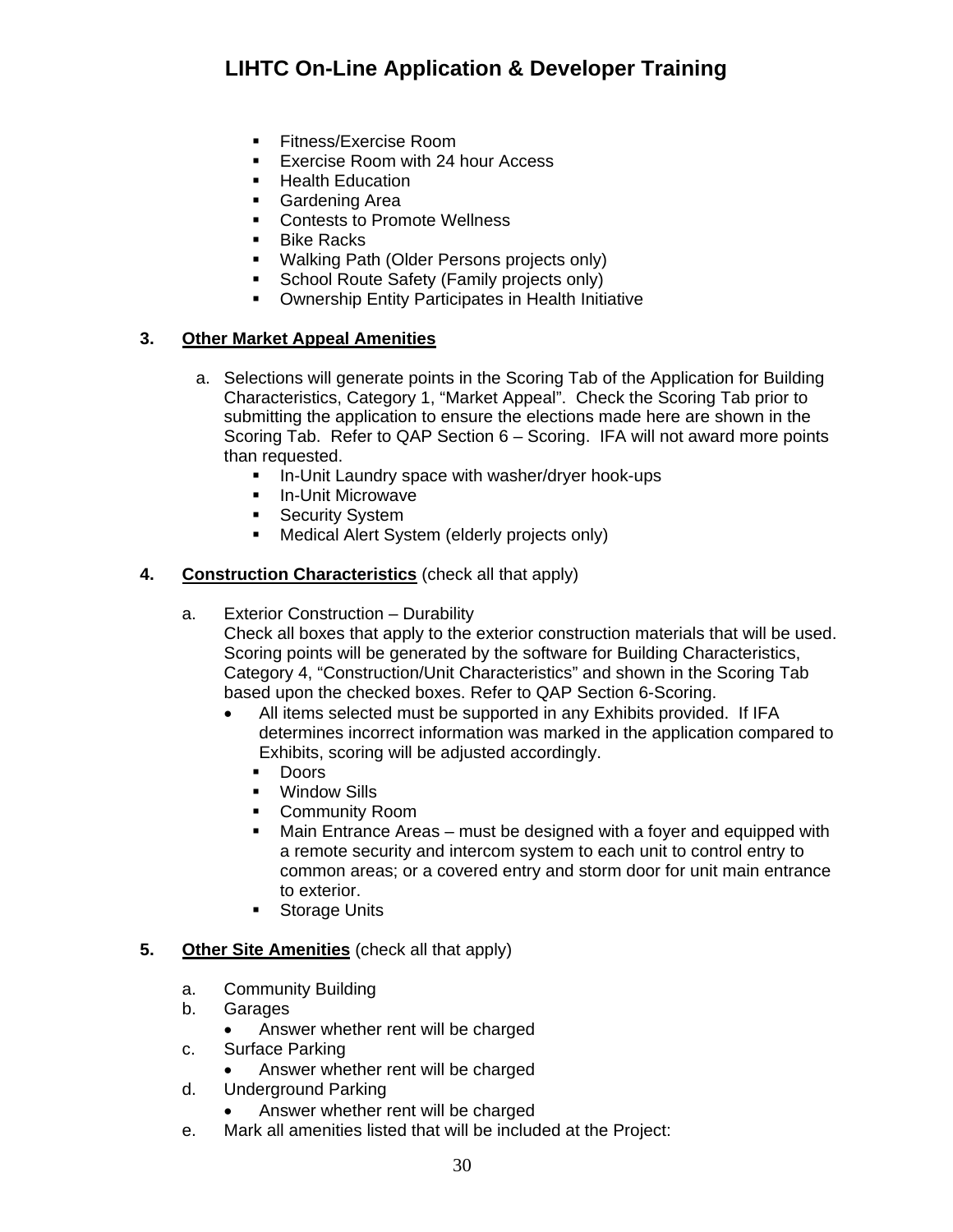- **Fitness/Exercise Room**
- Exercise Room with 24 hour Access
- Health Education
- Gardening Area
- Contests to Promote Wellness
- Bike Racks
- **Walking Path (Older Persons projects only)**
- School Route Safety (Family projects only)
- **Ownership Entity Participates in Health Initiative**

### **3. Other Market Appeal Amenities**

- a. Selections will generate points in the Scoring Tab of the Application for Building Characteristics, Category 1, "Market Appeal". Check the Scoring Tab prior to submitting the application to ensure the elections made here are shown in the Scoring Tab. Refer to QAP Section 6 – Scoring. IFA will not award more points than requested.
	- **In-Unit Laundry space with washer/dryer hook-ups**
	- **In-Unit Microwave**
	- **Security System**
	- **Medical Alert System (elderly projects only)**

#### **4. Construction Characteristics** (check all that apply)

a. Exterior Construction – Durability

Check all boxes that apply to the exterior construction materials that will be used. Scoring points will be generated by the software for Building Characteristics, Category 4, "Construction/Unit Characteristics" and shown in the Scoring Tab based upon the checked boxes. Refer to QAP Section 6-Scoring.

- All items selected must be supported in any Exhibits provided. If IFA determines incorrect information was marked in the application compared to Exhibits, scoring will be adjusted accordingly.
	- **Doors**
	- **•** Window Sills
	- **-** Community Room
	- Main Entrance Areas must be designed with a foyer and equipped with a remote security and intercom system to each unit to control entry to common areas; or a covered entry and storm door for unit main entrance to exterior.
	- **Storage Units**

#### **5. Other Site Amenities** (check all that apply)

- a. Community Building
- b. Garages
	- Answer whether rent will be charged
- c. Surface Parking
	- Answer whether rent will be charged
- d. Underground Parking
	- Answer whether rent will be charged
- e. Mark all amenities listed that will be included at the Project: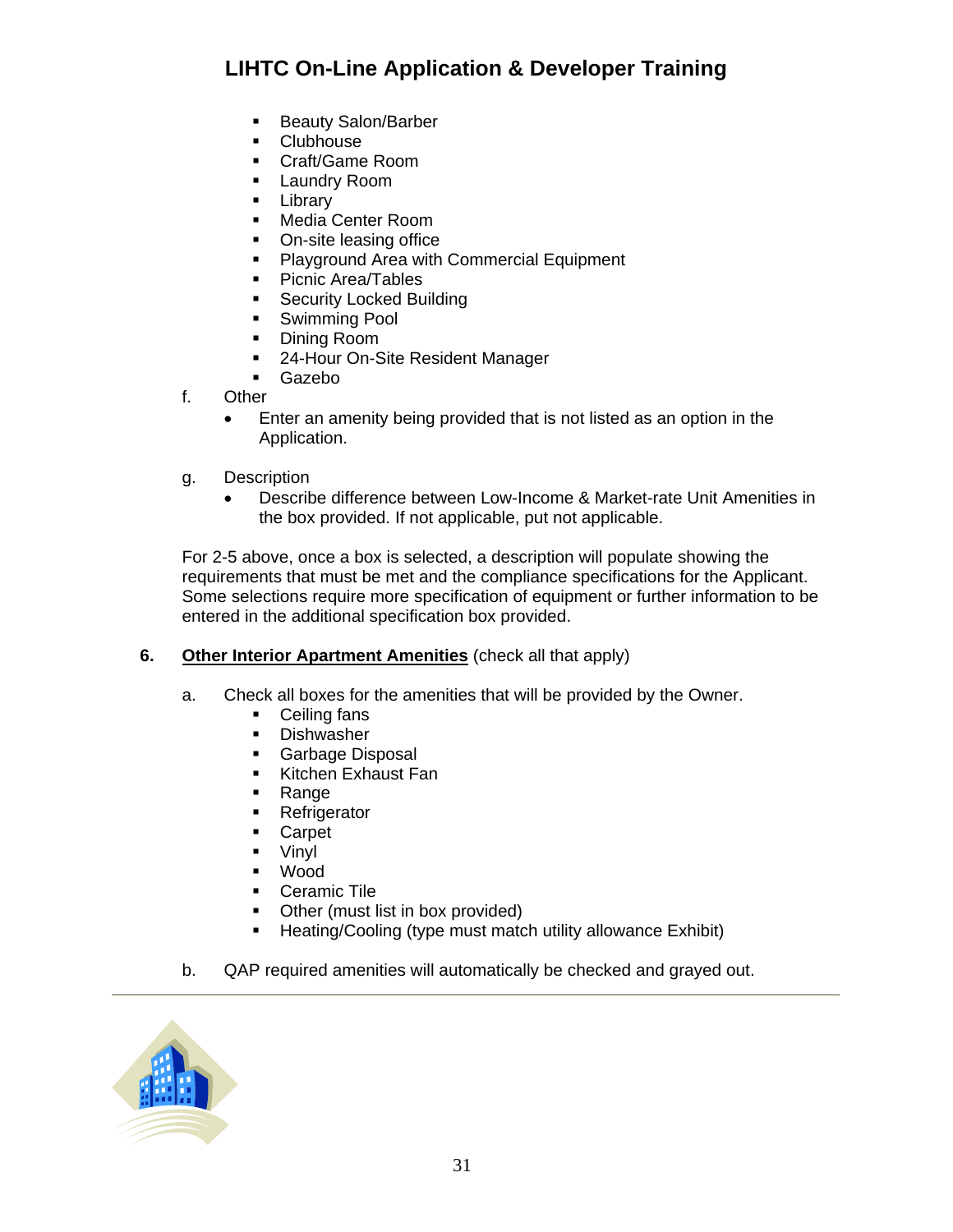- **Beauty Salon/Barber**
- **•** Clubhouse
- Craft/Game Room
- **Laundry Room**
- **-** Library
- **Media Center Room**
- On-site leasing office
- **Playground Area with Commercial Equipment**
- Picnic Area/Tables
- **Security Locked Building**
- **Swimming Pool**
- **Dining Room**
- **24-Hour On-Site Resident Manager**
- Gazebo
- f. Other
	- Enter an amenity being provided that is not listed as an option in the Application.
- g. Description
	- Describe difference between Low-Income & Market-rate Unit Amenities in the box provided. If not applicable, put not applicable.

For 2-5 above, once a box is selected, a description will populate showing the requirements that must be met and the compliance specifications for the Applicant. Some selections require more specification of equipment or further information to be entered in the additional specification box provided.

### **6. Other Interior Apartment Amenities** (check all that apply)

- a. Check all boxes for the amenities that will be provided by the Owner.
	- Ceiling fans
	- **Dishwasher**
	- **Garbage Disposal**
	- Kitchen Exhaust Fan
	- Range
	- **Refrigerator**
	- Carpet
	- Vinyl
	- Wood
	- **Ceramic Tile**
	- Other (must list in box provided)
	- **Heating/Cooling (type must match utility allowance Exhibit)**
- b. QAP required amenities will automatically be checked and grayed out.

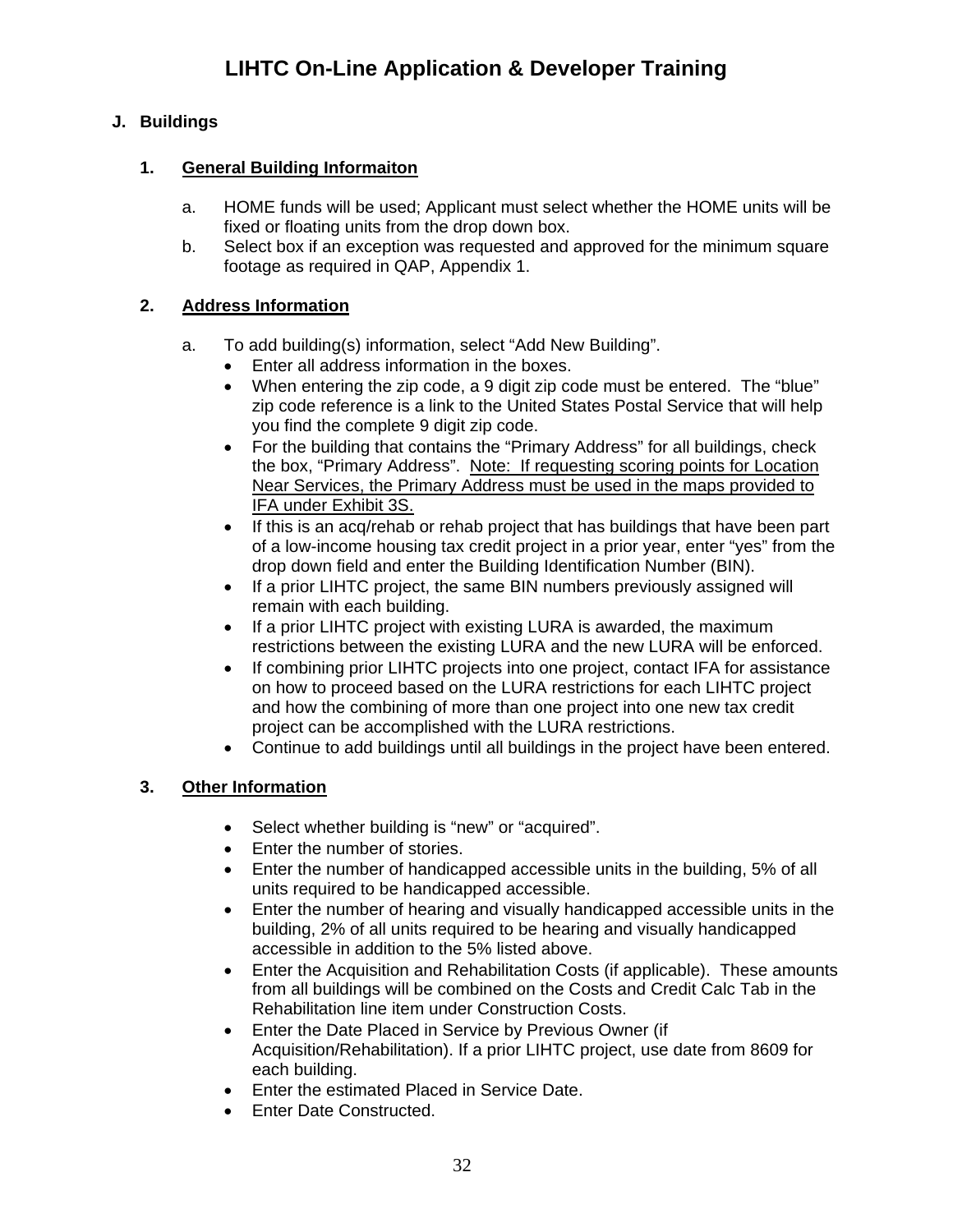## <span id="page-31-0"></span>**J. Buildings**

## **1. General Building Informaiton**

- a. HOME funds will be used; Applicant must select whether the HOME units will be fixed or floating units from the drop down box.
- b. Select box if an exception was requested and approved for the minimum square footage as required in QAP, Appendix 1.

## **2. Address Information**

- a. To add building(s) information, select "Add New Building".
	- Enter all address information in the boxes.
	- When entering the zip code, a 9 digit zip code must be entered. The "blue" zip code reference is a link to the United States Postal Service that will help you find the complete 9 digit zip code.
	- For the building that contains the "Primary Address" for all buildings, check the box, "Primary Address". Note: If requesting scoring points for Location Near Services, the Primary Address must be used in the maps provided to IFA under Exhibit 3S.
	- If this is an acq/rehab or rehab project that has buildings that have been part of a low-income housing tax credit project in a prior year, enter "yes" from the drop down field and enter the Building Identification Number (BIN).
	- If a prior LIHTC project, the same BIN numbers previously assigned will remain with each building.
	- If a prior LIHTC project with existing LURA is awarded, the maximum restrictions between the existing LURA and the new LURA will be enforced.
	- If combining prior LIHTC projects into one project, contact IFA for assistance on how to proceed based on the LURA restrictions for each LIHTC project and how the combining of more than one project into one new tax credit project can be accomplished with the LURA restrictions.
	- Continue to add buildings until all buildings in the project have been entered.

## **3. Other Information**

- Select whether building is "new" or "acquired".
- Enter the number of stories.
- Enter the number of handicapped accessible units in the building, 5% of all units required to be handicapped accessible.
- Enter the number of hearing and visually handicapped accessible units in the building, 2% of all units required to be hearing and visually handicapped accessible in addition to the 5% listed above.
- Enter the Acquisition and Rehabilitation Costs (if applicable). These amounts from all buildings will be combined on the Costs and Credit Calc Tab in the Rehabilitation line item under Construction Costs.
- Enter the Date Placed in Service by Previous Owner (if Acquisition/Rehabilitation). If a prior LIHTC project, use date from 8609 for each building.
- **•** Enter the estimated Placed in Service Date.
- Enter Date Constructed.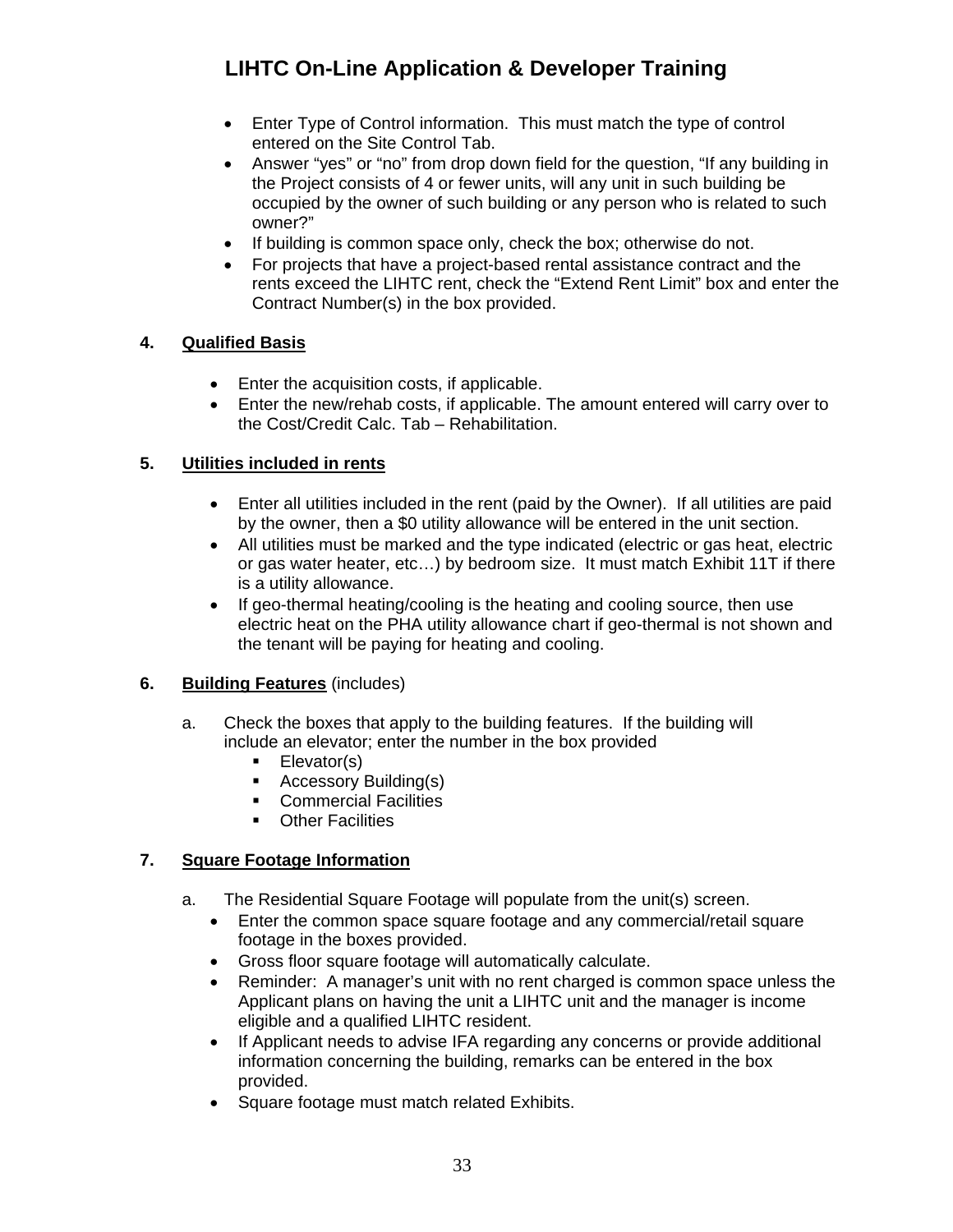- Enter Type of Control information. This must match the type of control entered on the Site Control Tab.
- Answer "yes" or "no" from drop down field for the question, "If any building in the Project consists of 4 or fewer units, will any unit in such building be occupied by the owner of such building or any person who is related to such owner?"
- If building is common space only, check the box; otherwise do not.
- For projects that have a project-based rental assistance contract and the rents exceed the LIHTC rent, check the "Extend Rent Limit" box and enter the Contract Number(s) in the box provided.

### **4. Qualified Basis**

- Enter the acquisition costs, if applicable.
- Enter the new/rehab costs, if applicable. The amount entered will carry over to the Cost/Credit Calc. Tab – Rehabilitation.

### **5. Utilities included in rents**

- Enter all utilities included in the rent (paid by the Owner). If all utilities are paid by the owner, then a \$0 utility allowance will be entered in the unit section.
- All utilities must be marked and the type indicated (electric or gas heat, electric or gas water heater, etc…) by bedroom size. It must match Exhibit 11T if there is a utility allowance.
- If geo-thermal heating/cooling is the heating and cooling source, then use electric heat on the PHA utility allowance chart if geo-thermal is not shown and the tenant will be paying for heating and cooling.

### **6. Building Features** (includes)

- a. Check the boxes that apply to the building features. If the building will include an elevator; enter the number in the box provided
	- **Elevator(s)**
	- **Accessory Building(s)**
	- **Commercial Facilities**
	- **•** Other Facilities

## **7. Square Footage Information**

- a. The Residential Square Footage will populate from the unit(s) screen.
	- Enter the common space square footage and any commercial/retail square footage in the boxes provided.
	- Gross floor square footage will automatically calculate.
	- Reminder: A manager's unit with no rent charged is common space unless the Applicant plans on having the unit a LIHTC unit and the manager is income eligible and a qualified LIHTC resident.
	- If Applicant needs to advise IFA regarding any concerns or provide additional information concerning the building, remarks can be entered in the box provided.
	- Square footage must match related Exhibits.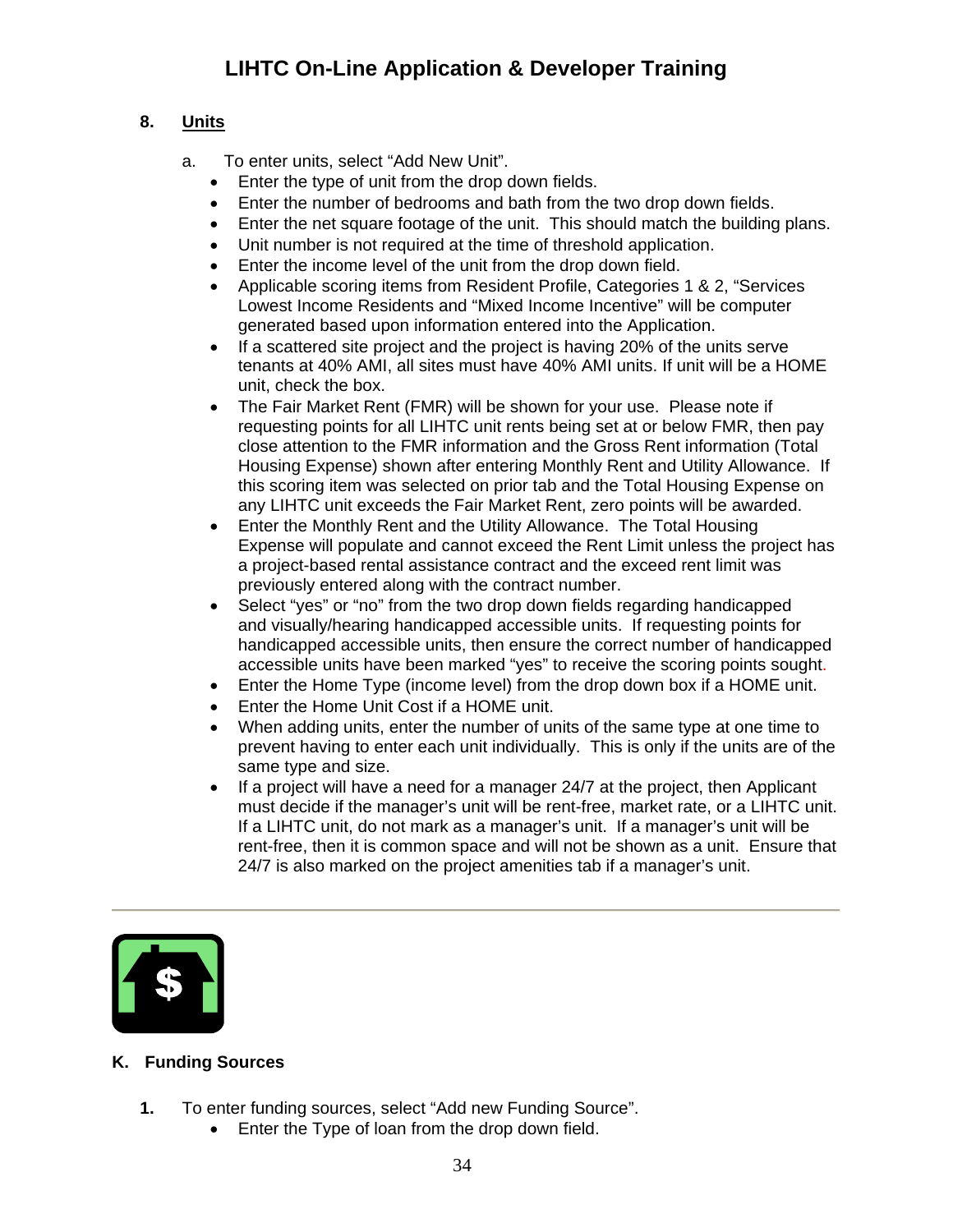## **8. Units**

- a. To enter units, select "Add New Unit".
	- Enter the type of unit from the drop down fields.
	- Enter the number of bedrooms and bath from the two drop down fields.
	- Enter the net square footage of the unit. This should match the building plans.
	- Unit number is not required at the time of threshold application.
	- Enter the income level of the unit from the drop down field.
	- Applicable scoring items from Resident Profile, Categories 1 & 2, "Services Lowest Income Residents and "Mixed Income Incentive" will be computer generated based upon information entered into the Application.
	- If a scattered site project and the project is having 20% of the units serve tenants at 40% AMI, all sites must have 40% AMI units. If unit will be a HOME unit, check the box.
	- The Fair Market Rent (FMR) will be shown for your use. Please note if requesting points for all LIHTC unit rents being set at or below FMR, then pay close attention to the FMR information and the Gross Rent information (Total Housing Expense) shown after entering Monthly Rent and Utility Allowance. If this scoring item was selected on prior tab and the Total Housing Expense on any LIHTC unit exceeds the Fair Market Rent, zero points will be awarded.
	- Enter the Monthly Rent and the Utility Allowance. The Total Housing Expense will populate and cannot exceed the Rent Limit unless the project has a project-based rental assistance contract and the exceed rent limit was previously entered along with the contract number.
	- Select "yes" or "no" from the two drop down fields regarding handicapped and visually/hearing handicapped accessible units. If requesting points for handicapped accessible units, then ensure the correct number of handicapped accessible units have been marked "yes" to receive the scoring points sought.
	- Enter the Home Type (income level) from the drop down box if a HOME unit.
	- Enter the Home Unit Cost if a HOME unit.
	- When adding units, enter the number of units of the same type at one time to prevent having to enter each unit individually. This is only if the units are of the same type and size.
	- $\bullet$  If a project will have a need for a manager 24/7 at the project, then Applicant must decide if the manager's unit will be rent-free, market rate, or a LIHTC unit. If a LIHTC unit, do not mark as a manager's unit. If a manager's unit will be rent-free, then it is common space and will not be shown as a unit. Ensure that 24/7 is also marked on the project amenities tab if a manager's unit.



## <span id="page-33-0"></span>**K. Funding Sources**

- **1.** To enter funding sources, select "Add new Funding Source".
	- Enter the Type of loan from the drop down field.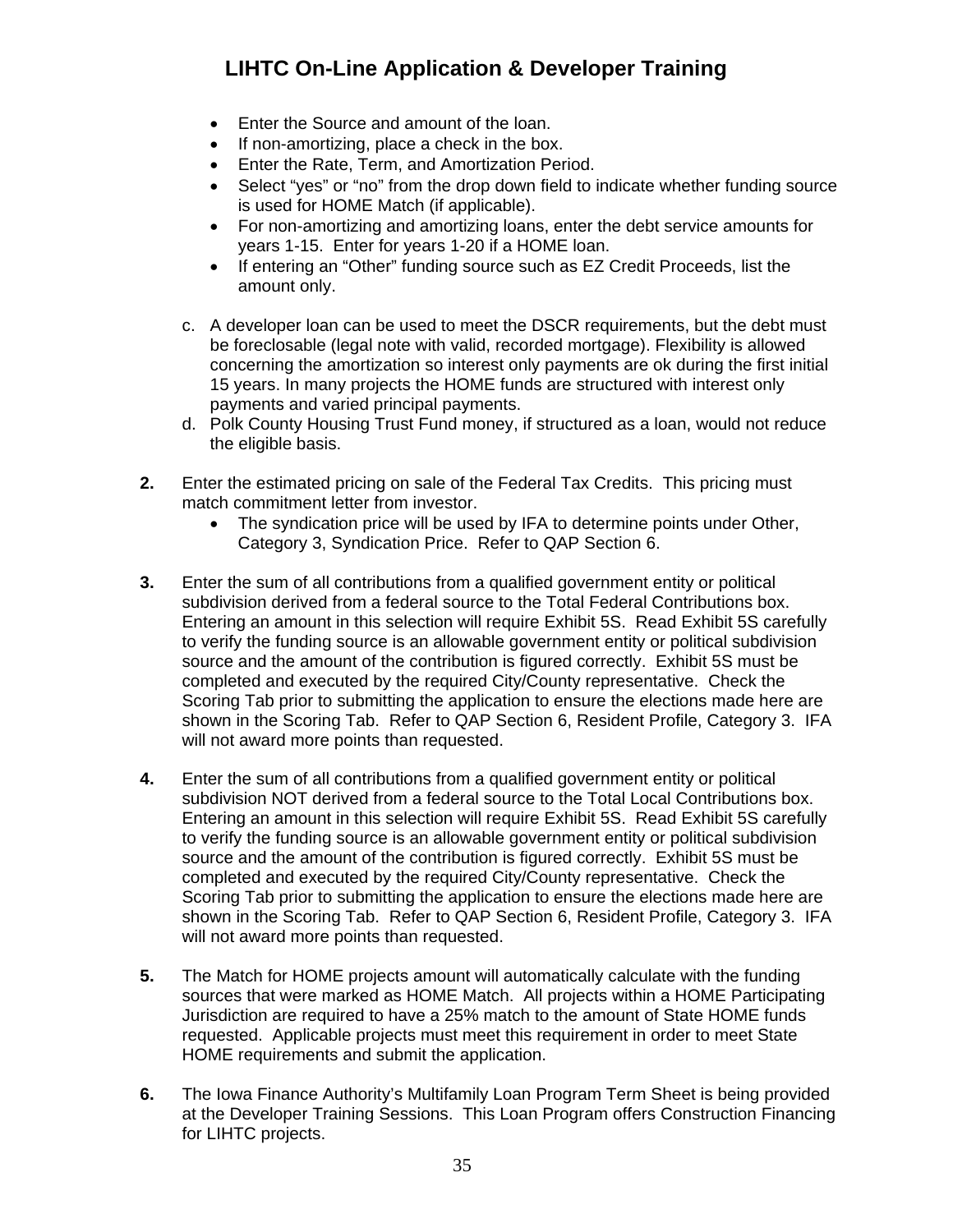- Enter the Source and amount of the loan.
- If non-amortizing, place a check in the box.
- **Enter the Rate, Term, and Amortization Period.**
- Select "yes" or "no" from the drop down field to indicate whether funding source is used for HOME Match (if applicable).
- For non-amortizing and amortizing loans, enter the debt service amounts for years 1-15. Enter for years 1-20 if a HOME loan.
- If entering an "Other" funding source such as EZ Credit Proceeds, list the amount only.
- c. A developer loan can be used to meet the DSCR requirements, but the debt must be foreclosable (legal note with valid, recorded mortgage). Flexibility is allowed concerning the amortization so interest only payments are ok during the first initial 15 years. In many projects the HOME funds are structured with interest only payments and varied principal payments.
- d. Polk County Housing Trust Fund money, if structured as a loan, would not reduce the eligible basis.
- **2.** Enter the estimated pricing on sale of the Federal Tax Credits. This pricing must match commitment letter from investor.
	- The syndication price will be used by IFA to determine points under Other, Category 3, Syndication Price. Refer to QAP Section 6.
- **3.** Enter the sum of all contributions from a qualified government entity or political subdivision derived from a federal source to the Total Federal Contributions box. Entering an amount in this selection will require Exhibit 5S. Read Exhibit 5S carefully to verify the funding source is an allowable government entity or political subdivision source and the amount of the contribution is figured correctly. Exhibit 5S must be completed and executed by the required City/County representative. Check the Scoring Tab prior to submitting the application to ensure the elections made here are shown in the Scoring Tab. Refer to QAP Section 6, Resident Profile, Category 3. IFA will not award more points than requested.
- **4.** Enter the sum of all contributions from a qualified government entity or political subdivision NOT derived from a federal source to the Total Local Contributions box. Entering an amount in this selection will require Exhibit 5S. Read Exhibit 5S carefully to verify the funding source is an allowable government entity or political subdivision source and the amount of the contribution is figured correctly. Exhibit 5S must be completed and executed by the required City/County representative. Check the Scoring Tab prior to submitting the application to ensure the elections made here are shown in the Scoring Tab. Refer to QAP Section 6, Resident Profile, Category 3. IFA will not award more points than requested.
- **5.** The Match for HOME projects amount will automatically calculate with the funding sources that were marked as HOME Match. All projects within a HOME Participating Jurisdiction are required to have a 25% match to the amount of State HOME funds requested. Applicable projects must meet this requirement in order to meet State HOME requirements and submit the application.
- **6.** The Iowa Finance Authority's Multifamily Loan Program Term Sheet is being provided at the Developer Training Sessions. This Loan Program offers Construction Financing for LIHTC projects.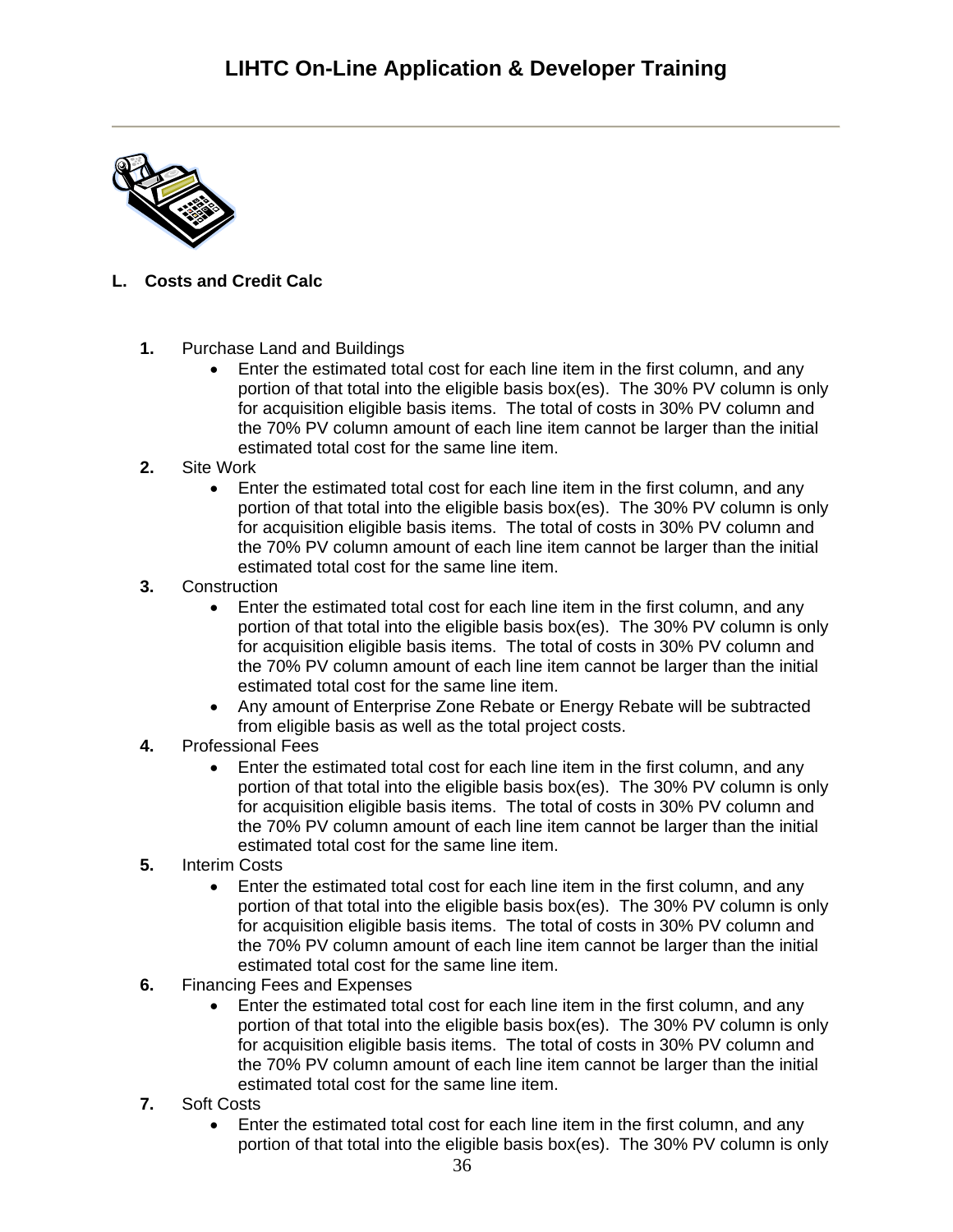

## <span id="page-35-0"></span>**L. Costs and Credit Calc**

- **1.** Purchase Land and Buildings
	- Enter the estimated total cost for each line item in the first column, and any portion of that total into the eligible basis box(es). The 30% PV column is only for acquisition eligible basis items. The total of costs in 30% PV column and the 70% PV column amount of each line item cannot be larger than the initial estimated total cost for the same line item.
- **2.** Site Work
	- Enter the estimated total cost for each line item in the first column, and any portion of that total into the eligible basis box(es). The 30% PV column is only for acquisition eligible basis items. The total of costs in 30% PV column and the 70% PV column amount of each line item cannot be larger than the initial estimated total cost for the same line item.
- **3.** Construction
	- Enter the estimated total cost for each line item in the first column, and any portion of that total into the eligible basis box(es). The 30% PV column is only for acquisition eligible basis items. The total of costs in 30% PV column and the 70% PV column amount of each line item cannot be larger than the initial estimated total cost for the same line item.
	- Any amount of Enterprise Zone Rebate or Energy Rebate will be subtracted from eligible basis as well as the total project costs.
- **4.** Professional Fees
	- Enter the estimated total cost for each line item in the first column, and any portion of that total into the eligible basis box(es). The 30% PV column is only for acquisition eligible basis items. The total of costs in 30% PV column and the 70% PV column amount of each line item cannot be larger than the initial estimated total cost for the same line item.
- **5.** Interim Costs
	- Enter the estimated total cost for each line item in the first column, and any portion of that total into the eligible basis box(es). The 30% PV column is only for acquisition eligible basis items. The total of costs in 30% PV column and the 70% PV column amount of each line item cannot be larger than the initial estimated total cost for the same line item.
- **6.** Financing Fees and Expenses
	- Enter the estimated total cost for each line item in the first column, and any portion of that total into the eligible basis box(es). The 30% PV column is only for acquisition eligible basis items. The total of costs in 30% PV column and the 70% PV column amount of each line item cannot be larger than the initial estimated total cost for the same line item.
- **7.** Soft Costs
	- Enter the estimated total cost for each line item in the first column, and any portion of that total into the eligible basis box(es). The 30% PV column is only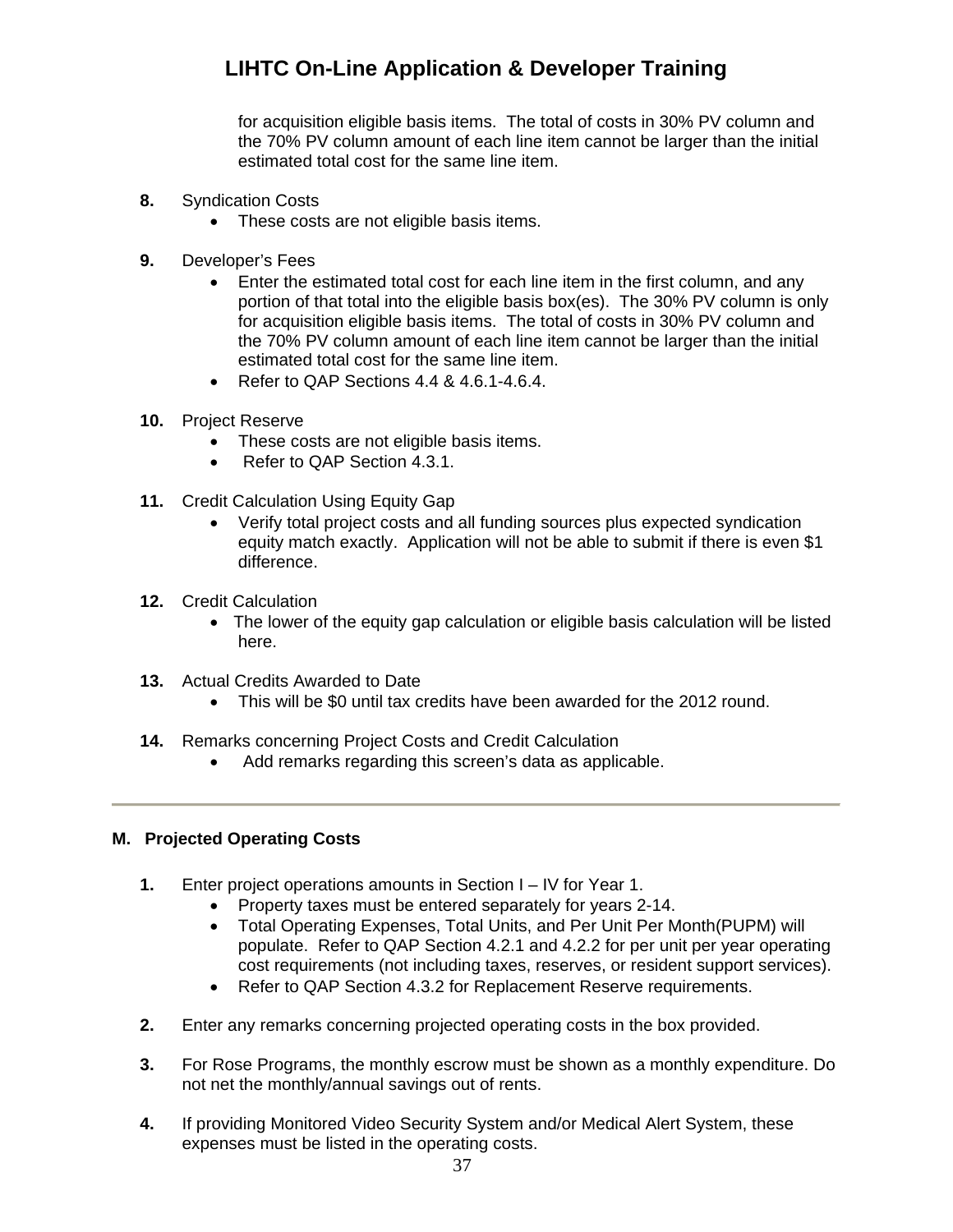for acquisition eligible basis items. The total of costs in 30% PV column and the 70% PV column amount of each line item cannot be larger than the initial estimated total cost for the same line item.

- **8.** Syndication Costs
	- These costs are not eligible basis items.
- **9.** Developer's Fees
	- Enter the estimated total cost for each line item in the first column, and any portion of that total into the eligible basis box(es). The 30% PV column is only for acquisition eligible basis items. The total of costs in 30% PV column and the 70% PV column amount of each line item cannot be larger than the initial estimated total cost for the same line item.
	- Refer to QAP Sections 4.4 & 4.6.1-4.6.4.
- **10.** Project Reserve
	- These costs are not eligible basis items.
	- Refer to QAP Section 4.3.1.
- **11.** Credit Calculation Using Equity Gap
	- Verify total project costs and all funding sources plus expected syndication equity match exactly. Application will not be able to submit if there is even \$1 difference.
- **12.** Credit Calculation
	- The lower of the equity gap calculation or eligible basis calculation will be listed here.
- **13.** Actual Credits Awarded to Date
	- This will be \$0 until tax credits have been awarded for the 2012 round.
- **14.** Remarks concerning Project Costs and Credit Calculation
	- Add remarks regarding this screen's data as applicable.

### <span id="page-36-0"></span>**M. Projected Operating Costs**

- **1.** Enter project operations amounts in Section I IV for Year 1.
	- Property taxes must be entered separately for years 2-14.
	- Total Operating Expenses, Total Units, and Per Unit Per Month(PUPM) will populate. Refer to QAP Section 4.2.1 and 4.2.2 for per unit per year operating cost requirements (not including taxes, reserves, or resident support services).
	- Refer to QAP Section 4.3.2 for Replacement Reserve requirements.
- **2.** Enter any remarks concerning projected operating costs in the box provided.
- **3.** For Rose Programs, the monthly escrow must be shown as a monthly expenditure. Do not net the monthly/annual savings out of rents.
- **4.** If providing Monitored Video Security System and/or Medical Alert System, these expenses must be listed in the operating costs.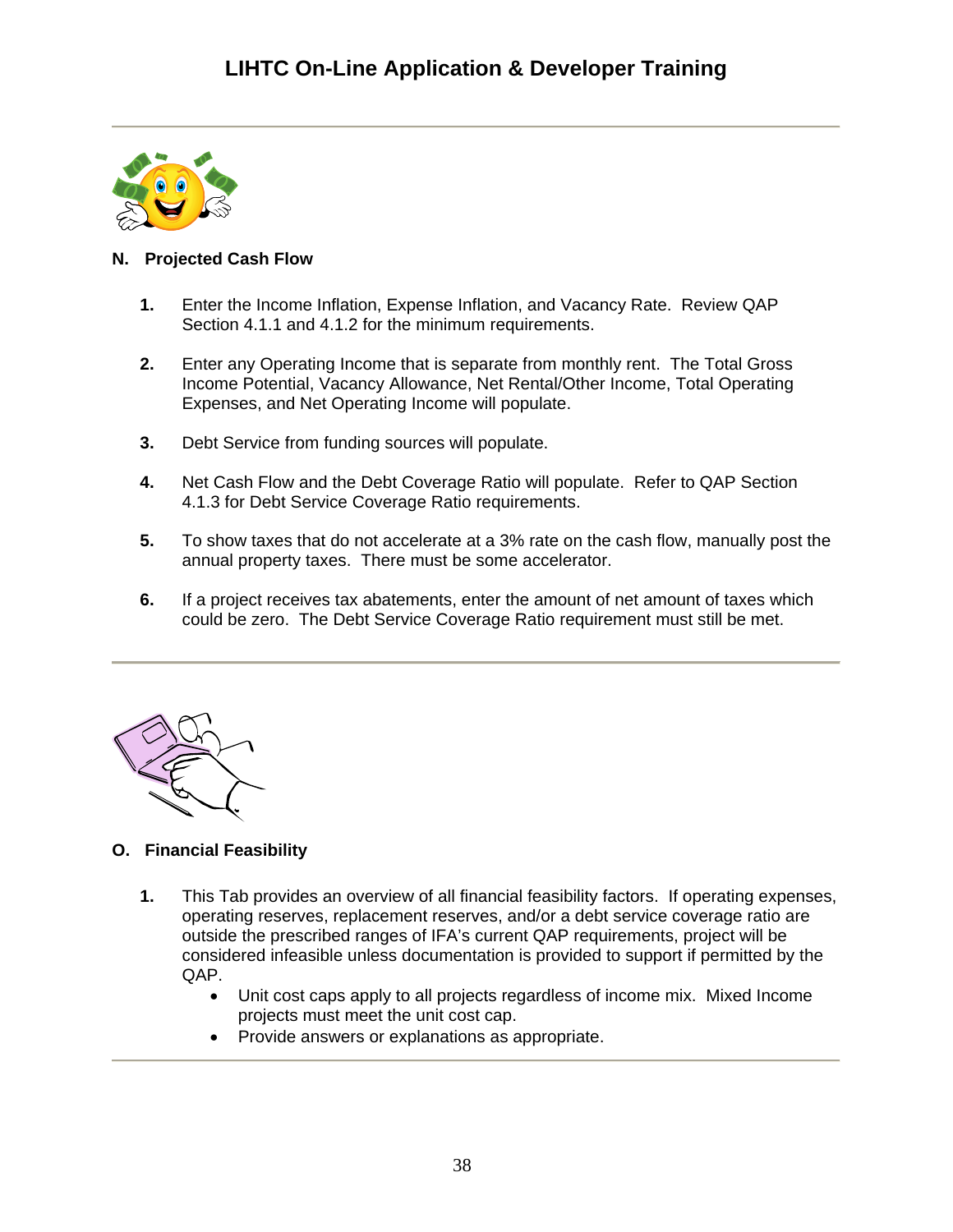

## <span id="page-37-0"></span>**N. Projected Cash Flow**

- **1.** Enter the Income Inflation, Expense Inflation, and Vacancy Rate. Review QAP Section 4.1.1 and 4.1.2 for the minimum requirements.
- **2.** Enter any Operating Income that is separate from monthly rent. The Total Gross Income Potential, Vacancy Allowance, Net Rental/Other Income, Total Operating Expenses, and Net Operating Income will populate.
- **3.** Debt Service from funding sources will populate.
- **4.** Net Cash Flow and the Debt Coverage Ratio will populate. Refer to QAP Section 4.1.3 for Debt Service Coverage Ratio requirements.
- **5.** To show taxes that do not accelerate at a 3% rate on the cash flow, manually post the annual property taxes. There must be some accelerator.
- **6.** If a project receives tax abatements, enter the amount of net amount of taxes which could be zero. The Debt Service Coverage Ratio requirement must still be met.



## <span id="page-37-1"></span>**O. Financial Feasibility**

- **1.** This Tab provides an overview of all financial feasibility factors. If operating expenses, operating reserves, replacement reserves, and/or a debt service coverage ratio are outside the prescribed ranges of IFA's current QAP requirements, project will be considered infeasible unless documentation is provided to support if permitted by the QAP.
	- Unit cost caps apply to all projects regardless of income mix. Mixed Income projects must meet the unit cost cap.
	- Provide answers or explanations as appropriate.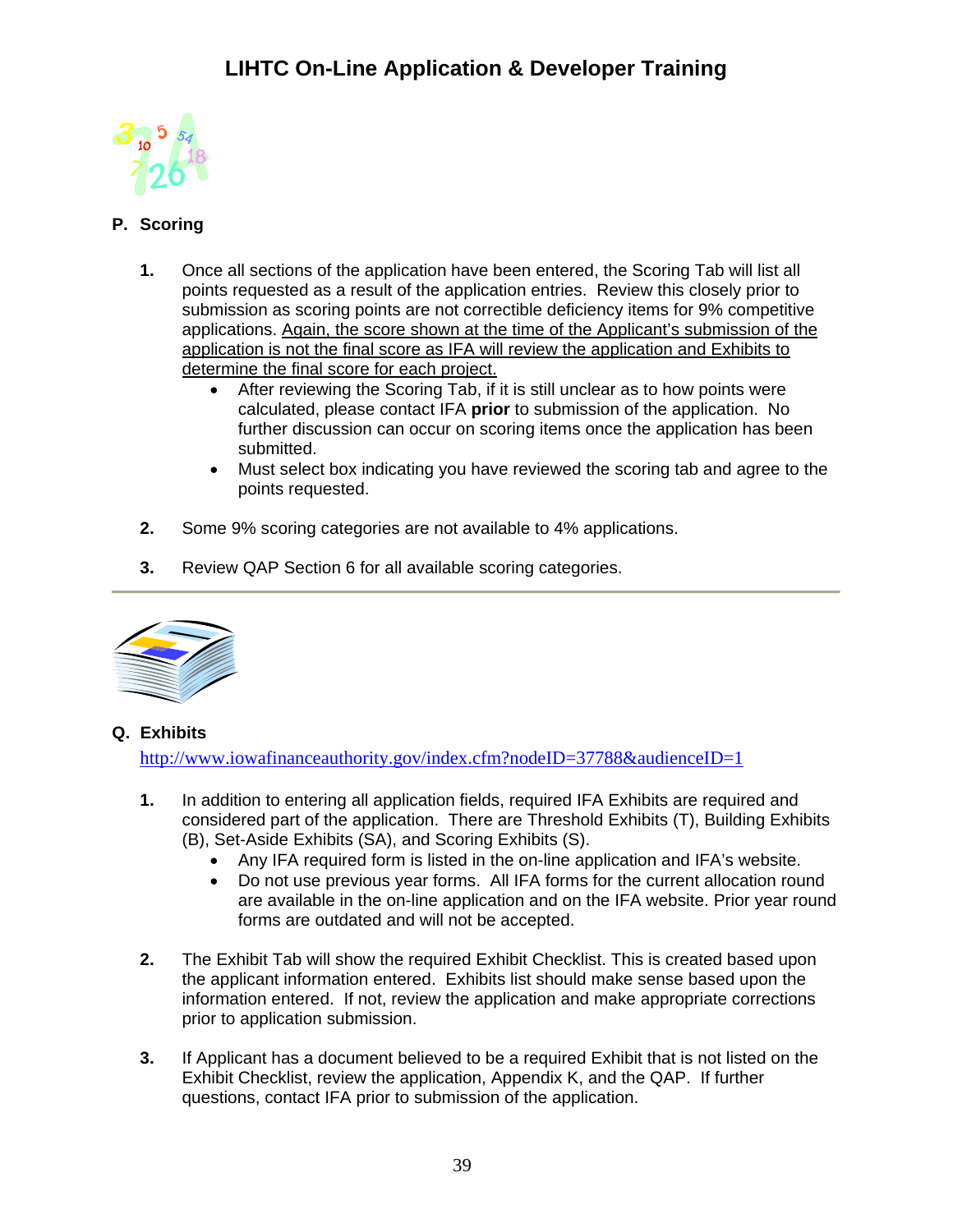

## <span id="page-38-0"></span>**P. Scoring**

- **1.** Once all sections of the application have been entered, the Scoring Tab will list all points requested as a result of the application entries. Review this closely prior to submission as scoring points are not correctible deficiency items for 9% competitive applications. Again, the score shown at the time of the Applicant's submission of the application is not the final score as IFA will review the application and Exhibits to determine the final score for each project.
	- After reviewing the Scoring Tab, if it is still unclear as to how points were calculated, please contact IFA **prior** to submission of the application. No further discussion can occur on scoring items once the application has been submitted.
	- Must select box indicating you have reviewed the scoring tab and agree to the points requested.
- **2.** Some 9% scoring categories are not available to 4% applications.
- **3.** Review QAP Section 6 for all available scoring categories.



## <span id="page-38-1"></span>**Q. Exhibits**

<http://www.iowafinanceauthority.gov/index.cfm?nodeID=37788&audienceID=1>

- **1.** In addition to entering all application fields, required IFA Exhibits are required and considered part of the application. There are Threshold Exhibits (T), Building Exhibits (B), Set-Aside Exhibits (SA), and Scoring Exhibits (S).
	- Any IFA required form is listed in the on-line application and IFA's website.
	- Do not use previous year forms. All IFA forms for the current allocation round are available in the on-line application and on the IFA website. Prior year round forms are outdated and will not be accepted.
- **2.** The Exhibit Tab will show the required Exhibit Checklist. This is created based upon the applicant information entered. Exhibits list should make sense based upon the information entered. If not, review the application and make appropriate corrections prior to application submission.
- **3.** If Applicant has a document believed to be a required Exhibit that is not listed on the Exhibit Checklist, review the application, Appendix K, and the QAP. If further questions, contact IFA prior to submission of the application.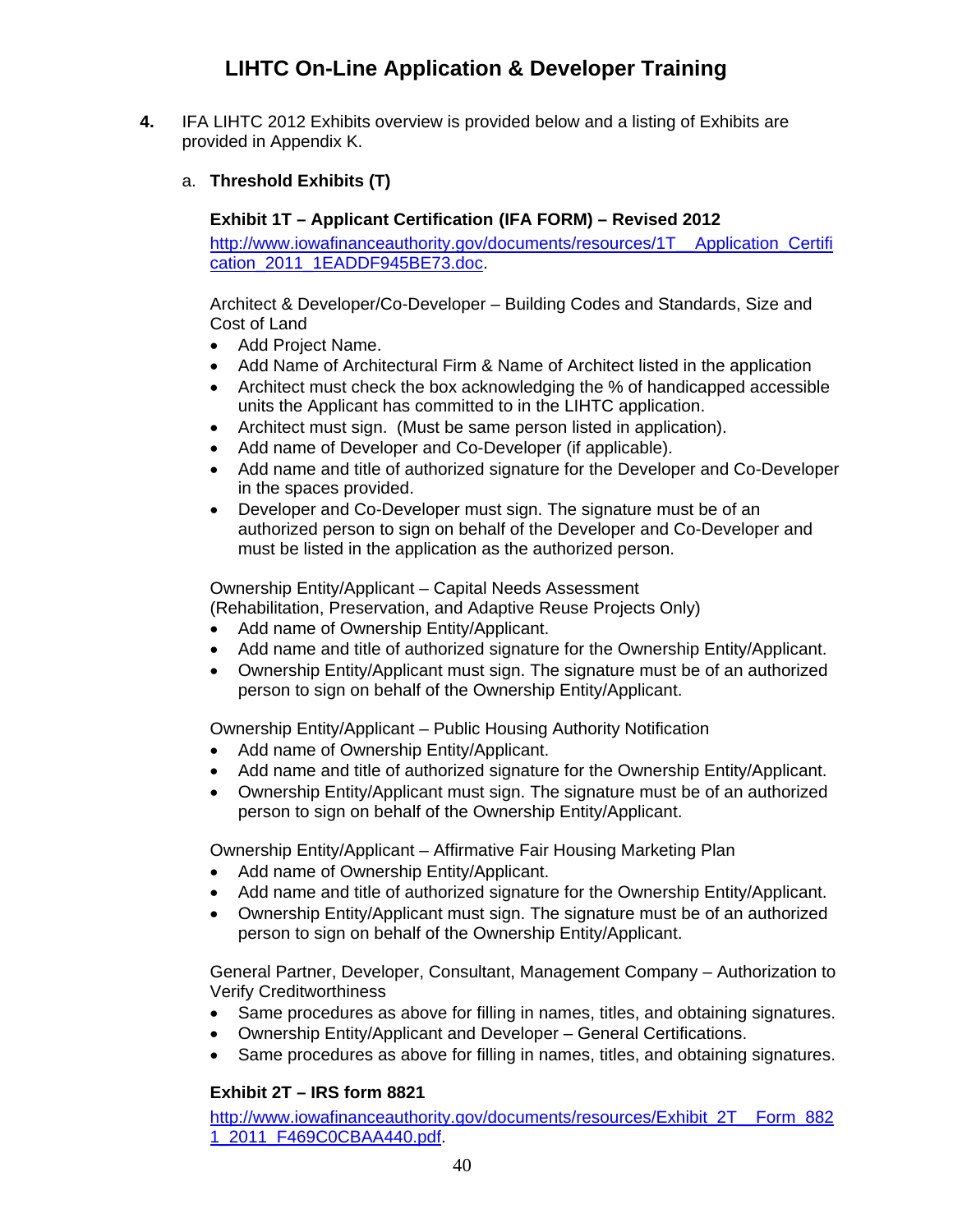- <span id="page-39-1"></span><span id="page-39-0"></span>**4.** IFA LIHTC 2012 Exhibits overview is provided below and a listing of Exhibits are provided in Appendix K.
	- a. **Threshold Exhibits (T)**

## **Exhibit 1T – Applicant Certification (IFA FORM) – Revised 2012**

[http://www.iowafinanceauthority.gov/documents/resources/1T\\_\\_Application\\_Certifi](http://www.iowafinanceauthority.gov/documents/resources/1T__Application_Certification_2011_1EADDF945BE73.doc) [cation\\_2011\\_1EADDF945BE73.doc](http://www.iowafinanceauthority.gov/documents/resources/1T__Application_Certification_2011_1EADDF945BE73.doc).

Architect & Developer/Co-Developer – Building Codes and Standards, Size and Cost of Land

- Add Project Name.
- Add Name of Architectural Firm & Name of Architect listed in the application
- Architect must check the box acknowledging the % of handicapped accessible units the Applicant has committed to in the LIHTC application.
- Architect must sign. (Must be same person listed in application).
- Add name of Developer and Co-Developer (if applicable).
- Add name and title of authorized signature for the Developer and Co-Developer in the spaces provided.
- Developer and Co-Developer must sign. The signature must be of an authorized person to sign on behalf of the Developer and Co-Developer and must be listed in the application as the authorized person.

Ownership Entity/Applicant – Capital Needs Assessment

(Rehabilitation, Preservation, and Adaptive Reuse Projects Only)

- Add name of Ownership Entity/Applicant.
- Add name and title of authorized signature for the Ownership Entity/Applicant.
- Ownership Entity/Applicant must sign. The signature must be of an authorized person to sign on behalf of the Ownership Entity/Applicant.

Ownership Entity/Applicant – Public Housing Authority Notification

- Add name of Ownership Entity/Applicant.
- Add name and title of authorized signature for the Ownership Entity/Applicant.
- Ownership Entity/Applicant must sign. The signature must be of an authorized person to sign on behalf of the Ownership Entity/Applicant.

Ownership Entity/Applicant – Affirmative Fair Housing Marketing Plan

- Add name of Ownership Entity/Applicant.
- Add name and title of authorized signature for the Ownership Entity/Applicant.
- Ownership Entity/Applicant must sign. The signature must be of an authorized person to sign on behalf of the Ownership Entity/Applicant.

General Partner, Developer, Consultant, Management Company – Authorization to Verify Creditworthiness

- Same procedures as above for filling in names, titles, and obtaining signatures.
- Ownership Entity/Applicant and Developer General Certifications.
- Same procedures as above for filling in names, titles, and obtaining signatures.

## **Exhibit 2T – IRS form 8821**

<span id="page-39-2"></span>[http://www.iowafinanceauthority.gov/documents/resources/Exhibit\\_2T\\_\\_Form\\_882](http://www.iowafinanceauthority.gov/documents/resources/Exhibit_2T__Form_8821_2011_F469C0CBAA440.pdf) [1\\_2011\\_F469C0CBAA440.pdf.](http://www.iowafinanceauthority.gov/documents/resources/Exhibit_2T__Form_8821_2011_F469C0CBAA440.pdf)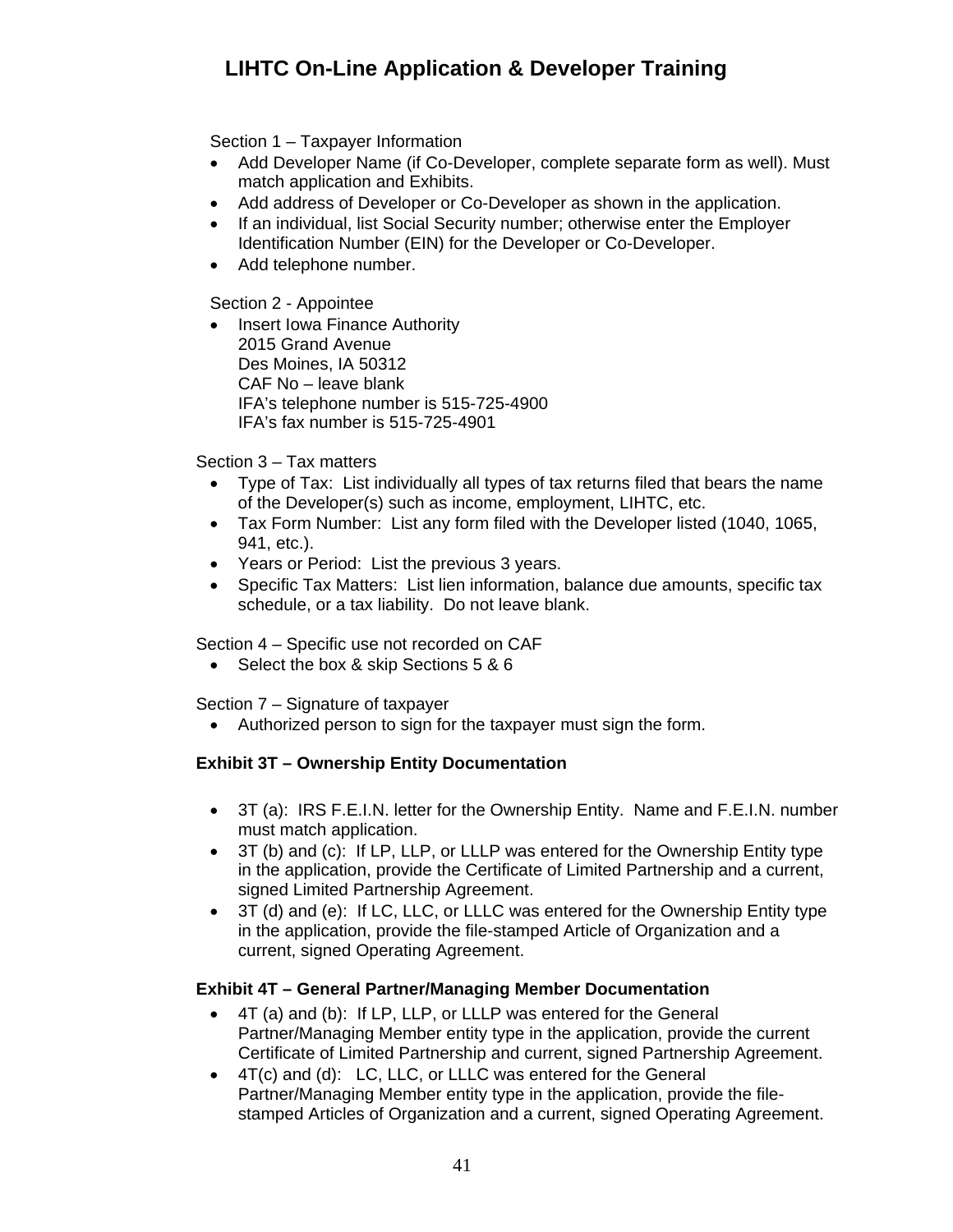Section 1 – Taxpayer Information

- Add Developer Name (if Co-Developer, complete separate form as well). Must match application and Exhibits.
- Add address of Developer or Co-Developer as shown in the application.
- If an individual, list Social Security number; otherwise enter the Employer Identification Number (EIN) for the Developer or Co-Developer.
- Add telephone number.

Section 2 - Appointee

• Insert Iowa Finance Authority 2015 Grand Avenue Des Moines, IA 50312 CAF No – leave blank IFA's telephone number is 515-725-4900 IFA's fax number is 515-725-4901

Section 3 – Tax matters

- Type of Tax: List individually all types of tax returns filed that bears the name of the Developer(s) such as income, employment, LIHTC, etc.
- Tax Form Number: List any form filed with the Developer listed (1040, 1065, 941, etc.).
- Years or Period: List the previous 3 years.
- Specific Tax Matters: List lien information, balance due amounts, specific tax schedule, or a tax liability. Do not leave blank.

Section 4 – Specific use not recorded on CAF

• Select the box & skip Sections 5 & 6

Section 7 – Signature of taxpayer

Authorized person to sign for the taxpayer must sign the form.

### <span id="page-40-0"></span>**Exhibit 3T – Ownership Entity Documentation**

- 3T (a): IRS F.E.I.N. letter for the Ownership Entity. Name and F.E.I.N. number must match application.
- 3T (b) and (c): If LP, LLP, or LLLP was entered for the Ownership Entity type in the application, provide the Certificate of Limited Partnership and a current, signed Limited Partnership Agreement.
- 3T (d) and (e): If LC, LLC, or LLLC was entered for the Ownership Entity type in the application, provide the file-stamped Article of Organization and a current, signed Operating Agreement.

### <span id="page-40-1"></span>**Exhibit 4T – General Partner/Managing Member Documentation**

- 4T (a) and (b): If LP, LLP, or LLLP was entered for the General Partner/Managing Member entity type in the application, provide the current Certificate of Limited Partnership and current, signed Partnership Agreement.
- 4T(c) and (d): LC, LLC, or LLLC was entered for the General Partner/Managing Member entity type in the application, provide the filestamped Articles of Organization and a current, signed Operating Agreement.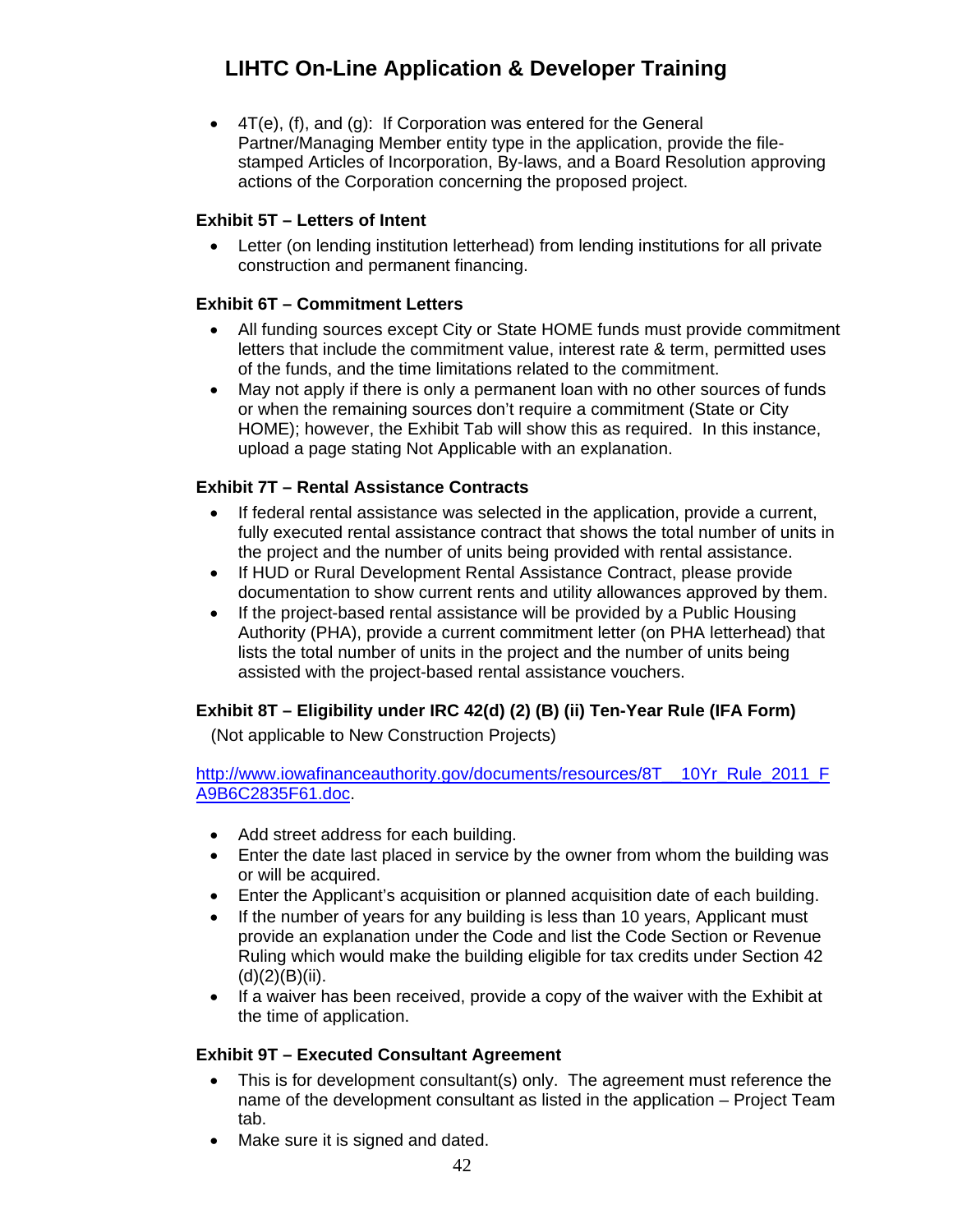4T(e), (f), and (g): If Corporation was entered for the General Partner/Managing Member entity type in the application, provide the filestamped Articles of Incorporation, By-laws, and a Board Resolution approving actions of the Corporation concerning the proposed project.

### <span id="page-41-0"></span>**Exhibit 5T – Letters of Intent**

 Letter (on lending institution letterhead) from lending institutions for all private construction and permanent financing.

### <span id="page-41-1"></span>**Exhibit 6T – Commitment Letters**

- All funding sources except City or State HOME funds must provide commitment letters that include the commitment value, interest rate & term, permitted uses of the funds, and the time limitations related to the commitment.
- May not apply if there is only a permanent loan with no other sources of funds or when the remaining sources don't require a commitment (State or City HOME); however, the Exhibit Tab will show this as required. In this instance, upload a page stating Not Applicable with an explanation.

### <span id="page-41-2"></span>**Exhibit 7T – Rental Assistance Contracts**

- If federal rental assistance was selected in the application, provide a current, fully executed rental assistance contract that shows the total number of units in the project and the number of units being provided with rental assistance.
- If HUD or Rural Development Rental Assistance Contract, please provide documentation to show current rents and utility allowances approved by them.
- If the project-based rental assistance will be provided by a Public Housing Authority (PHA), provide a current commitment letter (on PHA letterhead) that lists the total number of units in the project and the number of units being assisted with the project-based rental assistance vouchers.

## <span id="page-41-3"></span>**Exhibit 8T – Eligibility under IRC 42(d) (2) (B) (ii) Ten-Year Rule (IFA Form)**

(Not applicable to New Construction Projects)

[http://www.iowafinanceauthority.gov/documents/resources/8T\\_\\_10Yr\\_Rule\\_2011\\_F](http://www.iowafinanceauthority.gov/documents/resources/8T__10Yr_Rule_2011_FA9B6C2835F61.doc) [A9B6C2835F61.doc](http://www.iowafinanceauthority.gov/documents/resources/8T__10Yr_Rule_2011_FA9B6C2835F61.doc).

- Add street address for each building.
- Enter the date last placed in service by the owner from whom the building was or will be acquired.
- Enter the Applicant's acquisition or planned acquisition date of each building.
- If the number of years for any building is less than 10 years, Applicant must provide an explanation under the Code and list the Code Section or Revenue Ruling which would make the building eligible for tax credits under Section 42  $(d)(2)(B)(ii)$ .
- If a waiver has been received, provide a copy of the waiver with the Exhibit at the time of application.

### <span id="page-41-4"></span>**Exhibit 9T – Executed Consultant Agreement**

- This is for development consultant(s) only. The agreement must reference the name of the development consultant as listed in the application – Project Team tab.
- Make sure it is signed and dated.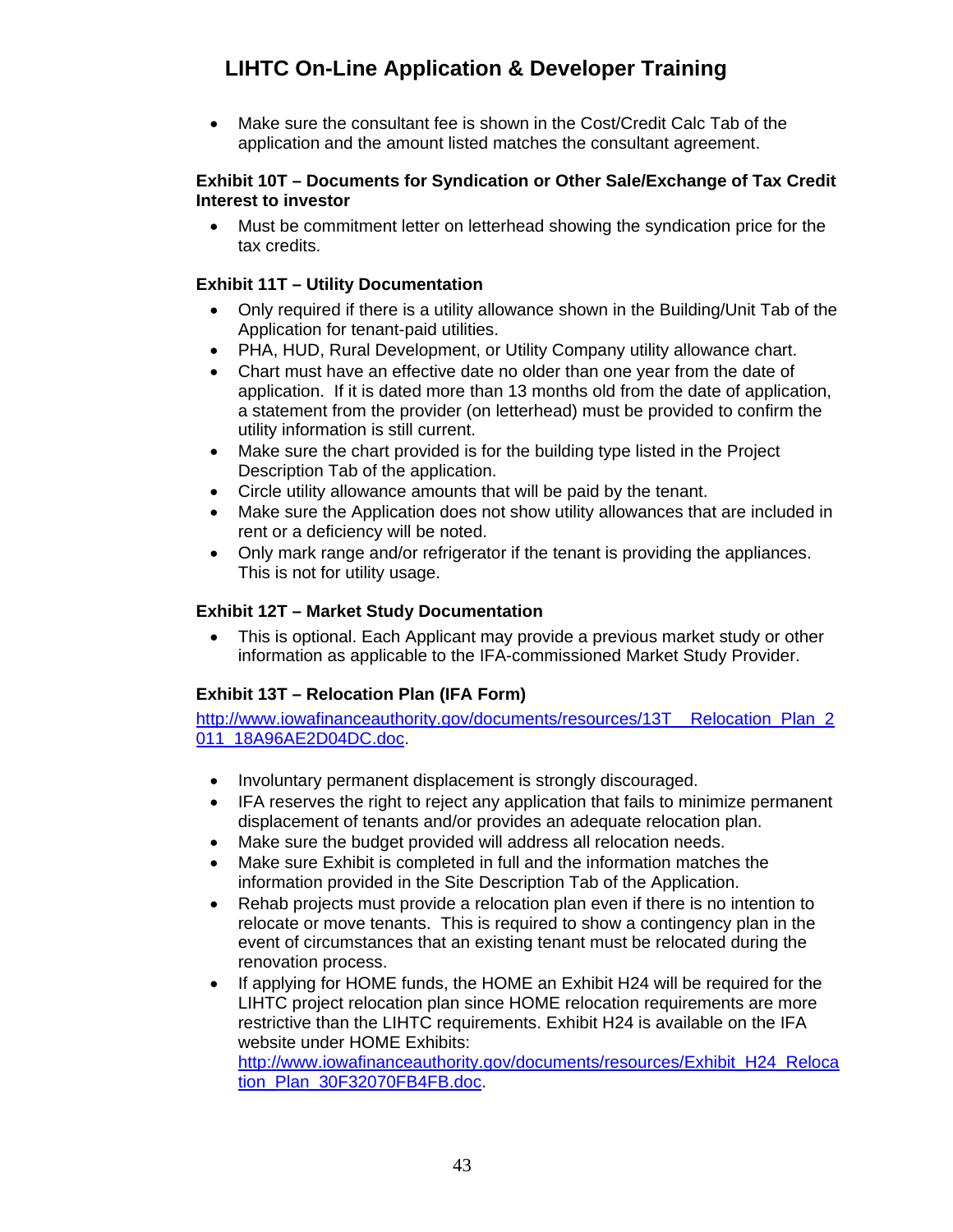Make sure the consultant fee is shown in the Cost/Credit Calc Tab of the application and the amount listed matches the consultant agreement.

#### <span id="page-42-0"></span>**Exhibit 10T – Documents for Syndication or Other Sale/Exchange of Tax Credit Interest to investor**

 Must be commitment letter on letterhead showing the syndication price for the tax credits.

### <span id="page-42-1"></span>**Exhibit 11T – Utility Documentation**

- Only required if there is a utility allowance shown in the Building/Unit Tab of the Application for tenant-paid utilities.
- PHA, HUD, Rural Development, or Utility Company utility allowance chart.
- Chart must have an effective date no older than one year from the date of application. If it is dated more than 13 months old from the date of application, a statement from the provider (on letterhead) must be provided to confirm the utility information is still current.
- Make sure the chart provided is for the building type listed in the Project Description Tab of the application.
- Circle utility allowance amounts that will be paid by the tenant.
- Make sure the Application does not show utility allowances that are included in rent or a deficiency will be noted.
- Only mark range and/or refrigerator if the tenant is providing the appliances. This is not for utility usage.

### <span id="page-42-2"></span>**Exhibit 12T – Market Study Documentation**

 This is optional. Each Applicant may provide a previous market study or other information as applicable to the IFA-commissioned Market Study Provider.

### **Exhibit 13T – Relocation Plan (IFA Form)**

<span id="page-42-3"></span>http://www.iowafinanceauthority.gov/documents/resources/13T Relocation Plan 2 [011\\_18A96AE2D04DC.doc.](http://www.iowafinanceauthority.gov/documents/resources/13T__Relocation_Plan_2011_18A96AE2D04DC.doc)

- Involuntary permanent displacement is strongly discouraged.
- IFA reserves the right to reject any application that fails to minimize permanent displacement of tenants and/or provides an adequate relocation plan.
- Make sure the budget provided will address all relocation needs.
- Make sure Exhibit is completed in full and the information matches the information provided in the Site Description Tab of the Application.
- Rehab projects must provide a relocation plan even if there is no intention to relocate or move tenants. This is required to show a contingency plan in the event of circumstances that an existing tenant must be relocated during the renovation process.
- If applying for HOME funds, the HOME an Exhibit H24 will be required for the LIHTC project relocation plan since HOME relocation requirements are more restrictive than the LIHTC requirements. Exhibit H24 is available on the IFA website under HOME Exhibits: [http://www.iowafinanceauthority.gov/documents/resources/Exhibit\\_H24\\_Reloca](http://www.iowafinanceauthority.gov/documents/resources/Exhibit_H24_Relocation_Plan_30F32070FB4FB.doc) [tion\\_Plan\\_30F32070FB4FB.doc.](http://www.iowafinanceauthority.gov/documents/resources/Exhibit_H24_Relocation_Plan_30F32070FB4FB.doc)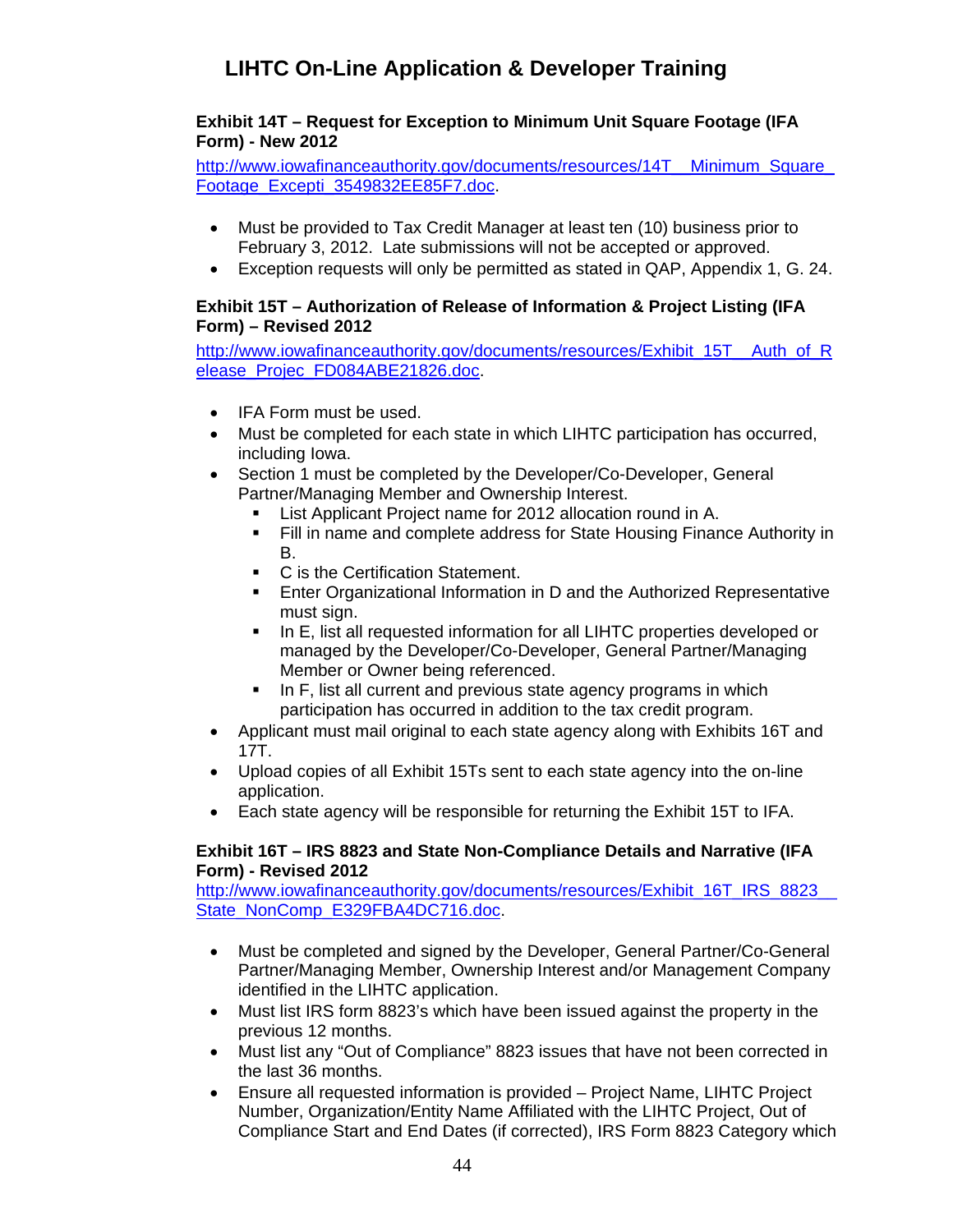### <span id="page-43-0"></span>**Exhibit 14T – Request for Exception to Minimum Unit Square Footage (IFA Form) - New 2012**

http://www.iowafinanceauthority.gov/documents/resources/14T\_\_Minimum\_Square [Footage\\_Excepti\\_3549832EE85F7.doc](http://www.iowafinanceauthority.gov/documents/resources/14T__Minimum_Square_Footage_Excepti_3549832EE85F7.doc).

- Must be provided to Tax Credit Manager at least ten (10) business prior to February 3, 2012. Late submissions will not be accepted or approved.
- Exception requests will only be permitted as stated in QAP, Appendix 1, G. 24.

### <span id="page-43-1"></span>**Exhibit 15T – Authorization of Release of Information & Project Listing (IFA Form) – Revised 2012**

[http://www.iowafinanceauthority.gov/documents/resources/Exhibit\\_15T\\_\\_Auth\\_of\\_R](http://www.iowafinanceauthority.gov/documents/resources/Exhibit_15T__Auth_of_Release_Projec_FD084ABE21826.doc) [elease\\_Projec\\_FD084ABE21826.doc](http://www.iowafinanceauthority.gov/documents/resources/Exhibit_15T__Auth_of_Release_Projec_FD084ABE21826.doc).

- IFA Form must be used.
- Must be completed for each state in which LIHTC participation has occurred, including Iowa.
- Section 1 must be completed by the Developer/Co-Developer, General Partner/Managing Member and Ownership Interest.
	- List Applicant Project name for 2012 allocation round in A.
	- Fill in name and complete address for State Housing Finance Authority in B.
	- C is the Certification Statement.
	- **Enter Organizational Information in D and the Authorized Representative** must sign.
	- In E, list all requested information for all LIHTC properties developed or managed by the Developer/Co-Developer, General Partner/Managing Member or Owner being referenced.
	- In F, list all current and previous state agency programs in which participation has occurred in addition to the tax credit program.
- Applicant must mail original to each state agency along with Exhibits 16T and 17T.
- Upload copies of all Exhibit 15Ts sent to each state agency into the on-line application.
- Each state agency will be responsible for returning the Exhibit 15T to IFA.

### <span id="page-43-2"></span>**Exhibit 16T – IRS 8823 and State Non-Compliance Details and Narrative (IFA Form) - Revised 2012**

http://www.iowafinanceauthority.gov/documents/resources/Exhibit\_16T\_IRS\_8823\_ [State\\_NonComp\\_E329FBA4DC716.doc.](http://www.iowafinanceauthority.gov/documents/resources/Exhibit_16T_IRS_8823__State_NonComp_E329FBA4DC716.doc)

- Must be completed and signed by the Developer, General Partner/Co-General Partner/Managing Member, Ownership Interest and/or Management Company identified in the LIHTC application.
- Must list IRS form 8823's which have been issued against the property in the previous 12 months.
- Must list any "Out of Compliance" 8823 issues that have not been corrected in the last 36 months.
- Ensure all requested information is provided Project Name, LIHTC Project Number, Organization/Entity Name Affiliated with the LIHTC Project, Out of Compliance Start and End Dates (if corrected), IRS Form 8823 Category which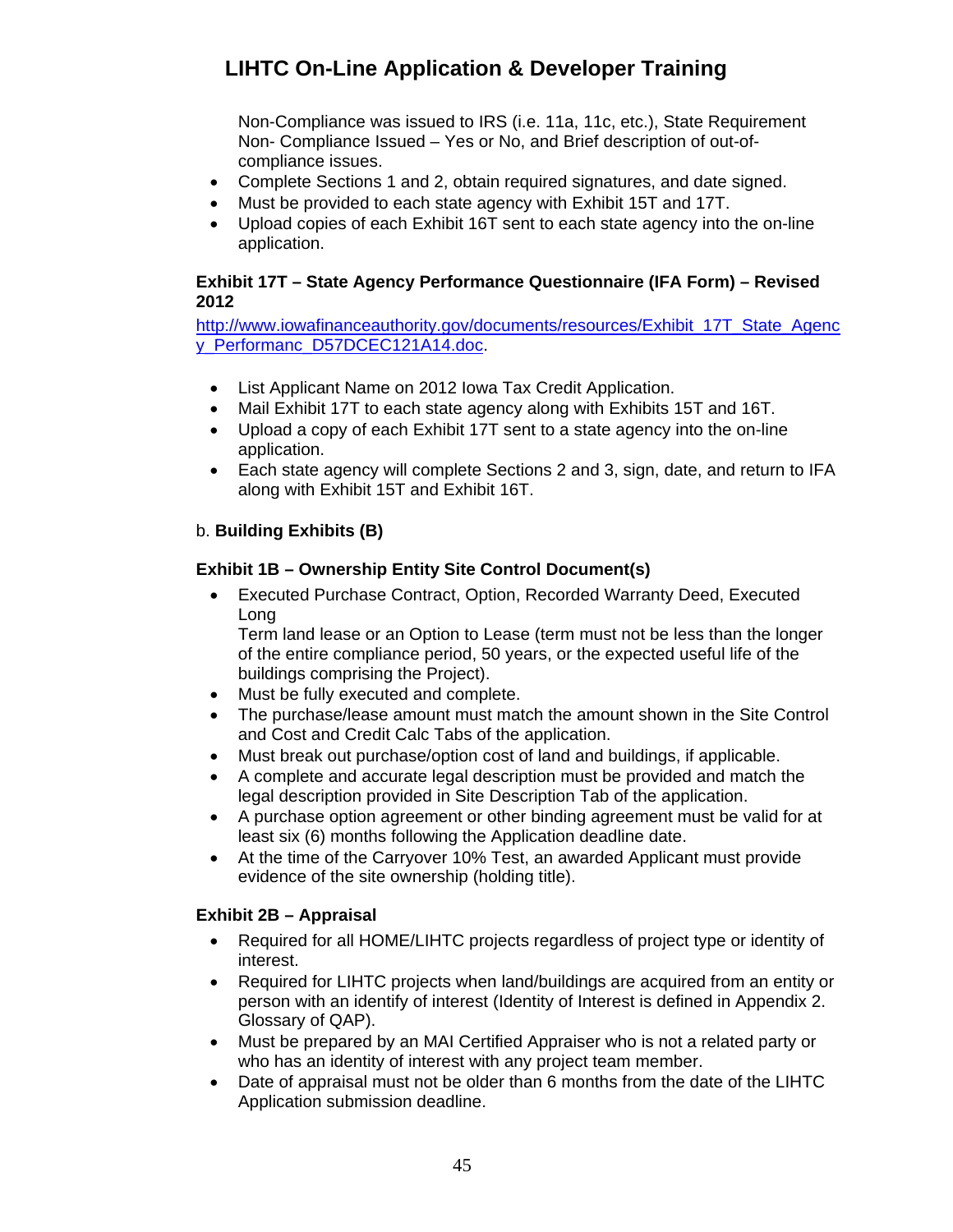Non-Compliance was issued to IRS (i.e. 11a, 11c, etc.), State Requirement Non- Compliance Issued – Yes or No, and Brief description of out-ofcompliance issues.

- Complete Sections 1 and 2, obtain required signatures, and date signed.
- Must be provided to each state agency with Exhibit 15T and 17T.
- Upload copies of each Exhibit 16T sent to each state agency into the on-line application.

### <span id="page-44-0"></span>**Exhibit 17T – State Agency Performance Questionnaire (IFA Form) – Revised 2012**

[http://www.iowafinanceauthority.gov/documents/resources/Exhibit\\_17T\\_State\\_Agenc](http://www.iowafinanceauthority.gov/documents/resources/Exhibit_17T_State_Agency_Performanc_D57DCEC121A14.doc) y Performanc D57DCEC121A14.doc.

- List Applicant Name on 2012 Iowa Tax Credit Application.
- Mail Exhibit 17T to each state agency along with Exhibits 15T and 16T.
- Upload a copy of each Exhibit 17T sent to a state agency into the on-line application.
- Each state agency will complete Sections 2 and 3, sign, date, and return to IFA along with Exhibit 15T and Exhibit 16T.

### <span id="page-44-1"></span>b. **Building Exhibits (B)**

### <span id="page-44-2"></span>**Exhibit 1B – Ownership Entity Site Control Document(s)**

 Executed Purchase Contract, Option, Recorded Warranty Deed, Executed Long

Term land lease or an Option to Lease (term must not be less than the longer of the entire compliance period, 50 years, or the expected useful life of the buildings comprising the Project).

- Must be fully executed and complete.
- The purchase/lease amount must match the amount shown in the Site Control and Cost and Credit Calc Tabs of the application.
- Must break out purchase/option cost of land and buildings, if applicable.
- A complete and accurate legal description must be provided and match the legal description provided in Site Description Tab of the application.
- A purchase option agreement or other binding agreement must be valid for at least six (6) months following the Application deadline date.
- At the time of the Carryover 10% Test, an awarded Applicant must provide evidence of the site ownership (holding title).

### <span id="page-44-3"></span>**Exhibit 2B – Appraisal**

- Required for all HOME/LIHTC projects regardless of project type or identity of interest.
- Required for LIHTC projects when land/buildings are acquired from an entity or person with an identify of interest (Identity of Interest is defined in Appendix 2. Glossary of QAP).
- Must be prepared by an MAI Certified Appraiser who is not a related party or who has an identity of interest with any project team member.
- Date of appraisal must not be older than 6 months from the date of the LIHTC Application submission deadline.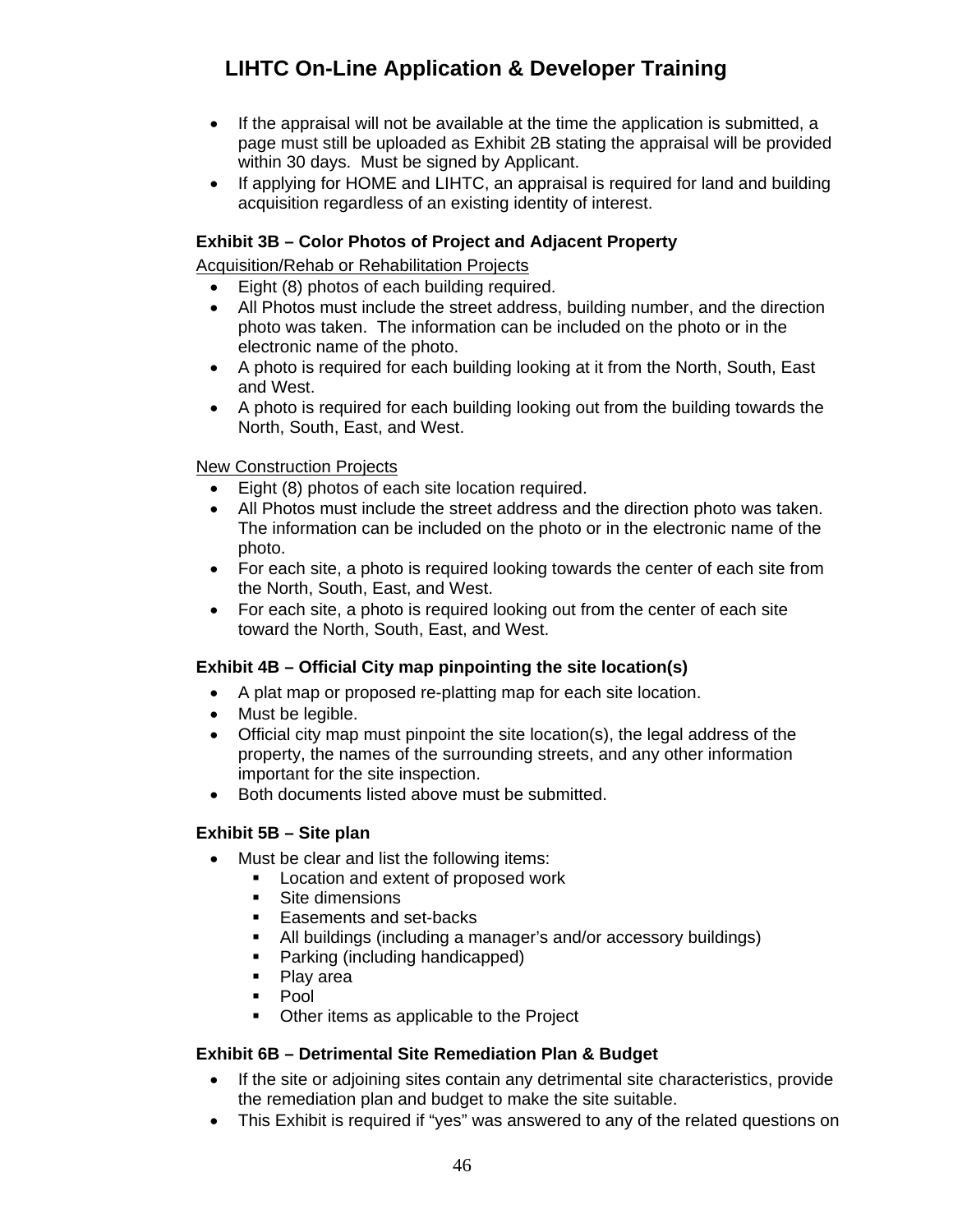- If the appraisal will not be available at the time the application is submitted, a page must still be uploaded as Exhibit 2B stating the appraisal will be provided within 30 days. Must be signed by Applicant.
- If applying for HOME and LIHTC, an appraisal is required for land and building acquisition regardless of an existing identity of interest.

### <span id="page-45-0"></span>**Exhibit 3B – Color Photos of Project and Adjacent Property**

Acquisition/Rehab or Rehabilitation Projects

- Eight (8) photos of each building required.
- All Photos must include the street address, building number, and the direction photo was taken. The information can be included on the photo or in the electronic name of the photo.
- A photo is required for each building looking at it from the North, South, East and West.
- A photo is required for each building looking out from the building towards the North, South, East, and West.

### New Construction Projects

- Eight (8) photos of each site location required.
- All Photos must include the street address and the direction photo was taken. The information can be included on the photo or in the electronic name of the photo.
- For each site, a photo is required looking towards the center of each site from the North, South, East, and West.
- For each site, a photo is required looking out from the center of each site toward the North, South, East, and West.

### <span id="page-45-1"></span>**Exhibit 4B – Official City map pinpointing the site location(s)**

- A plat map or proposed re-platting map for each site location.
- Must be legible.
- Official city map must pinpoint the site location(s), the legal address of the property, the names of the surrounding streets, and any other information important for the site inspection.
- Both documents listed above must be submitted.

#### <span id="page-45-2"></span>**Exhibit 5B – Site plan**

- Must be clear and list the following items:
	- **Location and extent of proposed work**
	- Site dimensions
	- Easements and set-backs
	- All buildings (including a manager's and/or accessory buildings)
	- Parking (including handicapped)
	- Play area
	- $\blacksquare$  Pool
	- Other items as applicable to the Project

#### <span id="page-45-3"></span>**Exhibit 6B – Detrimental Site Remediation Plan & Budget**

- If the site or adjoining sites contain any detrimental site characteristics, provide the remediation plan and budget to make the site suitable.
- This Exhibit is required if "yes" was answered to any of the related questions on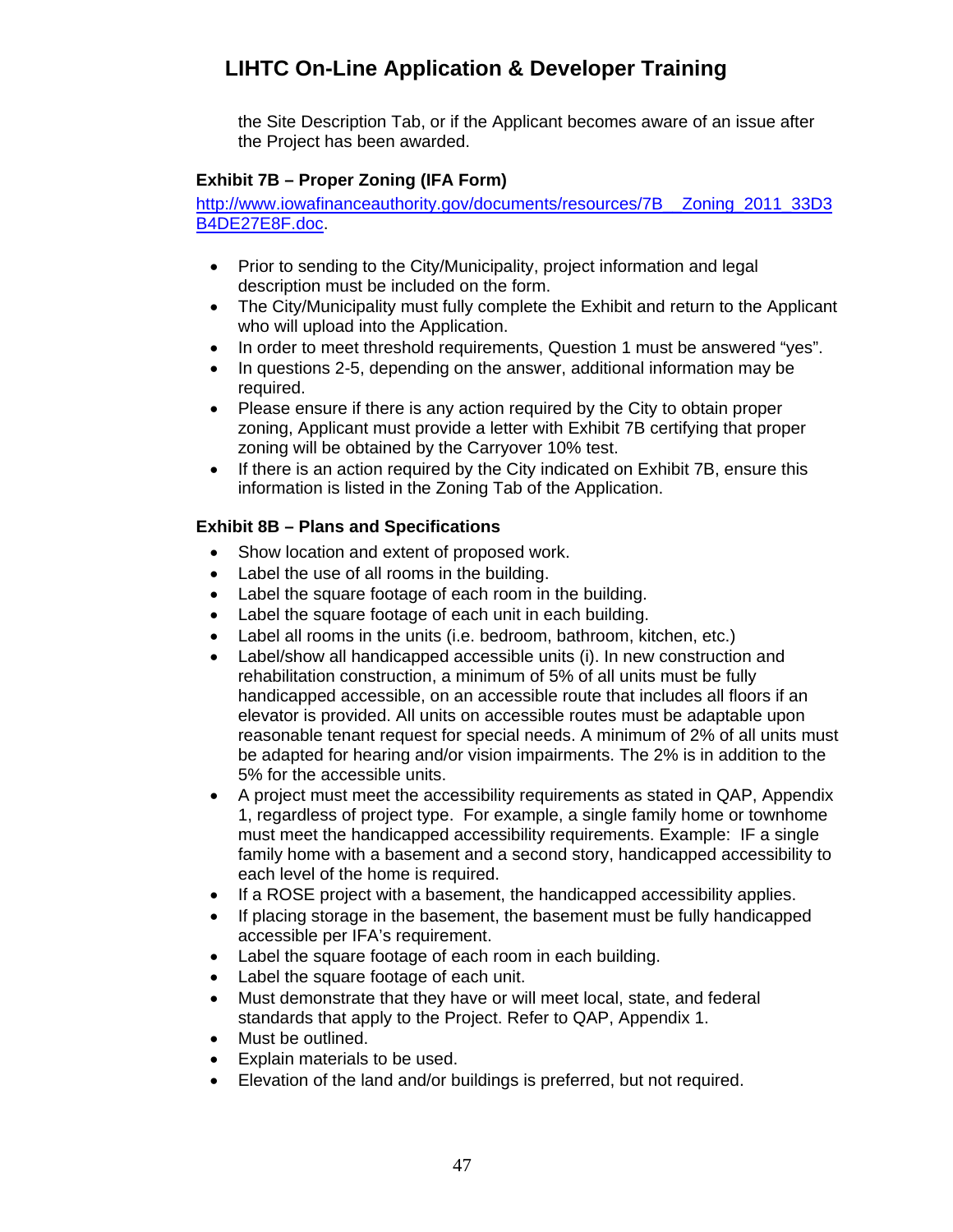the Site Description Tab, or if the Applicant becomes aware of an issue after the Project has been awarded.

## <span id="page-46-0"></span>**Exhibit 7B – Proper Zoning (IFA Form)**

[http://www.iowafinanceauthority.gov/documents/resources/7B\\_\\_Zoning\\_2011\\_33D3](http://www.iowafinanceauthority.gov/documents/resources/7B__Zoning_2011_33D3B4DE27E8F.doc) [B4DE27E8F.doc.](http://www.iowafinanceauthority.gov/documents/resources/7B__Zoning_2011_33D3B4DE27E8F.doc)

- Prior to sending to the City/Municipality, project information and legal description must be included on the form.
- The City/Municipality must fully complete the Exhibit and return to the Applicant who will upload into the Application.
- In order to meet threshold requirements, Question 1 must be answered "yes".
- In questions 2-5, depending on the answer, additional information may be required.
- Please ensure if there is any action required by the City to obtain proper zoning, Applicant must provide a letter with Exhibit 7B certifying that proper zoning will be obtained by the Carryover 10% test.
- If there is an action required by the City indicated on Exhibit 7B, ensure this information is listed in the Zoning Tab of the Application.

## <span id="page-46-1"></span>**Exhibit 8B – Plans and Specifications**

- Show location and extent of proposed work.
- Label the use of all rooms in the building.
- Label the square footage of each room in the building.
- Label the square footage of each unit in each building.
- Label all rooms in the units (i.e. bedroom, bathroom, kitchen, etc.)
- Label/show all handicapped accessible units (i). In new construction and rehabilitation construction, a minimum of 5% of all units must be fully handicapped accessible, on an accessible route that includes all floors if an elevator is provided. All units on accessible routes must be adaptable upon reasonable tenant request for special needs. A minimum of 2% of all units must be adapted for hearing and/or vision impairments. The 2% is in addition to the 5% for the accessible units.
- A project must meet the accessibility requirements as stated in QAP, Appendix 1, regardless of project type. For example, a single family home or townhome must meet the handicapped accessibility requirements. Example: IF a single family home with a basement and a second story, handicapped accessibility to each level of the home is required.
- If a ROSE project with a basement, the handicapped accessibility applies.
- If placing storage in the basement, the basement must be fully handicapped accessible per IFA's requirement.
- Label the square footage of each room in each building.
- Label the square footage of each unit.
- Must demonstrate that they have or will meet local, state, and federal standards that apply to the Project. Refer to QAP, Appendix 1.
- Must be outlined.
- Explain materials to be used.
- Elevation of the land and/or buildings is preferred, but not required.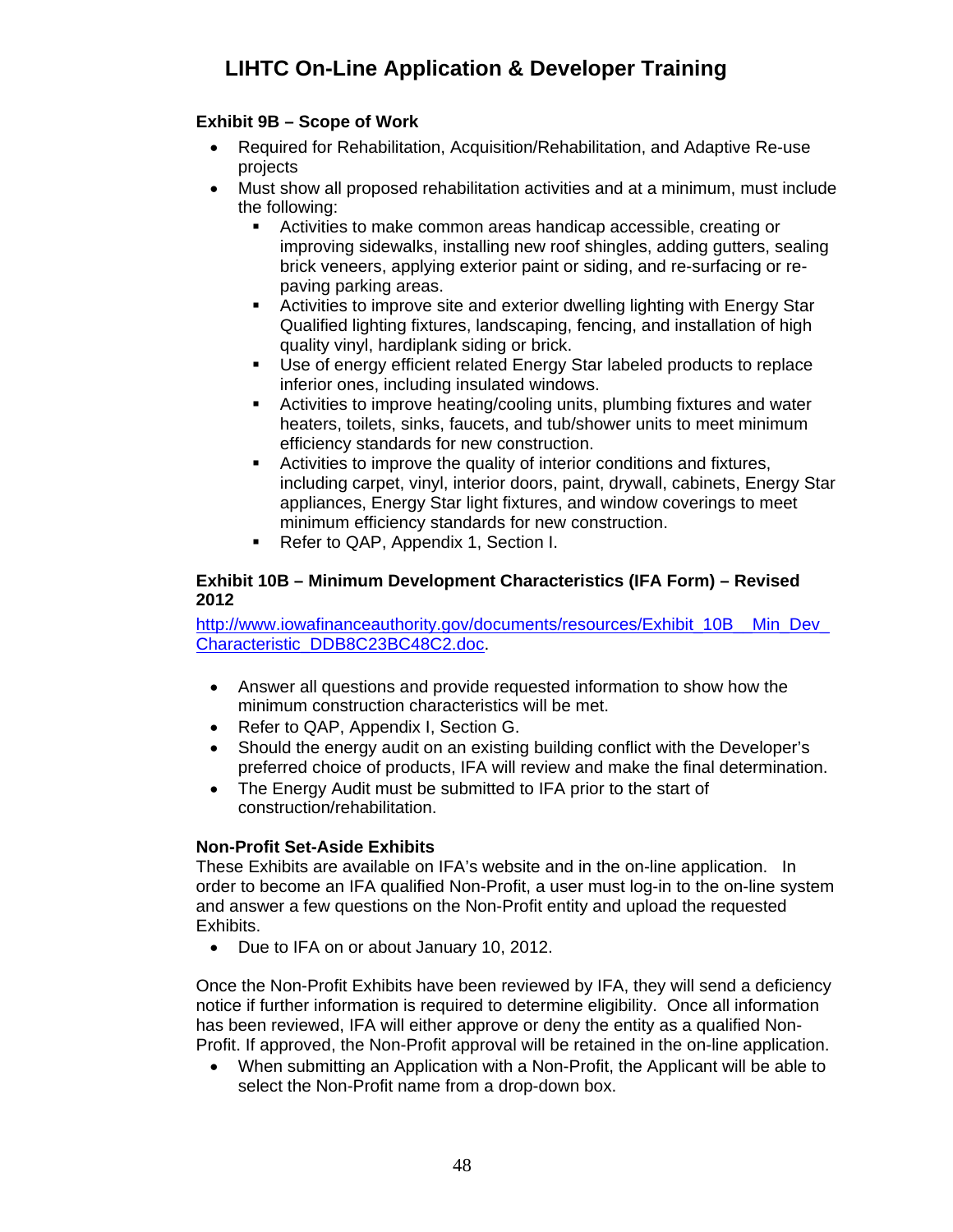## <span id="page-47-0"></span>**Exhibit 9B – Scope of Work**

- Required for Rehabilitation, Acquisition/Rehabilitation, and Adaptive Re-use projects
- Must show all proposed rehabilitation activities and at a minimum, must include the following:
	- Activities to make common areas handicap accessible, creating or improving sidewalks, installing new roof shingles, adding gutters, sealing brick veneers, applying exterior paint or siding, and re-surfacing or repaving parking areas.
	- Activities to improve site and exterior dwelling lighting with Energy Star Qualified lighting fixtures, landscaping, fencing, and installation of high quality vinyl, hardiplank siding or brick.
	- Use of energy efficient related Energy Star labeled products to replace inferior ones, including insulated windows.
	- Activities to improve heating/cooling units, plumbing fixtures and water heaters, toilets, sinks, faucets, and tub/shower units to meet minimum efficiency standards for new construction.
	- Activities to improve the quality of interior conditions and fixtures, including carpet, vinyl, interior doors, paint, drywall, cabinets, Energy Star appliances, Energy Star light fixtures, and window coverings to meet minimum efficiency standards for new construction.
	- Refer to QAP, Appendix 1, Section I.

#### <span id="page-47-1"></span>**Exhibit 10B – Minimum Development Characteristics (IFA Form) – Revised 2012**

http://www.jowafinanceauthority.gov/documents/resources/Exhibit\_10B\_\_Min\_Dev\_ [Characteristic\\_DDB8C23BC48C2.doc](http://www.iowafinanceauthority.gov/documents/resources/Exhibit_10B__Min_Dev_Characteristic_DDB8C23BC48C2.doc).

- Answer all questions and provide requested information to show how the minimum construction characteristics will be met.
- Refer to QAP, Appendix I, Section G.
- Should the energy audit on an existing building conflict with the Developer's preferred choice of products, IFA will review and make the final determination.
- The Energy Audit must be submitted to IFA prior to the start of construction/rehabilitation.

### **Non-Profit Set-Aside Exhibits**

<span id="page-47-2"></span>These Exhibits are available on IFA's website and in the on-line application. In order to become an IFA qualified Non-Profit, a user must log-in to the on-line system and answer a few questions on the Non-Profit entity and upload the requested Exhibits.

• Due to IFA on or about January 10, 2012.

Once the Non-Profit Exhibits have been reviewed by IFA, they will send a deficiency notice if further information is required to determine eligibility. Once all information has been reviewed, IFA will either approve or deny the entity as a qualified Non-Profit. If approved, the Non-Profit approval will be retained in the on-line application.

 When submitting an Application with a Non-Profit, the Applicant will be able to select the Non-Profit name from a drop-down box.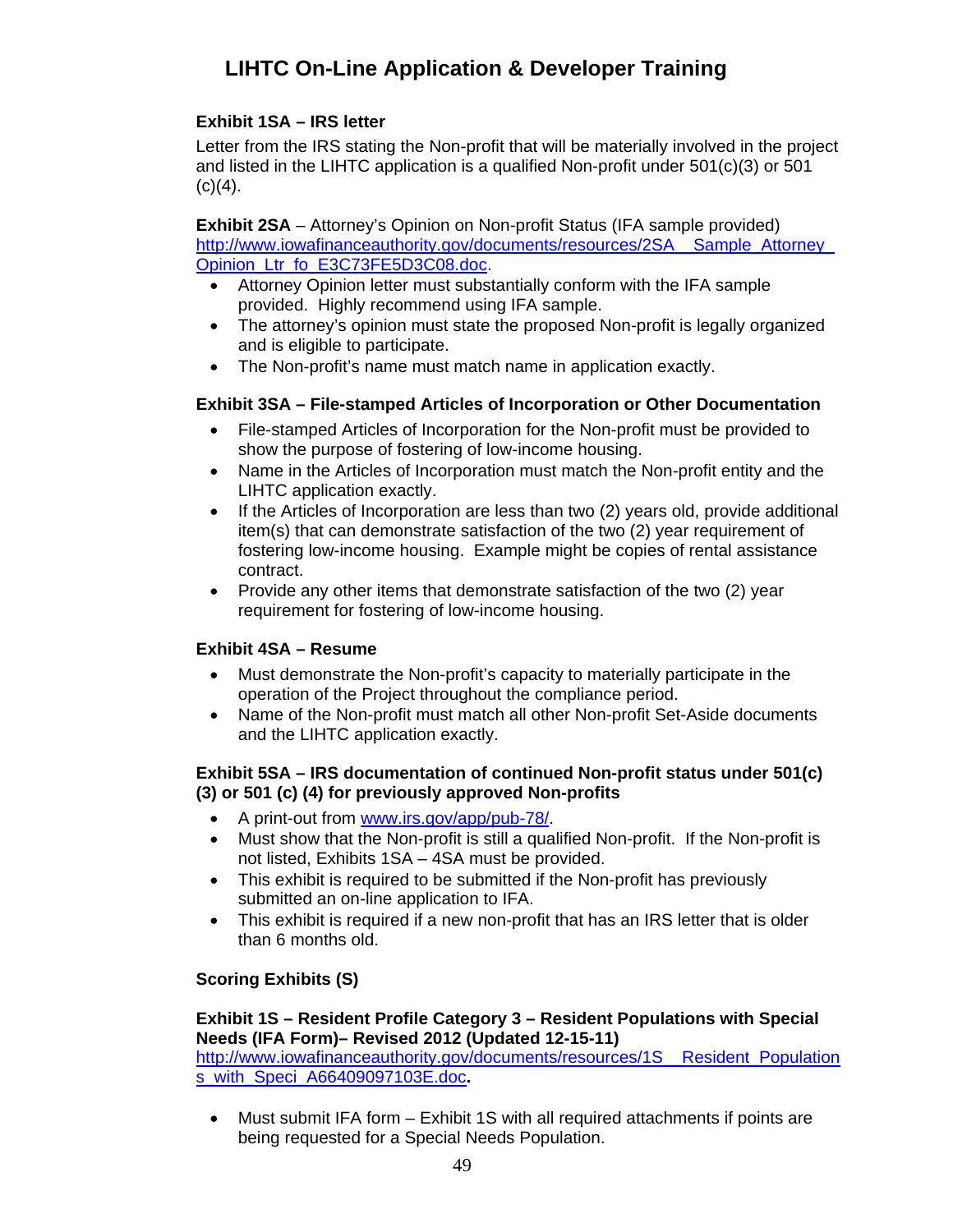## **Exhibit 1SA – IRS letter**

<span id="page-48-0"></span>Letter from the IRS stating the Non-profit that will be materially involved in the project and listed in the LIHTC application is a qualified Non-profit under  $501(c)(3)$  or  $501$  $(c)(4)$ .

<span id="page-48-1"></span>**Exhibit 2SA** – Attorney's Opinion on Non-profit Status (IFA sample provided) [http://www.iowafinanceauthority.gov/documents/resources/2SA\\_\\_Sample\\_Attorney\\_](http://www.iowafinanceauthority.gov/documents/resources/2SA__Sample_Attorney_Opinion_Ltr_fo_E3C73FE5D3C08.doc) [Opinion\\_Ltr\\_fo\\_E3C73FE5D3C08.doc](http://www.iowafinanceauthority.gov/documents/resources/2SA__Sample_Attorney_Opinion_Ltr_fo_E3C73FE5D3C08.doc).

- Attorney Opinion letter must substantially conform with the IFA sample provided. Highly recommend using IFA sample.
- The attorney's opinion must state the proposed Non-profit is legally organized and is eligible to participate.
- The Non-profit's name must match name in application exactly.

### <span id="page-48-2"></span>**Exhibit 3SA – File-stamped Articles of Incorporation or Other Documentation**

- File-stamped Articles of Incorporation for the Non-profit must be provided to show the purpose of fostering of low-income housing.
- Name in the Articles of Incorporation must match the Non-profit entity and the LIHTC application exactly.
- If the Articles of Incorporation are less than two (2) years old, provide additional item(s) that can demonstrate satisfaction of the two (2) year requirement of fostering low-income housing. Example might be copies of rental assistance contract.
- Provide any other items that demonstrate satisfaction of the two (2) year requirement for fostering of low-income housing.

### <span id="page-48-3"></span>**Exhibit 4SA – Resume**

- Must demonstrate the Non-profit's capacity to materially participate in the operation of the Project throughout the compliance period.
- Name of the Non-profit must match all other Non-profit Set-Aside documents and the LIHTC application exactly.

### <span id="page-48-4"></span>**Exhibit 5SA – IRS documentation of continued Non-profit status under 501(c) (3) or 501 (c) (4) for previously approved Non-profits**

- A print-out from [www.irs.gov/app/pub-78/.](http://www.irs.gov/app/pub-78/)
- Must show that the Non-profit is still a qualified Non-profit. If the Non-profit is not listed, Exhibits 1SA – 4SA must be provided.
- This exhibit is required to be submitted if the Non-profit has previously submitted an on-line application to IFA.
- This exhibit is required if a new non-profit that has an IRS letter that is older than 6 months old.

### <span id="page-48-6"></span><span id="page-48-5"></span>**Scoring Exhibits (S)**

#### **Exhibit 1S – Resident Profile Category 3 – Resident Populations with Special Needs (IFA Form)– Revised 2012 (Updated 12-15-11)**

[http://www.iowafinanceauthority.gov/documents/resources/1S\\_\\_Resident\\_Population](http://www.iowafinanceauthority.gov/documents/resources/1S__Resident_Populations_with_Speci_A66409097103E.doc) [s\\_with\\_Speci\\_A66409097103E.doc](http://www.iowafinanceauthority.gov/documents/resources/1S__Resident_Populations_with_Speci_A66409097103E.doc)**.** 

 Must submit IFA form – Exhibit 1S with all required attachments if points are being requested for a Special Needs Population.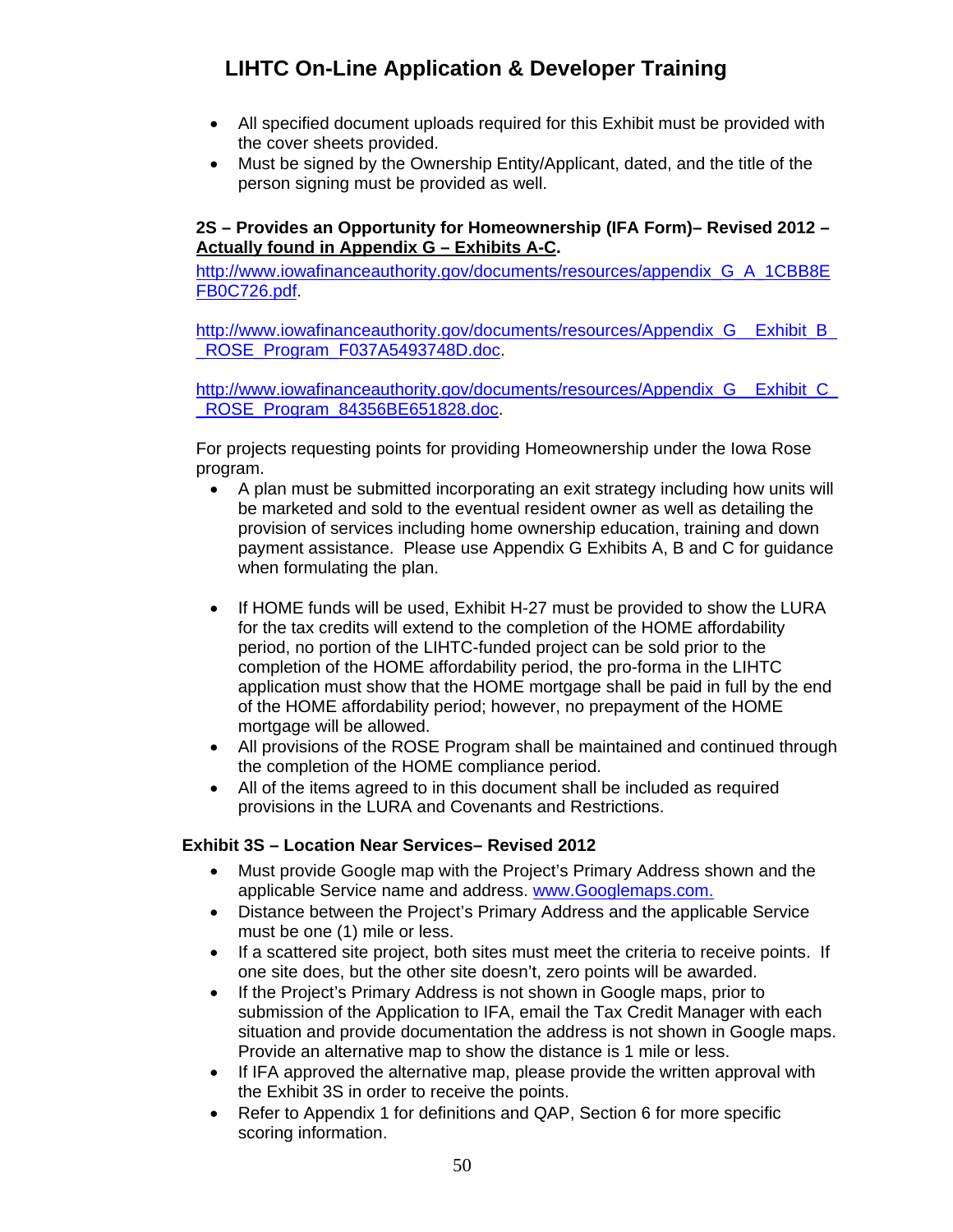- All specified document uploads required for this Exhibit must be provided with the cover sheets provided.
- Must be signed by the Ownership Entity/Applicant, dated, and the title of the person signing must be provided as well.

### <span id="page-49-0"></span>**2S – Provides an Opportunity for Homeownership (IFA Form)– Revised 2012 – Actually found in Appendix G – Exhibits A-C.**

[http://www.iowafinanceauthority.gov/documents/resources/appendix\\_G\\_A\\_1CBB8E](http://www.iowafinanceauthority.gov/documents/resources/appendix_G_A_1CBB8EFB0C726.pdf) [FB0C726.pdf.](http://www.iowafinanceauthority.gov/documents/resources/appendix_G_A_1CBB8EFB0C726.pdf)

[http://www.iowafinanceauthority.gov/documents/resources/Appendix\\_G\\_\\_Exhibit\\_B\\_](http://www.iowafinanceauthority.gov/documents/resources/Appendix_G__Exhibit_B__ROSE_Program_F037A5493748D.doc) ROSE\_Program\_F037A5493748D.doc.

[http://www.iowafinanceauthority.gov/documents/resources/Appendix\\_G\\_\\_Exhibit\\_C\\_](http://www.iowafinanceauthority.gov/documents/resources/Appendix_G__Exhibit_C__ROSE_Program_84356BE651828.doc) [\\_ROSE\\_Program\\_84356BE651828.doc](http://www.iowafinanceauthority.gov/documents/resources/Appendix_G__Exhibit_C__ROSE_Program_84356BE651828.doc).

For projects requesting points for providing Homeownership under the Iowa Rose program.

- A plan must be submitted incorporating an exit strategy including how units will be marketed and sold to the eventual resident owner as well as detailing the provision of services including home ownership education, training and down payment assistance. Please use Appendix G Exhibits A, B and C for guidance when formulating the plan.
- If HOME funds will be used, Exhibit H-27 must be provided to show the LURA for the tax credits will extend to the completion of the HOME affordability period, no portion of the LIHTC-funded project can be sold prior to the completion of the HOME affordability period, the pro-forma in the LIHTC application must show that the HOME mortgage shall be paid in full by the end of the HOME affordability period; however, no prepayment of the HOME mortgage will be allowed.
- All provisions of the ROSE Program shall be maintained and continued through the completion of the HOME compliance period.
- All of the items agreed to in this document shall be included as required provisions in the LURA and Covenants and Restrictions.

## <span id="page-49-1"></span>**Exhibit 3S – Location Near Services– Revised 2012**

- Must provide Google map with the Project's Primary Address shown and the applicable Service name and address. [www.Googlemaps.com.](http://www.maps.yahoo.com/)
- Distance between the Project's Primary Address and the applicable Service must be one (1) mile or less.
- If a scattered site project, both sites must meet the criteria to receive points. If one site does, but the other site doesn't, zero points will be awarded.
- If the Project's Primary Address is not shown in Google maps, prior to submission of the Application to IFA, email the Tax Credit Manager with each situation and provide documentation the address is not shown in Google maps. Provide an alternative map to show the distance is 1 mile or less.
- If IFA approved the alternative map, please provide the written approval with the Exhibit 3S in order to receive the points.
- Refer to Appendix 1 for definitions and QAP, Section 6 for more specific scoring information.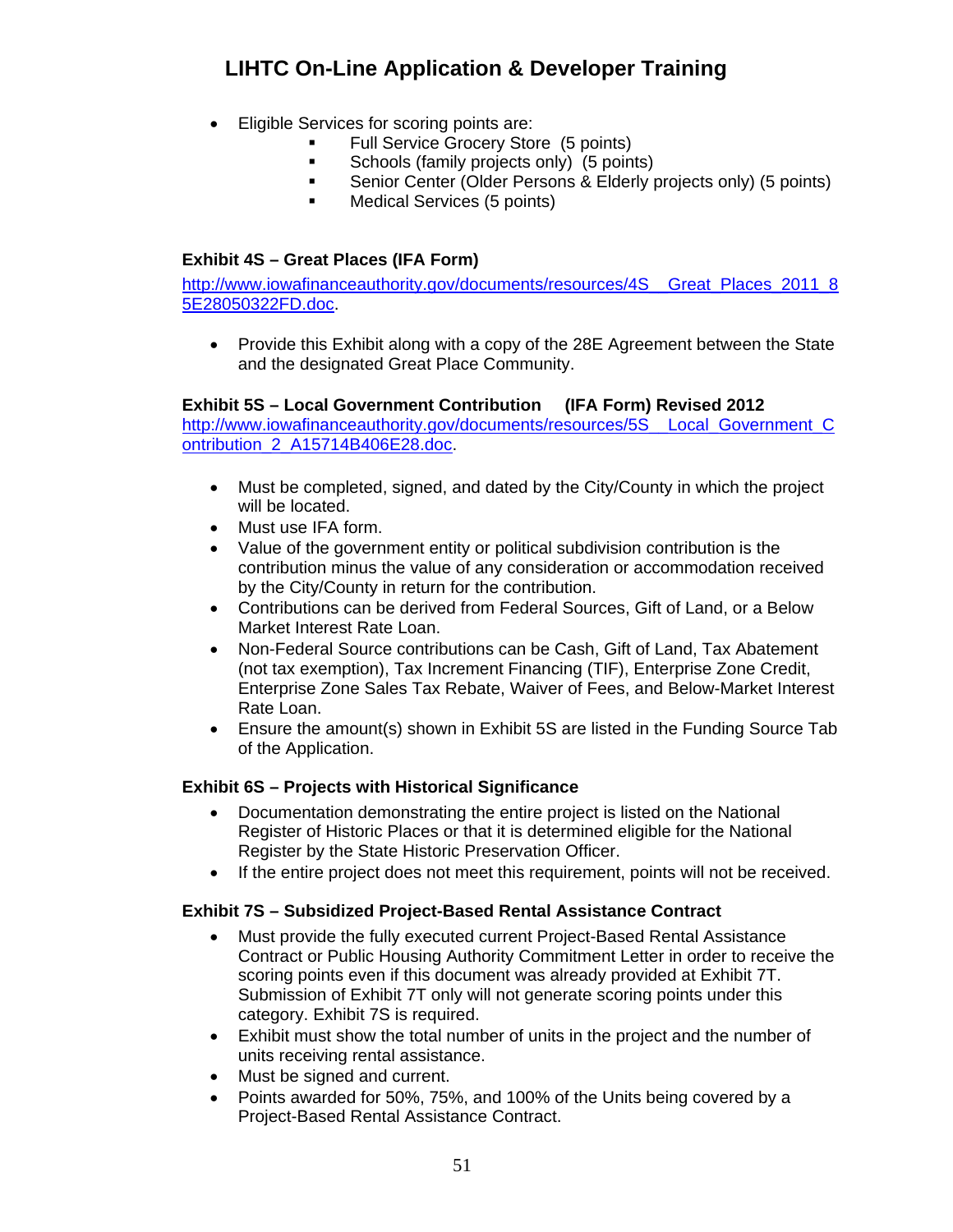- Eligible Services for scoring points are:
	- Full Service Grocery Store (5 points)
	- **Schools (family projects only) (5 points)**
	- Senior Center (Older Persons & Elderly projects only) (5 points)
	- **Medical Services (5 points)**

### <span id="page-50-0"></span>**Exhibit 4S – Great Places (IFA Form)**

[http://www.iowafinanceauthority.gov/documents/resources/4S\\_\\_Great\\_Places\\_2011\\_8](http://www.iowafinanceauthority.gov/documents/resources/4S__Great_Places_2011_85E28050322FD.doc) [5E28050322FD.doc.](http://www.iowafinanceauthority.gov/documents/resources/4S__Great_Places_2011_85E28050322FD.doc)

• Provide this Exhibit along with a copy of the 28E Agreement between the State and the designated Great Place Community.

#### **Exhibit 5S – Local Government Contribution (IFA Form) Revised 2012**

<span id="page-50-1"></span>http://www.iowafinanceauthority.gov/documents/resources/5S Local Government C [ontribution\\_2\\_A15714B406E28.doc.](http://www.iowafinanceauthority.gov/documents/resources/5S__Local_Government_Contribution_2_A15714B406E28.doc)

- Must be completed, signed, and dated by the City/County in which the project will be located.
- Must use IFA form.
- Value of the government entity or political subdivision contribution is the contribution minus the value of any consideration or accommodation received by the City/County in return for the contribution.
- Contributions can be derived from Federal Sources, Gift of Land, or a Below Market Interest Rate Loan.
- Non-Federal Source contributions can be Cash, Gift of Land, Tax Abatement (not tax exemption), Tax Increment Financing (TIF), Enterprise Zone Credit, Enterprise Zone Sales Tax Rebate, Waiver of Fees, and Below-Market Interest Rate Loan.
- Ensure the amount(s) shown in Exhibit 5S are listed in the Funding Source Tab of the Application.

### <span id="page-50-2"></span>**Exhibit 6S – Projects with Historical Significance**

- Documentation demonstrating the entire project is listed on the National Register of Historic Places or that it is determined eligible for the National Register by the State Historic Preservation Officer.
- If the entire project does not meet this requirement, points will not be received.

### <span id="page-50-3"></span>**Exhibit 7S – Subsidized Project-Based Rental Assistance Contract**

- Must provide the fully executed current Project-Based Rental Assistance Contract or Public Housing Authority Commitment Letter in order to receive the scoring points even if this document was already provided at Exhibit 7T. Submission of Exhibit 7T only will not generate scoring points under this category. Exhibit 7S is required.
- Exhibit must show the total number of units in the project and the number of units receiving rental assistance.
- Must be signed and current.
- Points awarded for 50%, 75%, and 100% of the Units being covered by a Project-Based Rental Assistance Contract.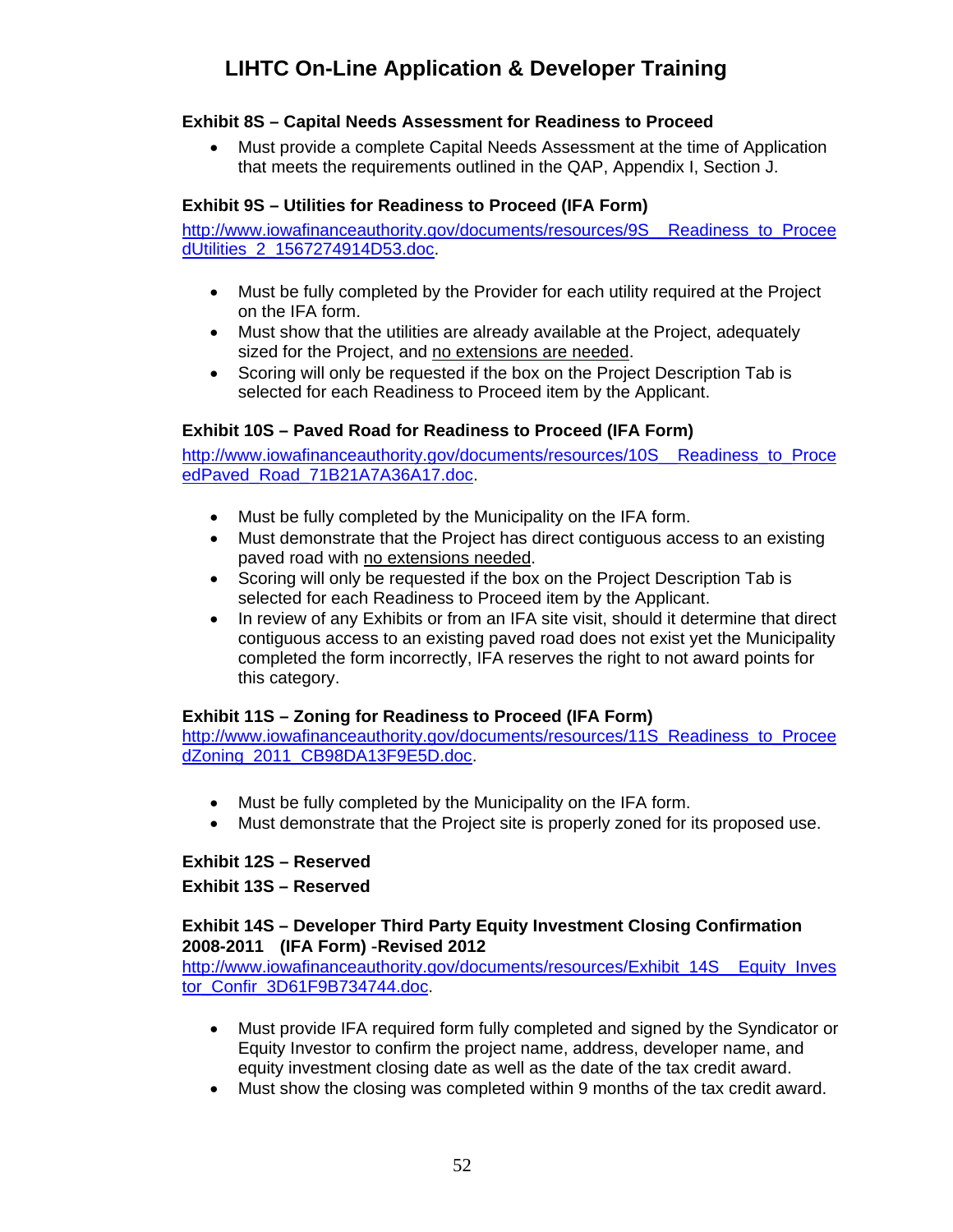### <span id="page-51-0"></span>**Exhibit 8S – Capital Needs Assessment for Readiness to Proceed**

 Must provide a complete Capital Needs Assessment at the time of Application that meets the requirements outlined in the QAP, Appendix I, Section J.

### <span id="page-51-1"></span>**Exhibit 9S – Utilities for Readiness to Proceed (IFA Form)**

[http://www.iowafinanceauthority.gov/documents/resources/9S\\_\\_Readiness\\_to\\_Procee](http://www.iowafinanceauthority.gov/documents/resources/9S__Readiness_to_ProceedUtilities_2_1567274914D53.doc) [dUtilities\\_2\\_1567274914D53.doc](http://www.iowafinanceauthority.gov/documents/resources/9S__Readiness_to_ProceedUtilities_2_1567274914D53.doc).

- Must be fully completed by the Provider for each utility required at the Project on the IFA form.
- Must show that the utilities are already available at the Project, adequately sized for the Project, and no extensions are needed.
- Scoring will only be requested if the box on the Project Description Tab is selected for each Readiness to Proceed item by the Applicant.

### <span id="page-51-2"></span>**Exhibit 10S – Paved Road for Readiness to Proceed (IFA Form)**

[http://www.iowafinanceauthority.gov/documents/resources/10S\\_\\_Readiness\\_to\\_Proce](http://www.iowafinanceauthority.gov/documents/resources/10S__Readiness_to_ProceedPaved_Road_71B21A7A36A17.doc) [edPaved\\_Road\\_71B21A7A36A17.doc](http://www.iowafinanceauthority.gov/documents/resources/10S__Readiness_to_ProceedPaved_Road_71B21A7A36A17.doc).

- Must be fully completed by the Municipality on the IFA form.
- Must demonstrate that the Project has direct contiguous access to an existing paved road with no extensions needed.
- Scoring will only be requested if the box on the Project Description Tab is selected for each Readiness to Proceed item by the Applicant.
- In review of any Exhibits or from an IFA site visit, should it determine that direct contiguous access to an existing paved road does not exist yet the Municipality completed the form incorrectly, IFA reserves the right to not award points for this category.

### **Exhibit 11S – Zoning for Readiness to Proceed (IFA Form)**

<span id="page-51-3"></span>[http://www.iowafinanceauthority.gov/documents/resources/11S\\_Readiness\\_to\\_Procee](http://www.iowafinanceauthority.gov/documents/resources/11S_Readiness_to_ProceedZoning_2011_CB98DA13F9E5D.doc) [dZoning\\_2011\\_CB98DA13F9E5D.doc](http://www.iowafinanceauthority.gov/documents/resources/11S_Readiness_to_ProceedZoning_2011_CB98DA13F9E5D.doc).

- Must be fully completed by the Municipality on the IFA form.
- Must demonstrate that the Project site is properly zoned for its proposed use.

### <span id="page-51-4"></span> **Exhibit 12S – Reserved**

**Exhibit 13S – Reserved** 

#### <span id="page-51-5"></span>**Exhibit 14S – Developer Third Party Equity Investment Closing Confirmation 2008-2011 (IFA Form) -Revised 2012**

[http://www.iowafinanceauthority.gov/documents/resources/Exhibit\\_14S\\_\\_Equity\\_Inves](http://www.iowafinanceauthority.gov/documents/resources/Exhibit_14S__Equity_Investor_Confir_3D61F9B734744.doc) [tor\\_Confir\\_3D61F9B734744.doc](http://www.iowafinanceauthority.gov/documents/resources/Exhibit_14S__Equity_Investor_Confir_3D61F9B734744.doc).

- Must provide IFA required form fully completed and signed by the Syndicator or Equity Investor to confirm the project name, address, developer name, and equity investment closing date as well as the date of the tax credit award.
- Must show the closing was completed within 9 months of the tax credit award.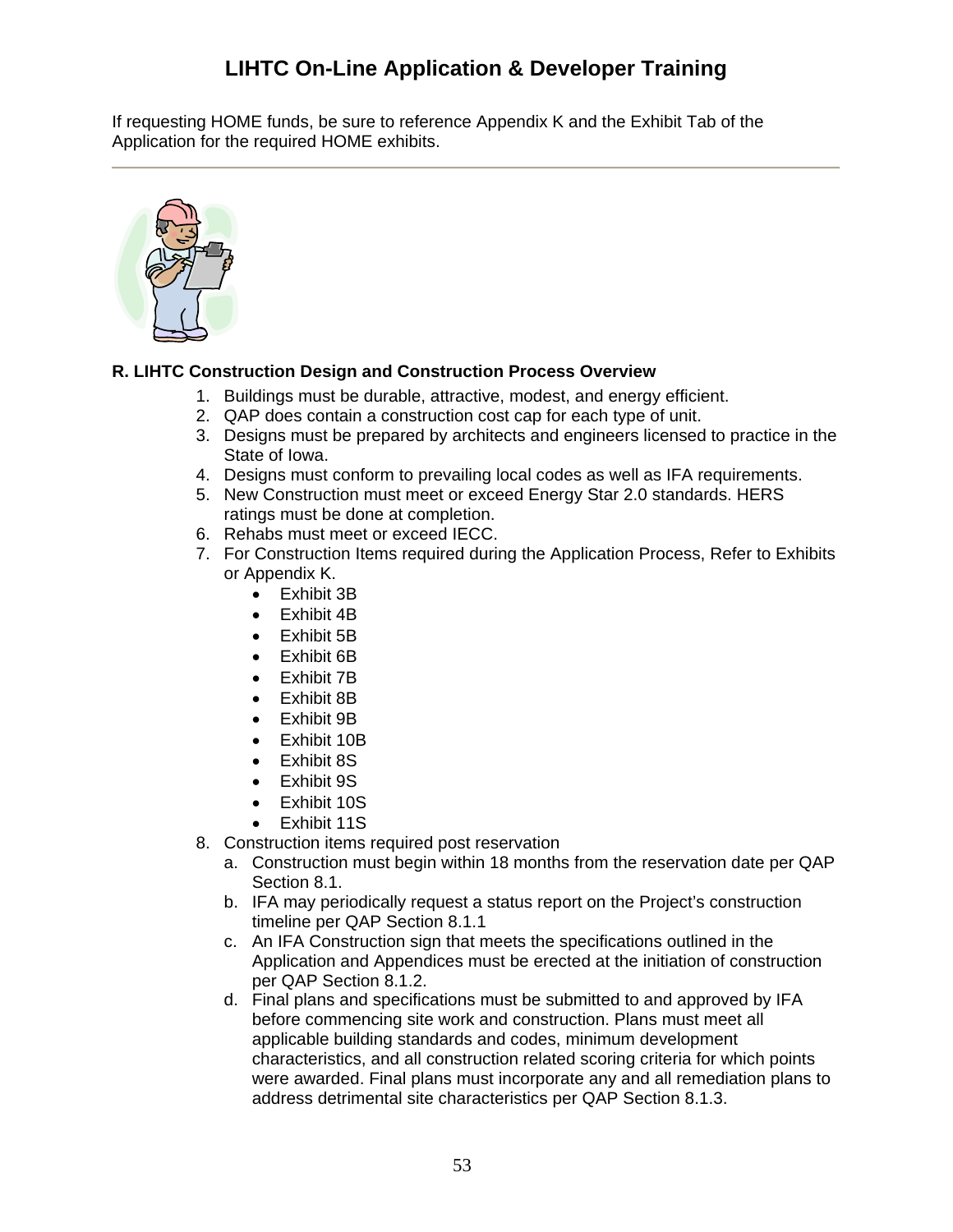If requesting HOME funds, be sure to reference Appendix K and the Exhibit Tab of the Application for the required HOME exhibits.



## <span id="page-52-0"></span>**R. LIHTC Construction Design and Construction Process Overview**

- 1. Buildings must be durable, attractive, modest, and energy efficient.
- 2. QAP does contain a construction cost cap for each type of unit.
- 3. Designs must be prepared by architects and engineers licensed to practice in the State of Iowa.
- 4. Designs must conform to prevailing local codes as well as IFA requirements.
- 5. New Construction must meet or exceed Energy Star 2.0 standards. HERS ratings must be done at completion.
- 6. Rehabs must meet or exceed IECC.
- 7. For Construction Items required during the Application Process, Refer to Exhibits or Appendix K.
	- Exhibit 3B
	- Exhibit 4B
	- Exhibit 5B
	- Exhibit 6B
	- Exhibit 7B
	- Exhibit 8B
	- Exhibit 9B
	- Exhibit 10B
	- Exhibit 8S
	- Exhibit 9S
	- Exhibit 10S
	- Exhibit 11S
- 8. Construction items required post reservation
	- a. Construction must begin within 18 months from the reservation date per QAP Section 8.1.
	- b. IFA may periodically request a status report on the Project's construction timeline per QAP Section 8.1.1
	- c. An IFA Construction sign that meets the specifications outlined in the Application and Appendices must be erected at the initiation of construction per QAP Section 8.1.2.
	- d. Final plans and specifications must be submitted to and approved by IFA before commencing site work and construction. Plans must meet all applicable building standards and codes, minimum development characteristics, and all construction related scoring criteria for which points were awarded. Final plans must incorporate any and all remediation plans to address detrimental site characteristics per QAP Section 8.1.3.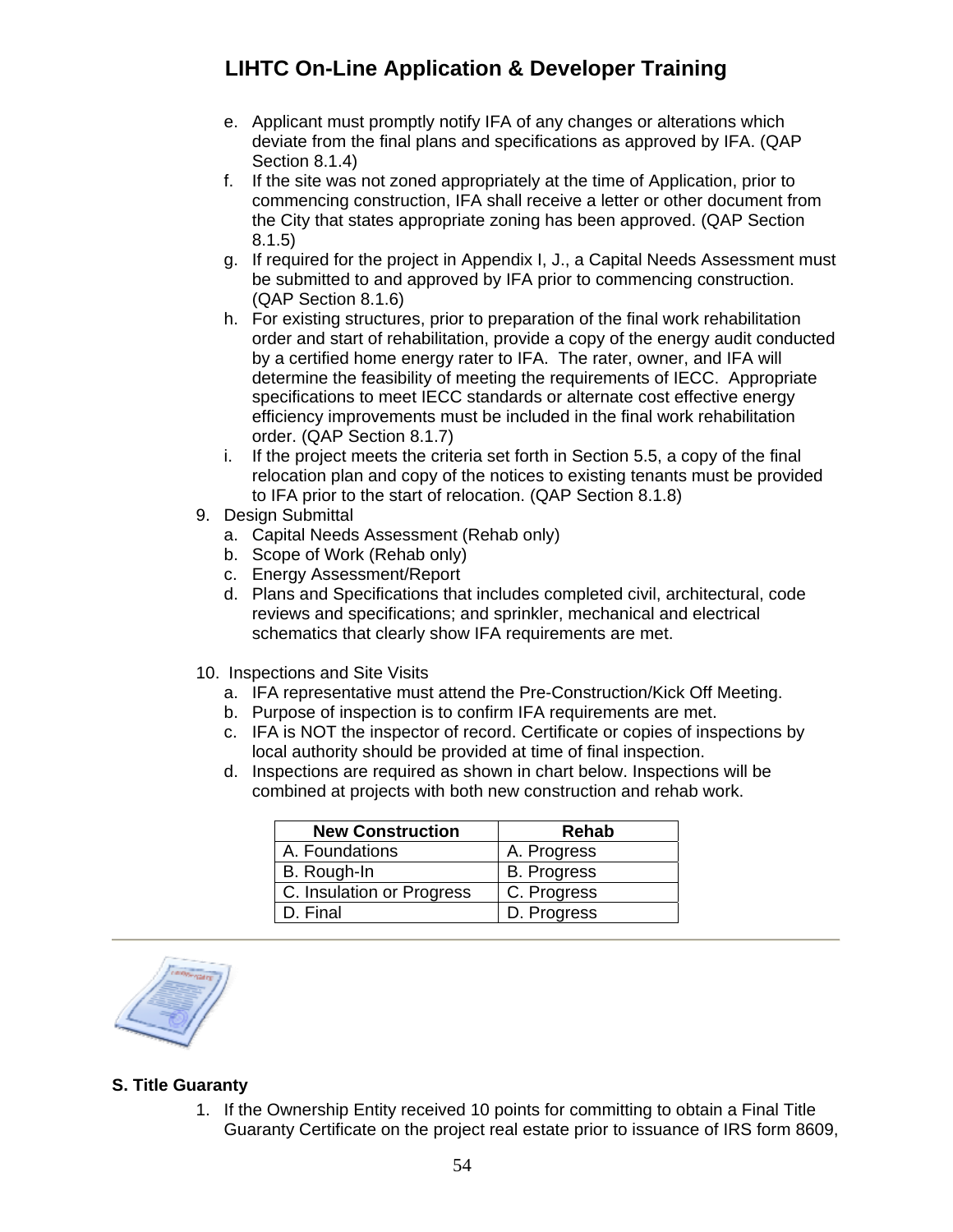- e. Applicant must promptly notify IFA of any changes or alterations which deviate from the final plans and specifications as approved by IFA. (QAP Section 8.1.4)
- f. If the site was not zoned appropriately at the time of Application, prior to commencing construction, IFA shall receive a letter or other document from the City that states appropriate zoning has been approved. (QAP Section 8.1.5)
- g. If required for the project in Appendix I, J., a Capital Needs Assessment must be submitted to and approved by IFA prior to commencing construction. (QAP Section 8.1.6)
- h. For existing structures, prior to preparation of the final work rehabilitation order and start of rehabilitation, provide a copy of the energy audit conducted by a certified home energy rater to IFA. The rater, owner, and IFA will determine the feasibility of meeting the requirements of IECC. Appropriate specifications to meet IECC standards or alternate cost effective energy efficiency improvements must be included in the final work rehabilitation order. (QAP Section 8.1.7)
- i. If the project meets the criteria set forth in Section 5.5, a copy of the final relocation plan and copy of the notices to existing tenants must be provided to IFA prior to the start of relocation. (QAP Section 8.1.8)
- 9. Design Submittal
	- a. Capital Needs Assessment (Rehab only)
	- b. Scope of Work (Rehab only)
	- c. Energy Assessment/Report
	- d. Plans and Specifications that includes completed civil, architectural, code reviews and specifications; and sprinkler, mechanical and electrical schematics that clearly show IFA requirements are met.
- 10. Inspections and Site Visits
	- a. IFA representative must attend the Pre-Construction/Kick Off Meeting.
	- b. Purpose of inspection is to confirm IFA requirements are met.
	- c. IFA is NOT the inspector of record. Certificate or copies of inspections by local authority should be provided at time of final inspection.
	- d. Inspections are required as shown in chart below. Inspections will be combined at projects with both new construction and rehab work.

| <b>New Construction</b>   | <b>Rehab</b>       |
|---------------------------|--------------------|
| A. Foundations            | A. Progress        |
| B. Rough-In               | <b>B.</b> Progress |
| C. Insulation or Progress | C. Progress        |
| D. Final                  | D. Progress        |

## <span id="page-53-0"></span>**S. Title Guaranty**

1. If the Ownership Entity received 10 points for committing to obtain a Final Title Guaranty Certificate on the project real estate prior to issuance of IRS form 8609,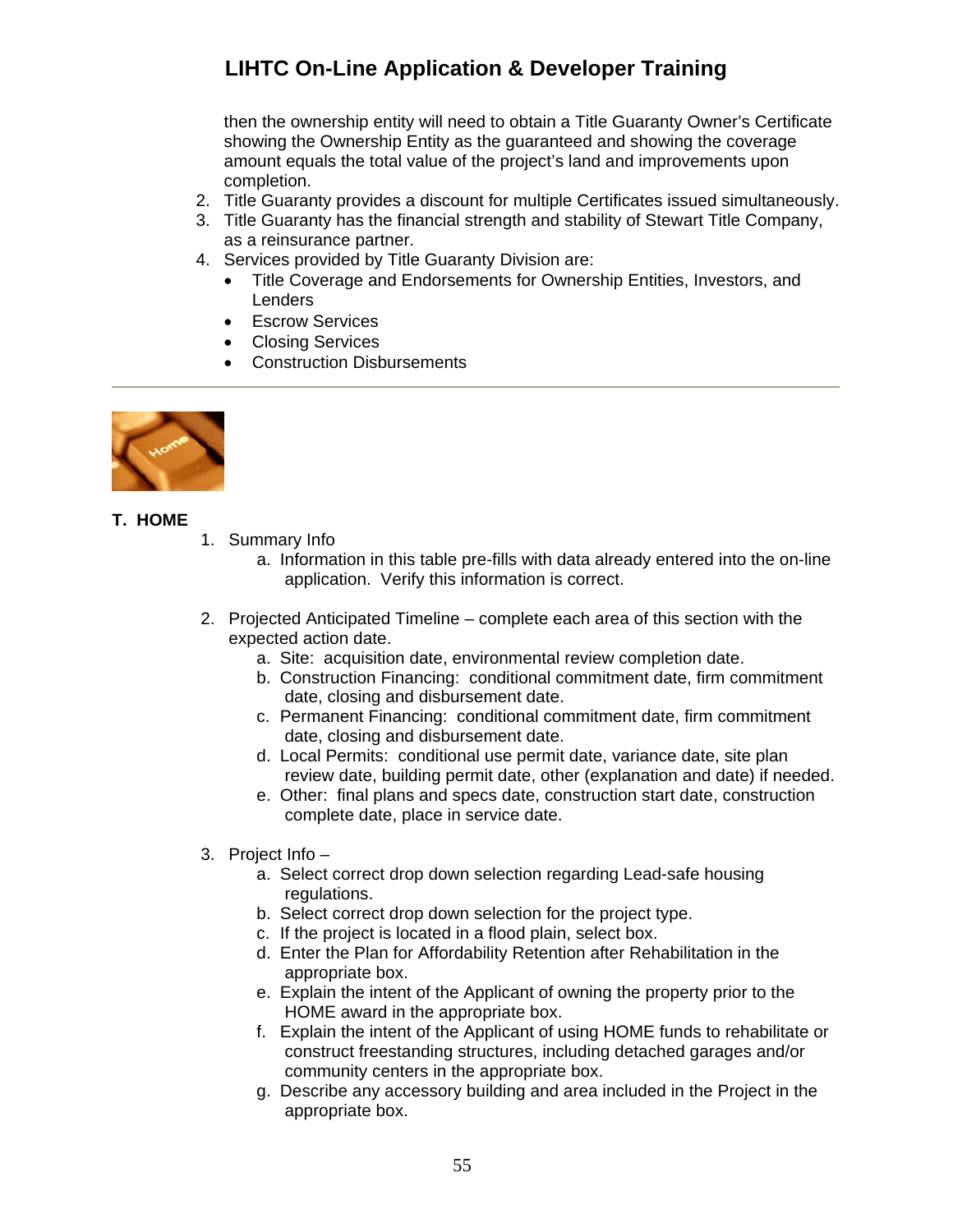then the ownership entity will need to obtain a Title Guaranty Owner's Certificate showing the Ownership Entity as the guaranteed and showing the coverage amount equals the total value of the project's land and improvements upon completion.

- 2. Title Guaranty provides a discount for multiple Certificates issued simultaneously.
- 3. Title Guaranty has the financial strength and stability of Stewart Title Company, as a reinsurance partner.
- 4. Services provided by Title Guaranty Division are:
	- Title Coverage and Endorsements for Ownership Entities, Investors, and **Lenders**
	- **•** Escrow Services
	- Closing Services
	- Construction Disbursements



#### <span id="page-54-0"></span>**T. HOME**

- 1. Summary Info
	- a. Information in this table pre-fills with data already entered into the on-line application. Verify this information is correct.
- 2. Projected Anticipated Timeline complete each area of this section with the expected action date.
	- a. Site: acquisition date, environmental review completion date.
	- b. Construction Financing: conditional commitment date, firm commitment date, closing and disbursement date.
	- c. Permanent Financing: conditional commitment date, firm commitment date, closing and disbursement date.
	- d. Local Permits: conditional use permit date, variance date, site plan review date, building permit date, other (explanation and date) if needed.
	- e. Other: final plans and specs date, construction start date, construction complete date, place in service date.
- 3. Project Info
	- a. Select correct drop down selection regarding Lead-safe housing regulations.
	- b. Select correct drop down selection for the project type.
	- c. If the project is located in a flood plain, select box.
	- d. Enter the Plan for Affordability Retention after Rehabilitation in the appropriate box.
	- e. Explain the intent of the Applicant of owning the property prior to the HOME award in the appropriate box.
	- f. Explain the intent of the Applicant of using HOME funds to rehabilitate or construct freestanding structures, including detached garages and/or community centers in the appropriate box.
	- g. Describe any accessory building and area included in the Project in the appropriate box.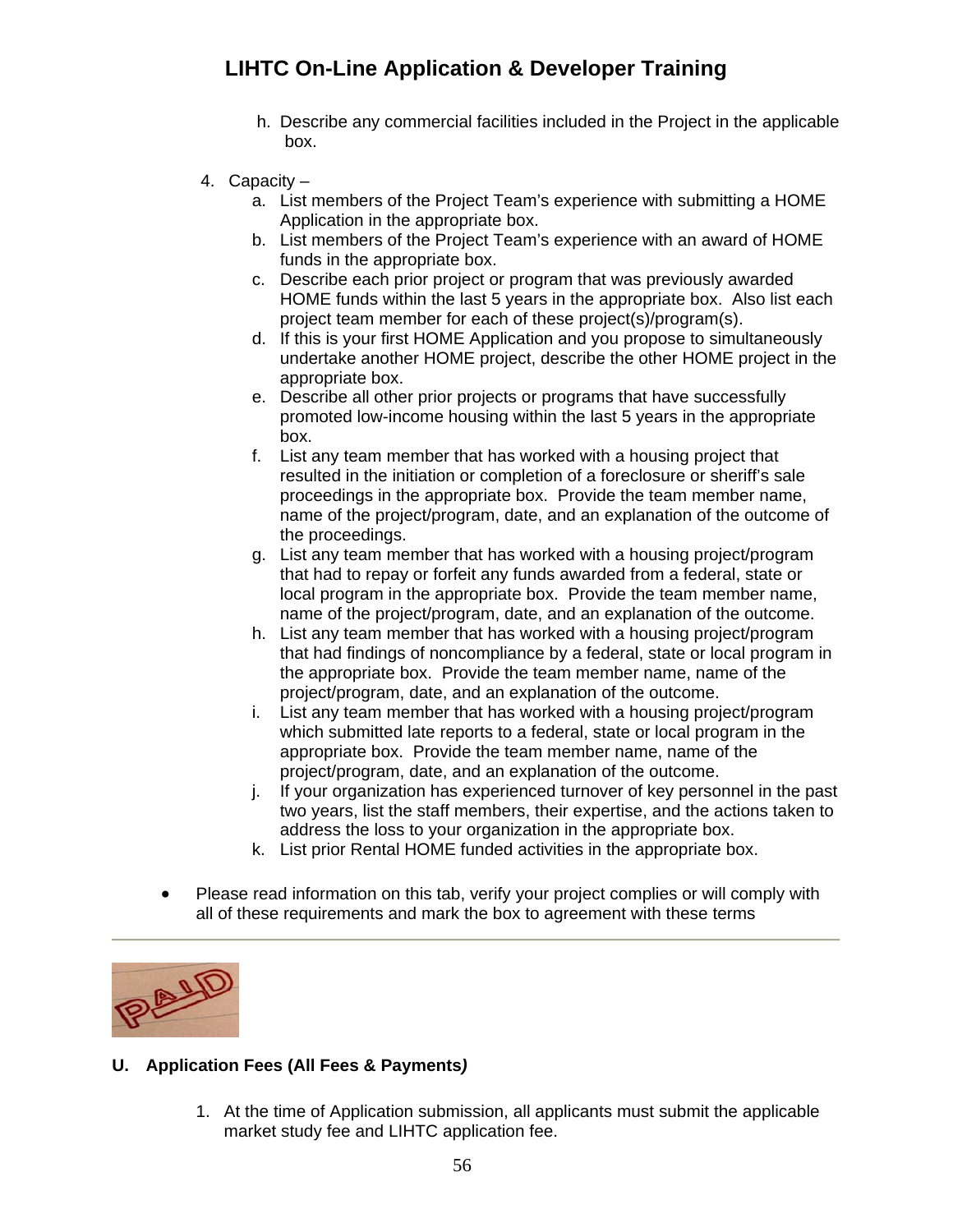- h. Describe any commercial facilities included in the Project in the applicable box.
- 4. Capacity
	- a. List members of the Project Team's experience with submitting a HOME Application in the appropriate box.
	- b. List members of the Project Team's experience with an award of HOME funds in the appropriate box.
	- c. Describe each prior project or program that was previously awarded HOME funds within the last 5 years in the appropriate box. Also list each project team member for each of these project(s)/program(s).
	- d. If this is your first HOME Application and you propose to simultaneously undertake another HOME project, describe the other HOME project in the appropriate box.
	- e. Describe all other prior projects or programs that have successfully promoted low-income housing within the last 5 years in the appropriate box.
	- f. List any team member that has worked with a housing project that resulted in the initiation or completion of a foreclosure or sheriff's sale proceedings in the appropriate box. Provide the team member name, name of the project/program, date, and an explanation of the outcome of the proceedings.
	- g. List any team member that has worked with a housing project/program that had to repay or forfeit any funds awarded from a federal, state or local program in the appropriate box. Provide the team member name, name of the project/program, date, and an explanation of the outcome.
	- h. List any team member that has worked with a housing project/program that had findings of noncompliance by a federal, state or local program in the appropriate box. Provide the team member name, name of the project/program, date, and an explanation of the outcome.
	- i. List any team member that has worked with a housing project/program which submitted late reports to a federal, state or local program in the appropriate box. Provide the team member name, name of the project/program, date, and an explanation of the outcome.
	- j. If your organization has experienced turnover of key personnel in the past two years, list the staff members, their expertise, and the actions taken to address the loss to your organization in the appropriate box.
	- k. List prior Rental HOME funded activities in the appropriate box.
- Please read information on this tab, verify your project complies or will comply with all of these requirements and mark the box to agreement with these terms



## <span id="page-55-0"></span>**U. Application Fees (All Fees & Payments***)*

1. At the time of Application submission, all applicants must submit the applicable market study fee and LIHTC application fee.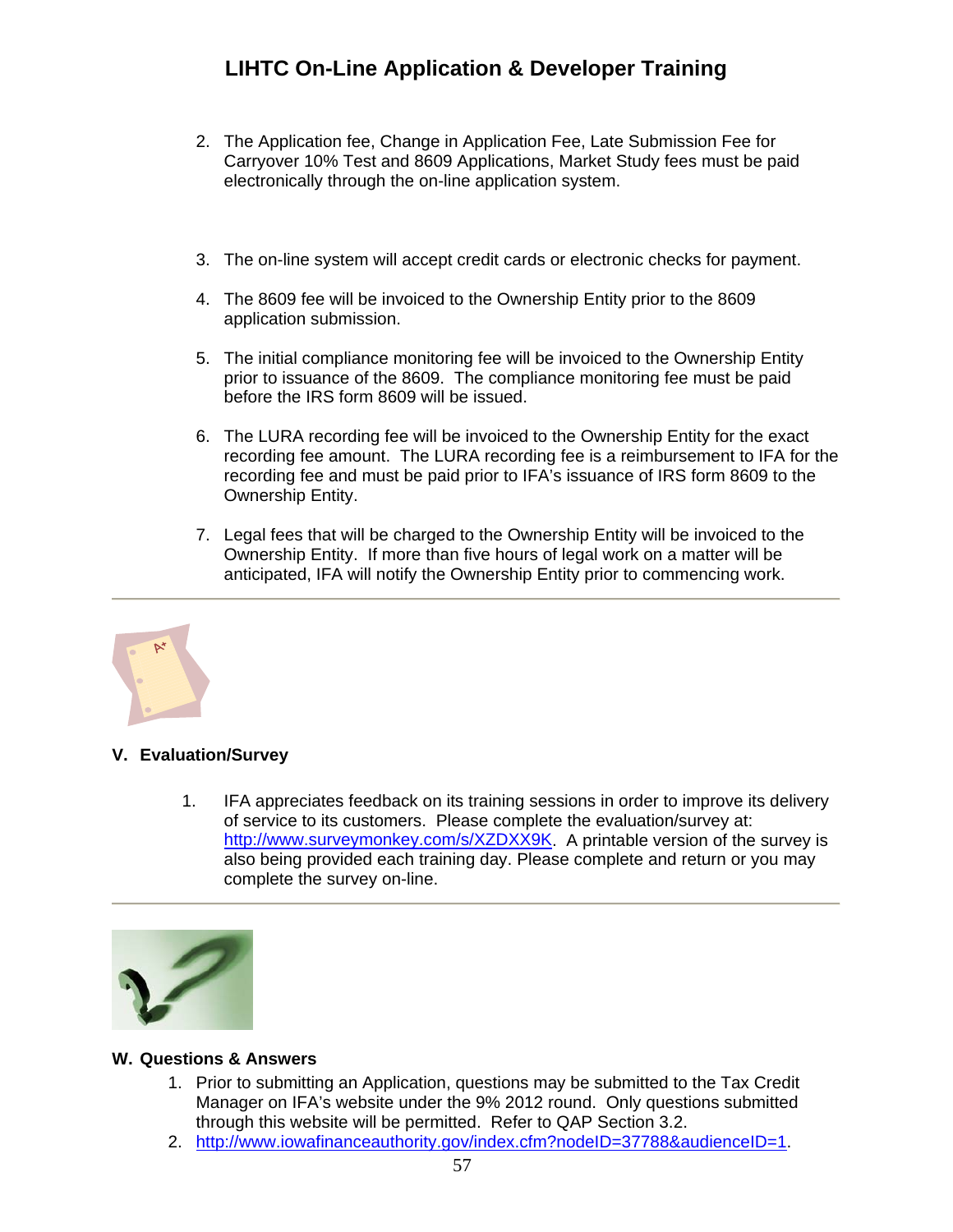- 2. The Application fee, Change in Application Fee, Late Submission Fee for Carryover 10% Test and 8609 Applications, Market Study fees must be paid electronically through the on-line application system.
- 3. The on-line system will accept credit cards or electronic checks for payment.
- 4. The 8609 fee will be invoiced to the Ownership Entity prior to the 8609 application submission.
- 5. The initial compliance monitoring fee will be invoiced to the Ownership Entity prior to issuance of the 8609. The compliance monitoring fee must be paid before the IRS form 8609 will be issued.
- 6. The LURA recording fee will be invoiced to the Ownership Entity for the exact recording fee amount. The LURA recording fee is a reimbursement to IFA for the recording fee and must be paid prior to IFA's issuance of IRS form 8609 to the Ownership Entity.
- 7. Legal fees that will be charged to the Ownership Entity will be invoiced to the Ownership Entity. If more than five hours of legal work on a matter will be anticipated, IFA will notify the Ownership Entity prior to commencing work.



## <span id="page-56-0"></span>**V. Evaluation/Survey**

1. IFA appreciates feedback on its training sessions in order to improve its delivery of service to its customers. Please complete the evaluation/survey at: [http://www.surveymonkey.com/s/XZDXX9K.](http://www.surveymonkey.com/s/XZDXX9K) A printable version of the survey is also being provided each training day. Please complete and return or you may complete the survey on-line.



### <span id="page-56-1"></span>**W. Questions & Answers**

- 1. Prior to submitting an Application, questions may be submitted to the Tax Credit Manager on IFA's website under the 9% 2012 round. Only questions submitted through this website will be permitted. Refer to QAP Section 3.2.
- 2. [http://www.iowafinanceauthority.gov/index.cfm?nodeID=37788&audienceID=1.](http://www.iowafinanceauthority.gov/index.cfm?nodeID=37788&audienceID=1)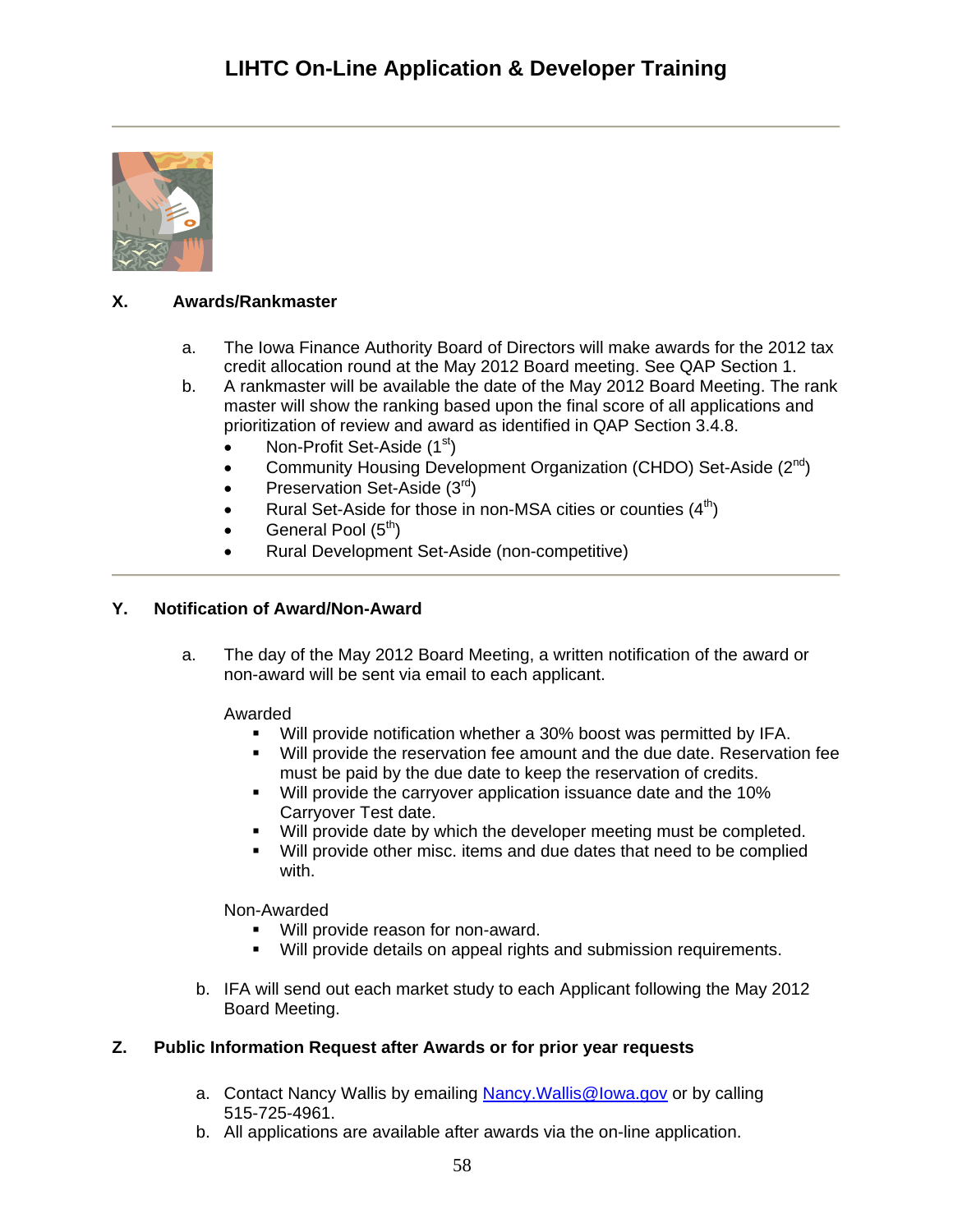

## <span id="page-57-0"></span>**X. Awards/Rankmaster**

- a. The Iowa Finance Authority Board of Directors will make awards for the 2012 tax credit allocation round at the May 2012 Board meeting. See QAP Section 1.
- b. A rankmaster will be available the date of the May 2012 Board Meeting. The rank master will show the ranking based upon the final score of all applications and prioritization of review and award as identified in QAP Section 3.4.8.
	- Non-Profit Set-Aside (1<sup>st</sup>)
	- Community Housing Development Organization (CHDO) Set-Aside  $(2^{nd})$
	- Preservation Set-Aside  $(3<sup>rd</sup>)$
	- Rural Set-Aside for those in non-MSA cities or counties  $(4<sup>th</sup>)$
	- General Pool (5<sup>th</sup>)
	- Rural Development Set-Aside (non-competitive)

### <span id="page-57-1"></span>**Y. Notification of Award/Non-Award**

a. The day of the May 2012 Board Meeting, a written notification of the award or non-award will be sent via email to each applicant.

Awarded

- Will provide notification whether a 30% boost was permitted by IFA.
- Will provide the reservation fee amount and the due date. Reservation fee must be paid by the due date to keep the reservation of credits.
- Will provide the carryover application issuance date and the 10% Carryover Test date.
- Will provide date by which the developer meeting must be completed.
- Will provide other misc. items and due dates that need to be complied with.

Non-Awarded

- Will provide reason for non-award.
- **Will provide details on appeal rights and submission requirements.**
- b. IFA will send out each market study to each Applicant following the May 2012 Board Meeting.

### <span id="page-57-2"></span>**Z. Public Information Request after Awards or for prior year requests**

- a. Contact Nancy Wallis by emailing Nancy. Wallis@Iowa.gov or by calling 515-725-4961.
- b. All applications are available after awards via the on-line application.